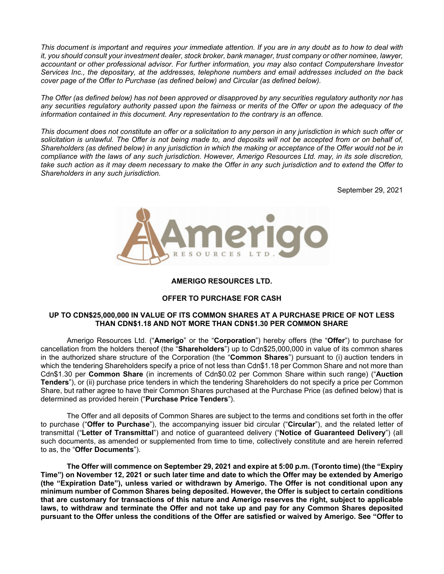*This document is important and requires your immediate attention. If you are in any doubt as to how to deal with it, you should consult your investment dealer, stock broker, bank manager, trust company or other nominee, lawyer, accountant or other professional advisor. For further information, you may also contact Computershare Investor Services Inc., the depositary, at the addresses, telephone numbers and email addresses included on the back cover page of the Offer to Purchase (as defined below) and Circular (as defined below).* 

*The Offer (as defined below) has not been approved or disapproved by any securities regulatory authority nor has any securities regulatory authority passed upon the fairness or merits of the Offer or upon the adequacy of the information contained in this document. Any representation to the contrary is an offence.* 

*This document does not constitute an offer or a solicitation to any person in any jurisdiction in which such offer or*  solicitation is unlawful. The Offer is not being made to, and deposits will not be accepted from or on behalf of, *Shareholders (as defined below) in any jurisdiction in which the making or acceptance of the Offer would not be in compliance with the laws of any such jurisdiction. However, Amerigo Resources Ltd. may, in its sole discretion, take such action as it may deem necessary to make the Offer in any such jurisdiction and to extend the Offer to Shareholders in any such jurisdiction.* 

September 29, 2021



#### **AMERIGO RESOURCES LTD.**

#### **OFFER TO PURCHASE FOR CASH**

# **UP TO CDN\$25,000,000 IN VALUE OF ITS COMMON SHARES AT A PURCHASE PRICE OF NOT LESS THAN CDN\$1.18 AND NOT MORE THAN CDN\$1.30 PER COMMON SHARE**

Amerigo Resources Ltd. ("**Amerigo**" or the "**Corporation**") hereby offers (the "**Offer**") to purchase for cancellation from the holders thereof (the "**Shareholders**") up to Cdn\$25,000,000 in value of its common shares in the authorized share structure of the Corporation (the "**Common Shares**") pursuant to (i) auction tenders in which the tendering Shareholders specify a price of not less than Cdn\$1.18 per Common Share and not more than Cdn\$1.30 per **Common Share** (in increments of Cdn\$0.02 per Common Share within such range) ("**Auction Tenders**"), or (ii) purchase price tenders in which the tendering Shareholders do not specify a price per Common Share, but rather agree to have their Common Shares purchased at the Purchase Price (as defined below) that is determined as provided herein ("**Purchase Price Tenders**").

The Offer and all deposits of Common Shares are subject to the terms and conditions set forth in the offer to purchase ("**Offer to Purchase**"), the accompanying issuer bid circular ("**Circular**"), and the related letter of transmittal ("**Letter of Transmittal**") and notice of guaranteed delivery ("**Notice of Guaranteed Delivery**") (all such documents, as amended or supplemented from time to time, collectively constitute and are herein referred to as, the "**Offer Documents**").

**The Offer will commence on September 29, 2021 and expire at 5:00 p.m. (Toronto time) (the "Expiry Time") on November 12, 2021 or such later time and date to which the Offer may be extended by Amerigo (the "Expiration Date"), unless varied or withdrawn by Amerigo. The Offer is not conditional upon any minimum number of Common Shares being deposited. However, the Offer is subject to certain conditions that are customary for transactions of this nature and Amerigo reserves the right, subject to applicable laws, to withdraw and terminate the Offer and not take up and pay for any Common Shares deposited pursuant to the Offer unless the conditions of the Offer are satisfied or waived by Amerigo. See "Offer to**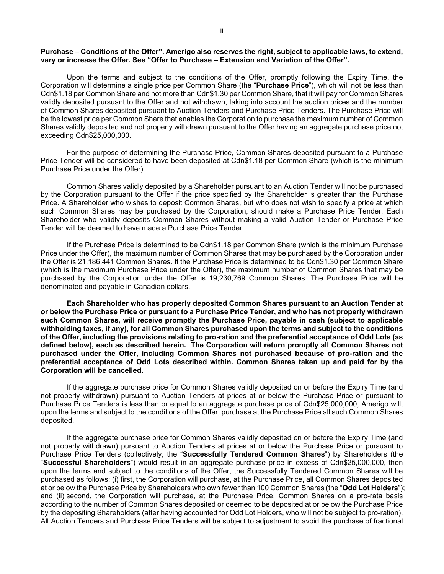#### **Purchase – Conditions of the Offer". Amerigo also reserves the right, subject to applicable laws, to extend, vary or increase the Offer. See "Offer to Purchase – Extension and Variation of the Offer".**

Upon the terms and subject to the conditions of the Offer, promptly following the Expiry Time, the Corporation will determine a single price per Common Share (the "**Purchase Price**"), which will not be less than Cdn\$1.18 per Common Share and not more than Cdn\$1.30 per Common Share, that it will pay for Common Shares validly deposited pursuant to the Offer and not withdrawn, taking into account the auction prices and the number of Common Shares deposited pursuant to Auction Tenders and Purchase Price Tenders. The Purchase Price will be the lowest price per Common Share that enables the Corporation to purchase the maximum number of Common Shares validly deposited and not properly withdrawn pursuant to the Offer having an aggregate purchase price not exceeding Cdn\$25,000,000.

For the purpose of determining the Purchase Price, Common Shares deposited pursuant to a Purchase Price Tender will be considered to have been deposited at Cdn\$1.18 per Common Share (which is the minimum Purchase Price under the Offer).

Common Shares validly deposited by a Shareholder pursuant to an Auction Tender will not be purchased by the Corporation pursuant to the Offer if the price specified by the Shareholder is greater than the Purchase Price. A Shareholder who wishes to deposit Common Shares, but who does not wish to specify a price at which such Common Shares may be purchased by the Corporation, should make a Purchase Price Tender. Each Shareholder who validly deposits Common Shares without making a valid Auction Tender or Purchase Price Tender will be deemed to have made a Purchase Price Tender.

If the Purchase Price is determined to be Cdn\$1.18 per Common Share (which is the minimum Purchase Price under the Offer), the maximum number of Common Shares that may be purchased by the Corporation under the Offer is 21,186,441 Common Shares. If the Purchase Price is determined to be Cdn\$1.30 per Common Share (which is the maximum Purchase Price under the Offer), the maximum number of Common Shares that may be purchased by the Corporation under the Offer is 19,230,769 Common Shares. The Purchase Price will be denominated and payable in Canadian dollars.

**Each Shareholder who has properly deposited Common Shares pursuant to an Auction Tender at or below the Purchase Price or pursuant to a Purchase Price Tender, and who has not properly withdrawn such Common Shares, will receive promptly the Purchase Price, payable in cash (subject to applicable withholding taxes, if any), for all Common Shares purchased upon the terms and subject to the conditions of the Offer, including the provisions relating to pro-ration and the preferential acceptance of Odd Lots (as defined below), each as described herein. The Corporation will return promptly all Common Shares not purchased under the Offer, including Common Shares not purchased because of pro-ration and the preferential acceptance of Odd Lots described within. Common Shares taken up and paid for by the Corporation will be cancelled.** 

If the aggregate purchase price for Common Shares validly deposited on or before the Expiry Time (and not properly withdrawn) pursuant to Auction Tenders at prices at or below the Purchase Price or pursuant to Purchase Price Tenders is less than or equal to an aggregate purchase price of Cdn\$25,000,000, Amerigo will, upon the terms and subject to the conditions of the Offer, purchase at the Purchase Price all such Common Shares deposited.

If the aggregate purchase price for Common Shares validly deposited on or before the Expiry Time (and not properly withdrawn) pursuant to Auction Tenders at prices at or below the Purchase Price or pursuant to Purchase Price Tenders (collectively, the "**Successfully Tendered Common Shares**") by Shareholders (the "**Successful Shareholders**") would result in an aggregate purchase price in excess of Cdn\$25,000,000, then upon the terms and subject to the conditions of the Offer, the Successfully Tendered Common Shares will be purchased as follows: (i) first, the Corporation will purchase, at the Purchase Price, all Common Shares deposited at or below the Purchase Price by Shareholders who own fewer than 100 Common Shares (the "**Odd Lot Holders**"); and (ii) second, the Corporation will purchase, at the Purchase Price, Common Shares on a pro-rata basis according to the number of Common Shares deposited or deemed to be deposited at or below the Purchase Price by the depositing Shareholders (after having accounted for Odd Lot Holders, who will not be subject to pro-ration). All Auction Tenders and Purchase Price Tenders will be subject to adjustment to avoid the purchase of fractional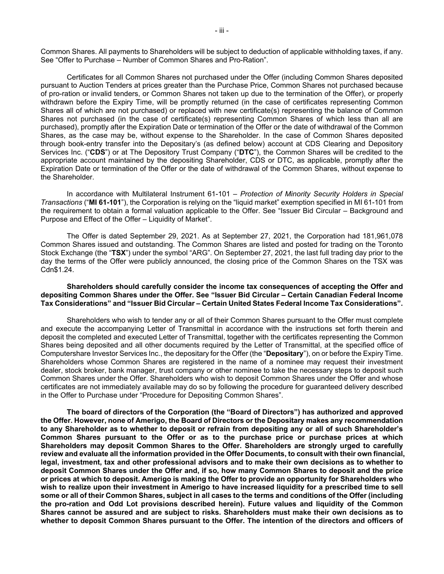Common Shares. All payments to Shareholders will be subject to deduction of applicable withholding taxes, if any. See "Offer to Purchase – Number of Common Shares and Pro-Ration".

Certificates for all Common Shares not purchased under the Offer (including Common Shares deposited pursuant to Auction Tenders at prices greater than the Purchase Price, Common Shares not purchased because of pro-ration or invalid tenders, or Common Shares not taken up due to the termination of the Offer), or properly withdrawn before the Expiry Time, will be promptly returned (in the case of certificates representing Common Shares all of which are not purchased) or replaced with new certificate(s) representing the balance of Common Shares not purchased (in the case of certificate(s) representing Common Shares of which less than all are purchased), promptly after the Expiration Date or termination of the Offer or the date of withdrawal of the Common Shares, as the case may be, without expense to the Shareholder. In the case of Common Shares deposited through book-entry transfer into the Depositary's (as defined below) account at CDS Clearing and Depository Services Inc. ("**CDS**") or at The Depository Trust Company ("**DTC**"), the Common Shares will be credited to the appropriate account maintained by the depositing Shareholder, CDS or DTC, as applicable, promptly after the Expiration Date or termination of the Offer or the date of withdrawal of the Common Shares, without expense to the Shareholder.

In accordance with Multilateral Instrument 61-101 – *Protection of Minority Security Holders in Special Transactions* ("**MI 61-101**"), the Corporation is relying on the "liquid market" exemption specified in MI 61-101 from the requirement to obtain a formal valuation applicable to the Offer. See "Issuer Bid Circular – Background and Purpose and Effect of the Offer – Liquidity of Market".

The Offer is dated September 29, 2021. As at September 27, 2021, the Corporation had 181,961,078 Common Shares issued and outstanding. The Common Shares are listed and posted for trading on the Toronto Stock Exchange (the "**TSX**") under the symbol "ARG". On September 27, 2021, the last full trading day prior to the day the terms of the Offer were publicly announced, the closing price of the Common Shares on the TSX was Cdn\$1.24.

# **Shareholders should carefully consider the income tax consequences of accepting the Offer and depositing Common Shares under the Offer. See "Issuer Bid Circular – Certain Canadian Federal Income Tax Considerations" and "Issuer Bid Circular – Certain United States Federal Income Tax Considerations".**

Shareholders who wish to tender any or all of their Common Shares pursuant to the Offer must complete and execute the accompanying Letter of Transmittal in accordance with the instructions set forth therein and deposit the completed and executed Letter of Transmittal, together with the certificates representing the Common Shares being deposited and all other documents required by the Letter of Transmittal, at the specified office of Computershare Investor Services Inc., the depositary for the Offer (the "**Depositary**"), on or before the Expiry Time. Shareholders whose Common Shares are registered in the name of a nominee may request their investment dealer, stock broker, bank manager, trust company or other nominee to take the necessary steps to deposit such Common Shares under the Offer. Shareholders who wish to deposit Common Shares under the Offer and whose certificates are not immediately available may do so by following the procedure for guaranteed delivery described in the Offer to Purchase under "Procedure for Depositing Common Shares".

**The board of directors of the Corporation (the "Board of Directors") has authorized and approved the Offer. However, none of Amerigo, the Board of Directors or the Depositary makes any recommendation to any Shareholder as to whether to deposit or refrain from depositing any or all of such Shareholder's Common Shares pursuant to the Offer or as to the purchase price or purchase prices at which Shareholders may deposit Common Shares to the Offer. Shareholders are strongly urged to carefully review and evaluate all the information provided in the Offer Documents, to consult with their own financial, legal, investment, tax and other professional advisors and to make their own decisions as to whether to deposit Common Shares under the Offer and, if so, how many Common Shares to deposit and the price or prices at which to deposit. Amerigo is making the Offer to provide an opportunity for Shareholders who wish to realize upon their investment in Amerigo to have increased liquidity for a prescribed time to sell some or all of their Common Shares, subject in all cases to the terms and conditions of the Offer (including the pro-ration and Odd Lot provisions described herein). Future values and liquidity of the Common Shares cannot be assured and are subject to risks. Shareholders must make their own decisions as to whether to deposit Common Shares pursuant to the Offer. The intention of the directors and officers of**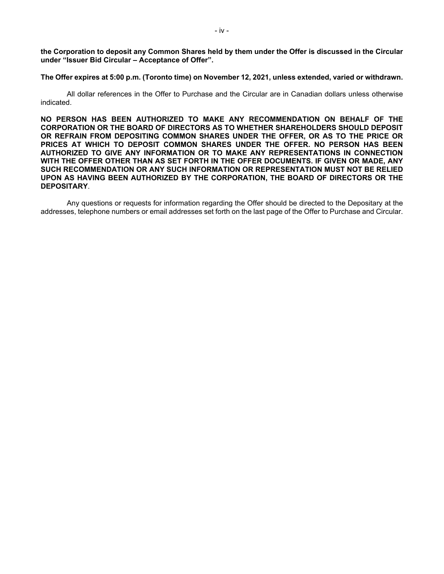**the Corporation to deposit any Common Shares held by them under the Offer is discussed in the Circular under "Issuer Bid Circular – Acceptance of Offer".** 

**The Offer expires at 5:00 p.m. (Toronto time) on November 12, 2021, unless extended, varied or withdrawn.** 

All dollar references in the Offer to Purchase and the Circular are in Canadian dollars unless otherwise indicated.

**NO PERSON HAS BEEN AUTHORIZED TO MAKE ANY RECOMMENDATION ON BEHALF OF THE CORPORATION OR THE BOARD OF DIRECTORS AS TO WHETHER SHAREHOLDERS SHOULD DEPOSIT OR REFRAIN FROM DEPOSITING COMMON SHARES UNDER THE OFFER, OR AS TO THE PRICE OR PRICES AT WHICH TO DEPOSIT COMMON SHARES UNDER THE OFFER. NO PERSON HAS BEEN AUTHORIZED TO GIVE ANY INFORMATION OR TO MAKE ANY REPRESENTATIONS IN CONNECTION WITH THE OFFER OTHER THAN AS SET FORTH IN THE OFFER DOCUMENTS. IF GIVEN OR MADE, ANY SUCH RECOMMENDATION OR ANY SUCH INFORMATION OR REPRESENTATION MUST NOT BE RELIED UPON AS HAVING BEEN AUTHORIZED BY THE CORPORATION, THE BOARD OF DIRECTORS OR THE DEPOSITARY**.

Any questions or requests for information regarding the Offer should be directed to the Depositary at the addresses, telephone numbers or email addresses set forth on the last page of the Offer to Purchase and Circular.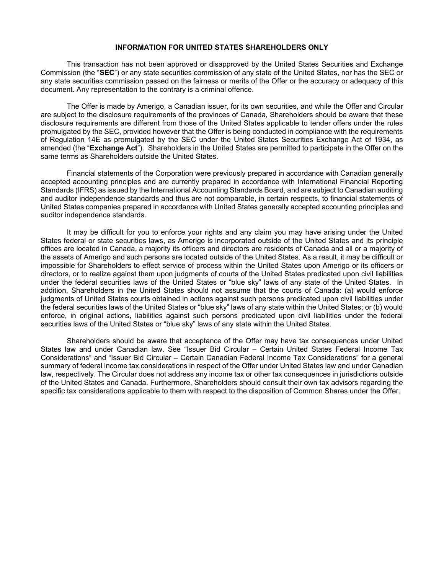# **INFORMATION FOR UNITED STATES SHAREHOLDERS ONLY**

This transaction has not been approved or disapproved by the United States Securities and Exchange Commission (the "**SEC**") or any state securities commission of any state of the United States, nor has the SEC or any state securities commission passed on the fairness or merits of the Offer or the accuracy or adequacy of this document. Any representation to the contrary is a criminal offence.

The Offer is made by Amerigo, a Canadian issuer, for its own securities, and while the Offer and Circular are subject to the disclosure requirements of the provinces of Canada, Shareholders should be aware that these disclosure requirements are different from those of the United States applicable to tender offers under the rules promulgated by the SEC, provided however that the Offer is being conducted in compliance with the requirements of Regulation 14E as promulgated by the SEC under the United States Securities Exchange Act of 1934, as amended (the "**Exchange Act**"). Shareholders in the United States are permitted to participate in the Offer on the same terms as Shareholders outside the United States.

Financial statements of the Corporation were previously prepared in accordance with Canadian generally accepted accounting principles and are currently prepared in accordance with International Financial Reporting Standards (IFRS) as issued by the International Accounting Standards Board, and are subject to Canadian auditing and auditor independence standards and thus are not comparable, in certain respects, to financial statements of United States companies prepared in accordance with United States generally accepted accounting principles and auditor independence standards.

It may be difficult for you to enforce your rights and any claim you may have arising under the United States federal or state securities laws, as Amerigo is incorporated outside of the United States and its principle offices are located in Canada, a majority its officers and directors are residents of Canada and all or a majority of the assets of Amerigo and such persons are located outside of the United States. As a result, it may be difficult or impossible for Shareholders to effect service of process within the United States upon Amerigo or its officers or directors, or to realize against them upon judgments of courts of the United States predicated upon civil liabilities under the federal securities laws of the United States or "blue sky" laws of any state of the United States. In addition, Shareholders in the United States should not assume that the courts of Canada: (a) would enforce judgments of United States courts obtained in actions against such persons predicated upon civil liabilities under the federal securities laws of the United States or "blue sky" laws of any state within the United States; or (b) would enforce, in original actions, liabilities against such persons predicated upon civil liabilities under the federal securities laws of the United States or "blue sky" laws of any state within the United States.

Shareholders should be aware that acceptance of the Offer may have tax consequences under United States law and under Canadian law. See "Issuer Bid Circular – Certain United States Federal Income Tax Considerations" and "Issuer Bid Circular – Certain Canadian Federal Income Tax Considerations" for a general summary of federal income tax considerations in respect of the Offer under United States law and under Canadian law, respectively. The Circular does not address any income tax or other tax consequences in jurisdictions outside of the United States and Canada. Furthermore, Shareholders should consult their own tax advisors regarding the specific tax considerations applicable to them with respect to the disposition of Common Shares under the Offer.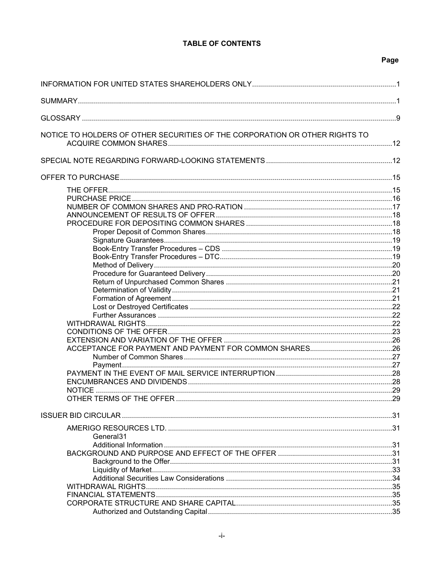# **TABLE OF CONTENTS**

# Page

| NOTICE TO HOLDERS OF OTHER SECURITIES OF THE CORPORATION OR OTHER RIGHTS TO |  |
|-----------------------------------------------------------------------------|--|
|                                                                             |  |
|                                                                             |  |
|                                                                             |  |
|                                                                             |  |
|                                                                             |  |
|                                                                             |  |
|                                                                             |  |
|                                                                             |  |
|                                                                             |  |
|                                                                             |  |
|                                                                             |  |
|                                                                             |  |
|                                                                             |  |
|                                                                             |  |
|                                                                             |  |
|                                                                             |  |
|                                                                             |  |
|                                                                             |  |
|                                                                             |  |
|                                                                             |  |
|                                                                             |  |
|                                                                             |  |
|                                                                             |  |
|                                                                             |  |
|                                                                             |  |
| NOTICE.                                                                     |  |
|                                                                             |  |
|                                                                             |  |
|                                                                             |  |
| General <sub>31</sub>                                                       |  |
|                                                                             |  |
|                                                                             |  |
|                                                                             |  |
|                                                                             |  |
|                                                                             |  |
|                                                                             |  |
|                                                                             |  |
|                                                                             |  |
|                                                                             |  |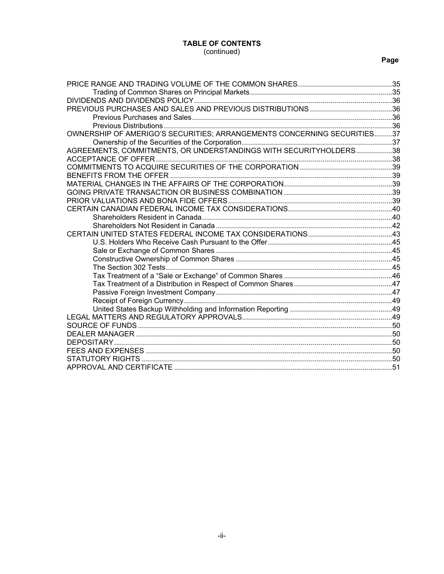# **TABLE OF CONTENTS**

# (continued)

# **Page**

| OWNERSHIP OF AMERIGO'S SECURITIES; ARRANGEMENTS CONCERNING SECURITIES37 |  |
|-------------------------------------------------------------------------|--|
|                                                                         |  |
| AGREEMENTS, COMMITMENTS, OR UNDERSTANDINGS WITH SECURITYHOLDERS38       |  |
|                                                                         |  |
|                                                                         |  |
|                                                                         |  |
|                                                                         |  |
|                                                                         |  |
|                                                                         |  |
|                                                                         |  |
|                                                                         |  |
|                                                                         |  |
|                                                                         |  |
|                                                                         |  |
|                                                                         |  |
|                                                                         |  |
|                                                                         |  |
|                                                                         |  |
|                                                                         |  |
|                                                                         |  |
|                                                                         |  |
|                                                                         |  |
|                                                                         |  |
|                                                                         |  |
|                                                                         |  |
|                                                                         |  |
|                                                                         |  |
|                                                                         |  |
|                                                                         |  |
|                                                                         |  |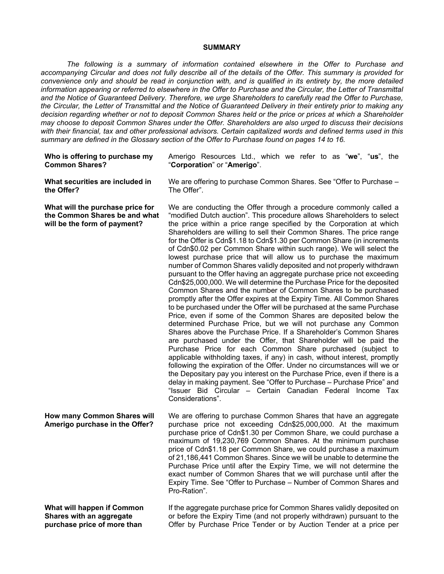# **SUMMARY**

*The following is a summary of information contained elsewhere in the Offer to Purchase and accompanying Circular and does not fully describe all of the details of the Offer. This summary is provided for convenience only and should be read in conjunction with, and is qualified in its entirety by, the more detailed information appearing or referred to elsewhere in the Offer to Purchase and the Circular, the Letter of Transmittal and the Notice of Guaranteed Delivery. Therefore, we urge Shareholders to carefully read the Offer to Purchase, the Circular, the Letter of Transmittal and the Notice of Guaranteed Delivery in their entirety prior to making any decision regarding whether or not to deposit Common Shares held or the price or prices at which a Shareholder may choose to deposit Common Shares under the Offer. Shareholders are also urged to discuss their decisions with their financial, tax and other professional advisors. Certain capitalized words and defined terms used in this summary are defined in the Glossary section of the Offer to Purchase found on pages 14 to 16.* 

| Who is offering to purchase my                                                                    | Amerigo Resources Ltd., which we refer to as "we", "us", the                                                                                                                                                                                                                                                                                                                                                                                                                                                                                                                                                                                                                                                                                                                                                                                                                                                                                                                                                                                                                                                                                                                                                                                                                                                                                                                                                                                                                                                                                                                                                                                                                                                        |
|---------------------------------------------------------------------------------------------------|---------------------------------------------------------------------------------------------------------------------------------------------------------------------------------------------------------------------------------------------------------------------------------------------------------------------------------------------------------------------------------------------------------------------------------------------------------------------------------------------------------------------------------------------------------------------------------------------------------------------------------------------------------------------------------------------------------------------------------------------------------------------------------------------------------------------------------------------------------------------------------------------------------------------------------------------------------------------------------------------------------------------------------------------------------------------------------------------------------------------------------------------------------------------------------------------------------------------------------------------------------------------------------------------------------------------------------------------------------------------------------------------------------------------------------------------------------------------------------------------------------------------------------------------------------------------------------------------------------------------------------------------------------------------------------------------------------------------|
| <b>Common Shares?</b>                                                                             | "Corporation" or "Amerigo".                                                                                                                                                                                                                                                                                                                                                                                                                                                                                                                                                                                                                                                                                                                                                                                                                                                                                                                                                                                                                                                                                                                                                                                                                                                                                                                                                                                                                                                                                                                                                                                                                                                                                         |
| What securities are included in                                                                   | We are offering to purchase Common Shares. See "Offer to Purchase -                                                                                                                                                                                                                                                                                                                                                                                                                                                                                                                                                                                                                                                                                                                                                                                                                                                                                                                                                                                                                                                                                                                                                                                                                                                                                                                                                                                                                                                                                                                                                                                                                                                 |
| the Offer?                                                                                        | The Offer".                                                                                                                                                                                                                                                                                                                                                                                                                                                                                                                                                                                                                                                                                                                                                                                                                                                                                                                                                                                                                                                                                                                                                                                                                                                                                                                                                                                                                                                                                                                                                                                                                                                                                                         |
| What will the purchase price for<br>the Common Shares be and what<br>will be the form of payment? | We are conducting the Offer through a procedure commonly called a<br>"modified Dutch auction". This procedure allows Shareholders to select<br>the price within a price range specified by the Corporation at which<br>Shareholders are willing to sell their Common Shares. The price range<br>for the Offer is Cdn\$1.18 to Cdn\$1.30 per Common Share (in increments<br>of Cdn\$0.02 per Common Share within such range). We will select the<br>lowest purchase price that will allow us to purchase the maximum<br>number of Common Shares validly deposited and not properly withdrawn<br>pursuant to the Offer having an aggregate purchase price not exceeding<br>Cdn\$25,000,000. We will determine the Purchase Price for the deposited<br>Common Shares and the number of Common Shares to be purchased<br>promptly after the Offer expires at the Expiry Time. All Common Shares<br>to be purchased under the Offer will be purchased at the same Purchase<br>Price, even if some of the Common Shares are deposited below the<br>determined Purchase Price, but we will not purchase any Common<br>Shares above the Purchase Price. If a Shareholder's Common Shares<br>are purchased under the Offer, that Shareholder will be paid the<br>Purchase Price for each Common Share purchased (subject to<br>applicable withholding taxes, if any) in cash, without interest, promptly<br>following the expiration of the Offer. Under no circumstances will we or<br>the Depositary pay you interest on the Purchase Price, even if there is a<br>delay in making payment. See "Offer to Purchase - Purchase Price" and<br>"Issuer Bid Circular – Certain Canadian Federal Income Tax<br>Considerations". |
| How many Common Shares will<br>Amerigo purchase in the Offer?                                     | We are offering to purchase Common Shares that have an aggregate<br>purchase price not exceeding Cdn\$25,000,000. At the maximum<br>purchase price of Cdn\$1.30 per Common Share, we could purchase a<br>maximum of 19,230,769 Common Shares. At the minimum purchase<br>price of Cdn\$1.18 per Common Share, we could purchase a maximum<br>of 21,186,441 Common Shares. Since we will be unable to determine the<br>Purchase Price until after the Expiry Time, we will not determine the<br>exact number of Common Shares that we will purchase until after the<br>Expiry Time. See "Offer to Purchase - Number of Common Shares and<br>Pro-Ration".                                                                                                                                                                                                                                                                                                                                                                                                                                                                                                                                                                                                                                                                                                                                                                                                                                                                                                                                                                                                                                                             |
| What will happen if Common                                                                        | If the aggregate purchase price for Common Shares validly deposited on                                                                                                                                                                                                                                                                                                                                                                                                                                                                                                                                                                                                                                                                                                                                                                                                                                                                                                                                                                                                                                                                                                                                                                                                                                                                                                                                                                                                                                                                                                                                                                                                                                              |
| Shares with an aggregate                                                                          | or before the Expiry Time (and not properly withdrawn) pursuant to the                                                                                                                                                                                                                                                                                                                                                                                                                                                                                                                                                                                                                                                                                                                                                                                                                                                                                                                                                                                                                                                                                                                                                                                                                                                                                                                                                                                                                                                                                                                                                                                                                                              |
| purchase price of more than                                                                       | Offer by Purchase Price Tender or by Auction Tender at a price per                                                                                                                                                                                                                                                                                                                                                                                                                                                                                                                                                                                                                                                                                                                                                                                                                                                                                                                                                                                                                                                                                                                                                                                                                                                                                                                                                                                                                                                                                                                                                                                                                                                  |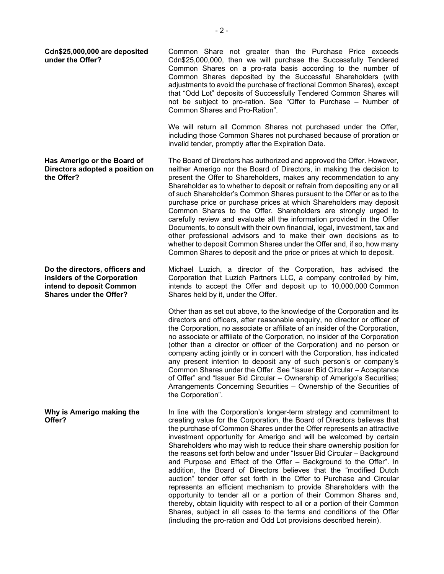**Cdn\$25,000,000 are deposited under the Offer?**  Common Share not greater than the Purchase Price exceeds Cdn\$25,000,000, then we will purchase the Successfully Tendered Common Shares on a pro-rata basis according to the number of Common Shares deposited by the Successful Shareholders (with adjustments to avoid the purchase of fractional Common Shares), except that "Odd Lot" deposits of Successfully Tendered Common Shares will not be subject to pro-ration. See "Offer to Purchase – Number of Common Shares and Pro-Ration".

> We will return all Common Shares not purchased under the Offer, including those Common Shares not purchased because of proration or invalid tender, promptly after the Expiration Date.

The Board of Directors has authorized and approved the Offer. However, neither Amerigo nor the Board of Directors, in making the decision to present the Offer to Shareholders, makes any recommendation to any Shareholder as to whether to deposit or refrain from depositing any or all of such Shareholder's Common Shares pursuant to the Offer or as to the purchase price or purchase prices at which Shareholders may deposit Common Shares to the Offer. Shareholders are strongly urged to carefully review and evaluate all the information provided in the Offer Documents, to consult with their own financial, legal, investment, tax and other professional advisors and to make their own decisions as to whether to deposit Common Shares under the Offer and, if so, how many Common Shares to deposit and the price or prices at which to deposit.

Michael Luzich, a director of the Corporation, has advised the Corporation that Luzich Partners LLC, a company controlled by him, intends to accept the Offer and deposit up to 10,000,000 Common Shares held by it, under the Offer.

Other than as set out above, to the knowledge of the Corporation and its directors and officers, after reasonable enquiry, no director or officer of the Corporation, no associate or affiliate of an insider of the Corporation, no associate or affiliate of the Corporation, no insider of the Corporation (other than a director or officer of the Corporation) and no person or company acting jointly or in concert with the Corporation, has indicated any present intention to deposit any of such person's or company's Common Shares under the Offer. See "Issuer Bid Circular – Acceptance of Offer" and "Issuer Bid Circular – Ownership of Amerigo's Securities; Arrangements Concerning Securities – Ownership of the Securities of the Corporation".

In line with the Corporation's longer-term strategy and commitment to creating value for the Corporation, the Board of Directors believes that the purchase of Common Shares under the Offer represents an attractive investment opportunity for Amerigo and will be welcomed by certain Shareholders who may wish to reduce their share ownership position for the reasons set forth below and under "Issuer Bid Circular – Background and Purpose and Effect of the Offer – Background to the Offer". In addition, the Board of Directors believes that the "modified Dutch auction" tender offer set forth in the Offer to Purchase and Circular represents an efficient mechanism to provide Shareholders with the opportunity to tender all or a portion of their Common Shares and, thereby, obtain liquidity with respect to all or a portion of their Common Shares, subject in all cases to the terms and conditions of the Offer (including the pro-ration and Odd Lot provisions described herein).

**Has Amerigo or the Board of Directors adopted a position on the Offer?** 

**Do the directors, officers and insiders of the Corporation intend to deposit Common Shares under the Offer?** 

**Why is Amerigo making the Offer?**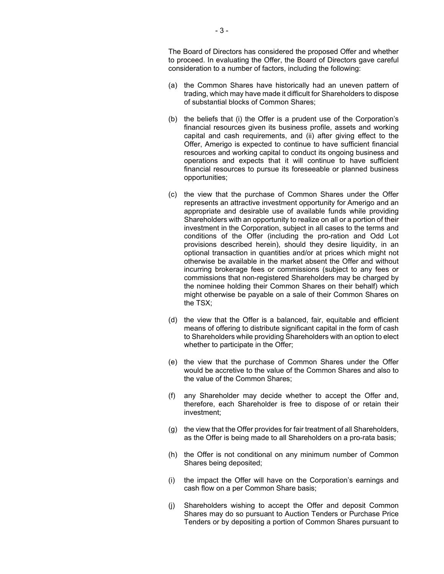The Board of Directors has considered the proposed Offer and whether to proceed. In evaluating the Offer, the Board of Directors gave careful consideration to a number of factors, including the following:

- (a) the Common Shares have historically had an uneven pattern of trading, which may have made it difficult for Shareholders to dispose of substantial blocks of Common Shares;
- (b) the beliefs that (i) the Offer is a prudent use of the Corporation's financial resources given its business profile, assets and working capital and cash requirements, and (ii) after giving effect to the Offer, Amerigo is expected to continue to have sufficient financial resources and working capital to conduct its ongoing business and operations and expects that it will continue to have sufficient financial resources to pursue its foreseeable or planned business opportunities;
- (c) the view that the purchase of Common Shares under the Offer represents an attractive investment opportunity for Amerigo and an appropriate and desirable use of available funds while providing Shareholders with an opportunity to realize on all or a portion of their investment in the Corporation, subject in all cases to the terms and conditions of the Offer (including the pro-ration and Odd Lot provisions described herein), should they desire liquidity, in an optional transaction in quantities and/or at prices which might not otherwise be available in the market absent the Offer and without incurring brokerage fees or commissions (subject to any fees or commissions that non-registered Shareholders may be charged by the nominee holding their Common Shares on their behalf) which might otherwise be payable on a sale of their Common Shares on the TSX;
- (d) the view that the Offer is a balanced, fair, equitable and efficient means of offering to distribute significant capital in the form of cash to Shareholders while providing Shareholders with an option to elect whether to participate in the Offer;
- (e) the view that the purchase of Common Shares under the Offer would be accretive to the value of the Common Shares and also to the value of the Common Shares;
- (f) any Shareholder may decide whether to accept the Offer and, therefore, each Shareholder is free to dispose of or retain their investment;
- (g) the view that the Offer provides for fair treatment of all Shareholders, as the Offer is being made to all Shareholders on a pro-rata basis;
- (h) the Offer is not conditional on any minimum number of Common Shares being deposited;
- (i) the impact the Offer will have on the Corporation's earnings and cash flow on a per Common Share basis;
- (j) Shareholders wishing to accept the Offer and deposit Common Shares may do so pursuant to Auction Tenders or Purchase Price Tenders or by depositing a portion of Common Shares pursuant to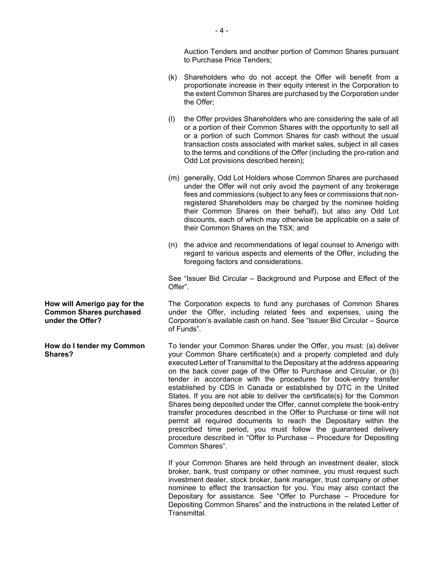Auction Tenders and another portion of Common Shares pursuant to Purchase Price Tenders;

- (k) Shareholders who do not accept the Offer will benefit from a proportionate increase in their equity interest in the Corporation to the extent Common Shares are purchased by the Corporation under the Offer;
- (l) the Offer provides Shareholders who are considering the sale of all or a portion of their Common Shares with the opportunity to sell all or a portion of such Common Shares for cash without the usual transaction costs associated with market sales, subject in all cases to the terms and conditions of the Offer (including the pro-ration and Odd Lot provisions described herein);
- (m) generally, Odd Lot Holders whose Common Shares are purchased under the Offer will not only avoid the payment of any brokerage fees and commissions (subject to any fees or commissions that nonregistered Shareholders may be charged by the nominee holding their Common Shares on their behalf), but also any Odd Lot discounts, each of which may otherwise be applicable on a sale of their Common Shares on the TSX; and
- (n) the advice and recommendations of legal counsel to Amerigo with regard to various aspects and elements of the Offer, including the foregoing factors and considerations.

See "Issuer Bid Circular – Background and Purpose and Effect of the Offer".

The Corporation expects to fund any purchases of Common Shares under the Offer, including related fees and expenses, using the Corporation's available cash on hand. See "Issuer Bid Circular – Source of Funds".

To tender your Common Shares under the Offer, you must: (a) deliver your Common Share certificate(s) and a properly completed and duly executed Letter of Transmittal to the Depositary at the address appearing on the back cover page of the Offer to Purchase and Circular, or (b) tender in accordance with the procedures for book-entry transfer established by CDS in Canada or established by DTC in the United States. If you are not able to deliver the certificate(s) for the Common Shares being deposited under the Offer, cannot complete the book-entry transfer procedures described in the Offer to Purchase or time will not permit all required documents to reach the Depositary within the prescribed time period, you must follow the guaranteed delivery procedure described in "Offer to Purchase – Procedure for Depositing Common Shares".

If your Common Shares are held through an investment dealer, stock broker, bank, trust company or other nominee, you must request such investment dealer, stock broker, bank manager, trust company or other nominee to effect the transaction for you. You may also contact the Depositary for assistance. See "Offer to Purchase – Procedure for Depositing Common Shares" and the instructions in the related Letter of Transmittal.

**How will Amerigo pay for the Common Shares purchased under the Offer?** 

**How do I tender my Common Shares?**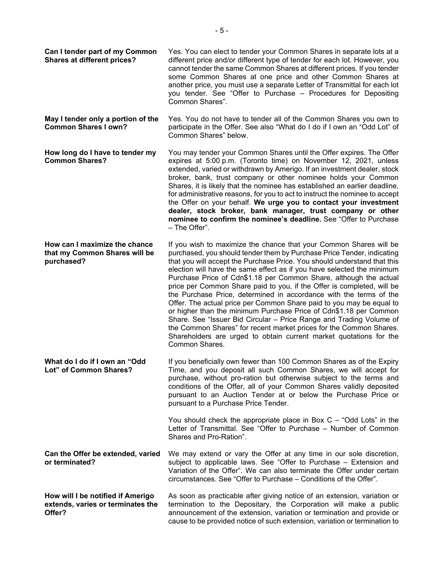| Can I tender part of my Common<br><b>Shares at different prices?</b>             | Yes. You can elect to tender your Common Shares in separate lots at a<br>different price and/or different type of tender for each lot. However, you<br>cannot tender the same Common Shares at different prices. If you tender<br>some Common Shares at one price and other Common Shares at<br>another price, you must use a separate Letter of Transmittal for each lot<br>you tender. See "Offer to Purchase - Procedures for Depositing<br>Common Shares".                                                                                                                                                                                                                                                                                                                                                                                                                                            |
|----------------------------------------------------------------------------------|-----------------------------------------------------------------------------------------------------------------------------------------------------------------------------------------------------------------------------------------------------------------------------------------------------------------------------------------------------------------------------------------------------------------------------------------------------------------------------------------------------------------------------------------------------------------------------------------------------------------------------------------------------------------------------------------------------------------------------------------------------------------------------------------------------------------------------------------------------------------------------------------------------------|
| May I tender only a portion of the<br><b>Common Shares I own?</b>                | Yes. You do not have to tender all of the Common Shares you own to<br>participate in the Offer. See also "What do I do if I own an "Odd Lot" of<br>Common Shares" below.                                                                                                                                                                                                                                                                                                                                                                                                                                                                                                                                                                                                                                                                                                                                  |
| How long do I have to tender my<br><b>Common Shares?</b>                         | You may tender your Common Shares until the Offer expires. The Offer<br>expires at 5:00 p.m. (Toronto time) on November 12, 2021, unless<br>extended, varied or withdrawn by Amerigo. If an investment dealer, stock<br>broker, bank, trust company or other nominee holds your Common<br>Shares, it is likely that the nominee has established an earlier deadline,<br>for administrative reasons, for you to act to instruct the nominee to accept<br>the Offer on your behalf. We urge you to contact your investment<br>dealer, stock broker, bank manager, trust company or other<br>nominee to confirm the nominee's deadline. See "Offer to Purchase<br>- The Offer".                                                                                                                                                                                                                              |
| How can I maximize the chance<br>that my Common Shares will be<br>purchased?     | If you wish to maximize the chance that your Common Shares will be<br>purchased, you should tender them by Purchase Price Tender, indicating<br>that you will accept the Purchase Price. You should understand that this<br>election will have the same effect as if you have selected the minimum<br>Purchase Price of Cdn\$1.18 per Common Share, although the actual<br>price per Common Share paid to you, if the Offer is completed, will be<br>the Purchase Price, determined in accordance with the terms of the<br>Offer. The actual price per Common Share paid to you may be equal to<br>or higher than the minimum Purchase Price of Cdn\$1.18 per Common<br>Share. See "Issuer Bid Circular - Price Range and Trading Volume of<br>the Common Shares" for recent market prices for the Common Shares.<br>Shareholders are urged to obtain current market quotations for the<br>Common Shares. |
| What do I do if I own an "Odd<br>Lot" of Common Shares?                          | If you beneficially own fewer than 100 Common Shares as of the Expiry<br>Time, and you deposit all such Common Shares, we will accept for<br>purchase, without pro-ration but otherwise subject to the terms and<br>conditions of the Offer, all of your Common Shares validly deposited<br>pursuant to an Auction Tender at or below the Purchase Price or<br>pursuant to a Purchase Price Tender.                                                                                                                                                                                                                                                                                                                                                                                                                                                                                                       |
|                                                                                  | You should check the appropriate place in Box $C -$ "Odd Lots" in the<br>Letter of Transmittal. See "Offer to Purchase – Number of Common<br>Shares and Pro-Ration".                                                                                                                                                                                                                                                                                                                                                                                                                                                                                                                                                                                                                                                                                                                                      |
| Can the Offer be extended, varied<br>or terminated?                              | We may extend or vary the Offer at any time in our sole discretion,<br>subject to applicable laws. See "Offer to Purchase - Extension and<br>Variation of the Offer". We can also terminate the Offer under certain<br>circumstances. See "Offer to Purchase – Conditions of the Offer".                                                                                                                                                                                                                                                                                                                                                                                                                                                                                                                                                                                                                  |
| How will I be notified if Amerigo<br>extends, varies or terminates the<br>Offer? | As soon as practicable after giving notice of an extension, variation or<br>termination to the Depositary, the Corporation will make a public<br>announcement of the extension, variation or termination and provide or<br>cause to be provided notice of such extension, variation or termination to                                                                                                                                                                                                                                                                                                                                                                                                                                                                                                                                                                                                     |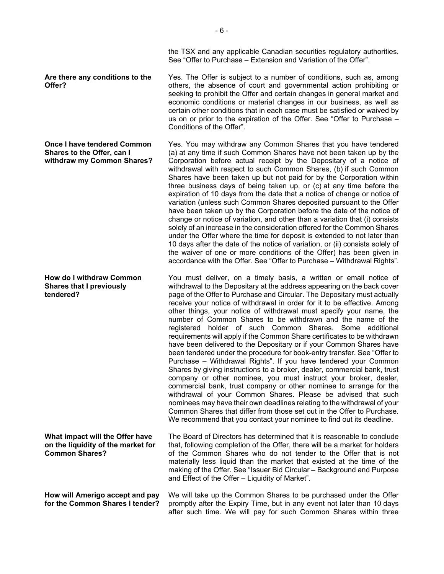**Are there any conditions to the Offer?** 

**Once I have tendered Common Shares to the Offer, can I withdraw my Common Shares?** 

**How do I withdraw Common Shares that I previously tendered?** 

**What impact will the Offer have on the liquidity of the market for Common Shares?** 

The Board of Directors has determined that it is reasonable to conclude that, following completion of the Offer, there will be a market for holders of the Common Shares who do not tender to the Offer that is not materially less liquid than the market that existed at the time of the making of the Offer. See "Issuer Bid Circular – Background and Purpose and Effect of the Offer – Liquidity of Market".

**How will Amerigo accept and pay for the Common Shares I tender?** 

We will take up the Common Shares to be purchased under the Offer promptly after the Expiry Time, but in any event not later than 10 days after such time. We will pay for such Common Shares within three

the TSX and any applicable Canadian securities regulatory authorities. See "Offer to Purchase – Extension and Variation of the Offer".

Yes. The Offer is subject to a number of conditions, such as, among others, the absence of court and governmental action prohibiting or seeking to prohibit the Offer and certain changes in general market and economic conditions or material changes in our business, as well as certain other conditions that in each case must be satisfied or waived by us on or prior to the expiration of the Offer. See "Offer to Purchase – Conditions of the Offer".

Yes. You may withdraw any Common Shares that you have tendered (a) at any time if such Common Shares have not been taken up by the Corporation before actual receipt by the Depositary of a notice of withdrawal with respect to such Common Shares, (b) if such Common Shares have been taken up but not paid for by the Corporation within three business days of being taken up, or (c) at any time before the expiration of 10 days from the date that a notice of change or notice of variation (unless such Common Shares deposited pursuant to the Offer have been taken up by the Corporation before the date of the notice of change or notice of variation, and other than a variation that (i) consists solely of an increase in the consideration offered for the Common Shares under the Offer where the time for deposit is extended to not later than 10 days after the date of the notice of variation, or (ii) consists solely of the waiver of one or more conditions of the Offer) has been given in accordance with the Offer. See "Offer to Purchase – Withdrawal Rights".

You must deliver, on a timely basis, a written or email notice of withdrawal to the Depositary at the address appearing on the back cover page of the Offer to Purchase and Circular. The Depositary must actually receive your notice of withdrawal in order for it to be effective. Among other things, your notice of withdrawal must specify your name, the number of Common Shares to be withdrawn and the name of the registered holder of such Common Shares. Some additional requirements will apply if the Common Share certificates to be withdrawn have been delivered to the Depositary or if your Common Shares have been tendered under the procedure for book-entry transfer. See "Offer to Purchase – Withdrawal Rights". If you have tendered your Common Shares by giving instructions to a broker, dealer, commercial bank, trust company or other nominee, you must instruct your broker, dealer, commercial bank, trust company or other nominee to arrange for the withdrawal of your Common Shares. Please be advised that such nominees may have their own deadlines relating to the withdrawal of your Common Shares that differ from those set out in the Offer to Purchase. We recommend that you contact your nominee to find out its deadline.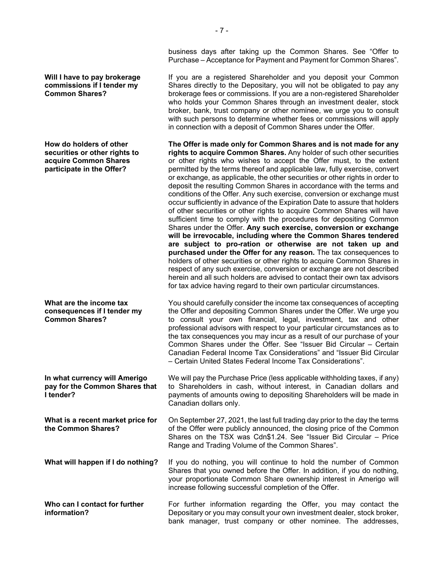**Will I have to pay brokerage commissions if I tender my Common Shares?** 

**How do holders of other securities or other rights to acquire Common Shares participate in the Offer?** 

**What are the income tax consequences if I tender my Common Shares?** 

**In what currency will Amerigo pay for the Common Shares that I tender?** 

**What is a recent market price for the Common Shares?** 

On September 27, 2021, the last full trading day prior to the day the terms of the Offer were publicly announced, the closing price of the Common Shares on the TSX was Cdn\$1.24. See "Issuer Bid Circular – Price Range and Trading Volume of the Common Shares".

**What will happen if I do nothing?** If you do nothing, you will continue to hold the number of Common Shares that you owned before the Offer. In addition, if you do nothing, your proportionate Common Share ownership interest in Amerigo will increase following successful completion of the Offer.

Canadian dollars only.

**Who can I contact for further information?**  For further information regarding the Offer, you may contact the Depositary or you may consult your own investment dealer, stock broker, bank manager, trust company or other nominee. The addresses,

business days after taking up the Common Shares. See "Offer to Purchase – Acceptance for Payment and Payment for Common Shares".

If you are a registered Shareholder and you deposit your Common Shares directly to the Depositary, you will not be obligated to pay any brokerage fees or commissions. If you are a non-registered Shareholder who holds your Common Shares through an investment dealer, stock broker, bank, trust company or other nominee, we urge you to consult with such persons to determine whether fees or commissions will apply in connection with a deposit of Common Shares under the Offer.

**The Offer is made only for Common Shares and is not made for any rights to acquire Common Shares.** Any holder of such other securities or other rights who wishes to accept the Offer must, to the extent permitted by the terms thereof and applicable law, fully exercise, convert or exchange, as applicable, the other securities or other rights in order to deposit the resulting Common Shares in accordance with the terms and conditions of the Offer. Any such exercise, conversion or exchange must occur sufficiently in advance of the Expiration Date to assure that holders of other securities or other rights to acquire Common Shares will have sufficient time to comply with the procedures for depositing Common Shares under the Offer. **Any such exercise, conversion or exchange will be irrevocable, including where the Common Shares tendered are subject to pro-ration or otherwise are not taken up and purchased under the Offer for any reason.** The tax consequences to holders of other securities or other rights to acquire Common Shares in respect of any such exercise, conversion or exchange are not described herein and all such holders are advised to contact their own tax advisors for tax advice having regard to their own particular circumstances.

You should carefully consider the income tax consequences of accepting the Offer and depositing Common Shares under the Offer. We urge you to consult your own financial, legal, investment, tax and other professional advisors with respect to your particular circumstances as to the tax consequences you may incur as a result of our purchase of your Common Shares under the Offer. See "Issuer Bid Circular – Certain Canadian Federal Income Tax Considerations" and "Issuer Bid Circular – Certain United States Federal Income Tax Considerations".

We will pay the Purchase Price (less applicable withholding taxes, if any) to Shareholders in cash, without interest, in Canadian dollars and payments of amounts owing to depositing Shareholders will be made in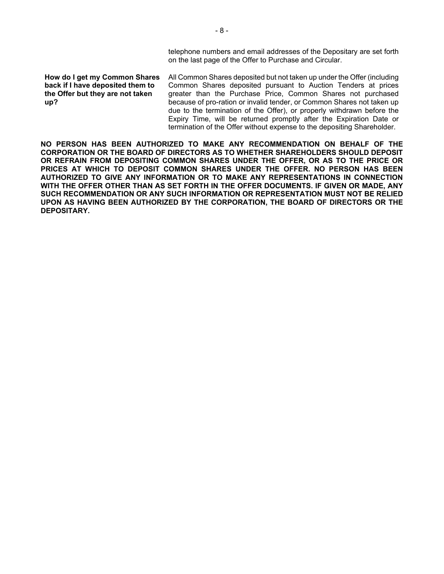telephone numbers and email addresses of the Depositary are set forth on the last page of the Offer to Purchase and Circular.

**How do I get my Common Shares back if I have deposited them to the Offer but they are not taken up?** 

All Common Shares deposited but not taken up under the Offer (including Common Shares deposited pursuant to Auction Tenders at prices greater than the Purchase Price, Common Shares not purchased because of pro-ration or invalid tender, or Common Shares not taken up due to the termination of the Offer), or properly withdrawn before the Expiry Time, will be returned promptly after the Expiration Date or termination of the Offer without expense to the depositing Shareholder.

**NO PERSON HAS BEEN AUTHORIZED TO MAKE ANY RECOMMENDATION ON BEHALF OF THE CORPORATION OR THE BOARD OF DIRECTORS AS TO WHETHER SHAREHOLDERS SHOULD DEPOSIT OR REFRAIN FROM DEPOSITING COMMON SHARES UNDER THE OFFER, OR AS TO THE PRICE OR PRICES AT WHICH TO DEPOSIT COMMON SHARES UNDER THE OFFER. NO PERSON HAS BEEN AUTHORIZED TO GIVE ANY INFORMATION OR TO MAKE ANY REPRESENTATIONS IN CONNECTION WITH THE OFFER OTHER THAN AS SET FORTH IN THE OFFER DOCUMENTS. IF GIVEN OR MADE, ANY SUCH RECOMMENDATION OR ANY SUCH INFORMATION OR REPRESENTATION MUST NOT BE RELIED UPON AS HAVING BEEN AUTHORIZED BY THE CORPORATION, THE BOARD OF DIRECTORS OR THE DEPOSITARY.**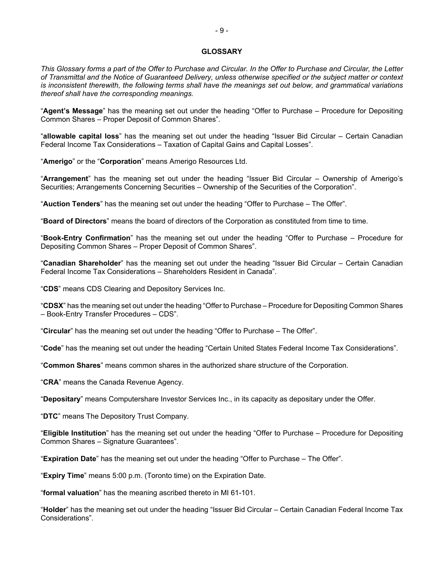## **GLOSSARY**

*This Glossary forms a part of the Offer to Purchase and Circular. In the Offer to Purchase and Circular, the Letter of Transmittal and the Notice of Guaranteed Delivery, unless otherwise specified or the subject matter or context is inconsistent therewith, the following terms shall have the meanings set out below, and grammatical variations thereof shall have the corresponding meanings.* 

"**Agent's Message**" has the meaning set out under the heading "Offer to Purchase – Procedure for Depositing Common Shares – Proper Deposit of Common Shares".

"**allowable capital loss**" has the meaning set out under the heading "Issuer Bid Circular – Certain Canadian Federal Income Tax Considerations – Taxation of Capital Gains and Capital Losses".

"**Amerigo**" or the "**Corporation**" means Amerigo Resources Ltd.

"**Arrangement**" has the meaning set out under the heading "Issuer Bid Circular – Ownership of Amerigo's Securities; Arrangements Concerning Securities – Ownership of the Securities of the Corporation".

"**Auction Tenders**" has the meaning set out under the heading "Offer to Purchase – The Offer".

"**Board of Directors**" means the board of directors of the Corporation as constituted from time to time.

"**Book-Entry Confirmation**" has the meaning set out under the heading "Offer to Purchase – Procedure for Depositing Common Shares – Proper Deposit of Common Shares".

"**Canadian Shareholder**" has the meaning set out under the heading "Issuer Bid Circular – Certain Canadian Federal Income Tax Considerations – Shareholders Resident in Canada".

"**CDS**" means CDS Clearing and Depository Services Inc.

"**CDSX**" has the meaning set out under the heading "Offer to Purchase – Procedure for Depositing Common Shares – Book-Entry Transfer Procedures – CDS".

"**Circular**" has the meaning set out under the heading "Offer to Purchase – The Offer".

"**Code**" has the meaning set out under the heading "Certain United States Federal Income Tax Considerations".

"**Common Shares**" means common shares in the authorized share structure of the Corporation.

"**CRA**" means the Canada Revenue Agency.

"**Depositary**" means Computershare Investor Services Inc., in its capacity as depositary under the Offer.

"**DTC**" means The Depository Trust Company.

"**Eligible Institution**" has the meaning set out under the heading "Offer to Purchase – Procedure for Depositing Common Shares – Signature Guarantees".

"**Expiration Date**" has the meaning set out under the heading "Offer to Purchase – The Offer".

"**Expiry Time**" means 5:00 p.m. (Toronto time) on the Expiration Date.

"**formal valuation**" has the meaning ascribed thereto in MI 61-101.

"**Holder**" has the meaning set out under the heading "Issuer Bid Circular – Certain Canadian Federal Income Tax Considerations".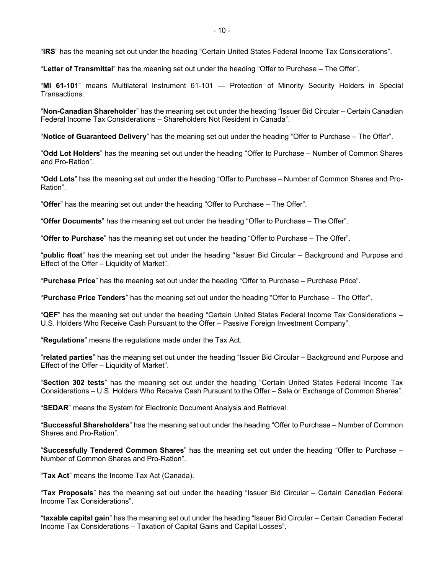"**IRS**" has the meaning set out under the heading "Certain United States Federal Income Tax Considerations".

"**Letter of Transmittal**" has the meaning set out under the heading "Offer to Purchase – The Offer".

"**MI 61-101**" means Multilateral Instrument 61-101 — Protection of Minority Security Holders in Special Transactions.

"**Non-Canadian Shareholder**" has the meaning set out under the heading "Issuer Bid Circular – Certain Canadian Federal Income Tax Considerations – Shareholders Not Resident in Canada".

"**Notice of Guaranteed Delivery**" has the meaning set out under the heading "Offer to Purchase – The Offer".

"**Odd Lot Holders**" has the meaning set out under the heading "Offer to Purchase – Number of Common Shares and Pro-Ration".

"**Odd Lots**" has the meaning set out under the heading "Offer to Purchase – Number of Common Shares and Pro-Ration".

"**Offer**" has the meaning set out under the heading "Offer to Purchase – The Offer".

"**Offer Documents**" has the meaning set out under the heading "Offer to Purchase – The Offer".

"**Offer to Purchase**" has the meaning set out under the heading "Offer to Purchase – The Offer".

"**public float**" has the meaning set out under the heading "Issuer Bid Circular – Background and Purpose and Effect of the Offer – Liquidity of Market".

"**Purchase Price**" has the meaning set out under the heading "Offer to Purchase – Purchase Price".

"**Purchase Price Tenders**" has the meaning set out under the heading "Offer to Purchase – The Offer".

"**QEF**" has the meaning set out under the heading "Certain United States Federal Income Tax Considerations – U.S. Holders Who Receive Cash Pursuant to the Offer – Passive Foreign Investment Company".

"**Regulations**" means the regulations made under the Tax Act.

"**related parties**" has the meaning set out under the heading "Issuer Bid Circular – Background and Purpose and Effect of the Offer – Liquidity of Market".

"**Section 302 tests**" has the meaning set out under the heading "Certain United States Federal Income Tax Considerations – U.S. Holders Who Receive Cash Pursuant to the Offer – Sale or Exchange of Common Shares".

"**SEDAR**" means the System for Electronic Document Analysis and Retrieval.

"**Successful Shareholders**" has the meaning set out under the heading "Offer to Purchase – Number of Common Shares and Pro-Ration".

"**Successfully Tendered Common Shares**" has the meaning set out under the heading "Offer to Purchase – Number of Common Shares and Pro-Ration".

"**Tax Act**" means the Income Tax Act (Canada).

"**Tax Proposals**" has the meaning set out under the heading "Issuer Bid Circular – Certain Canadian Federal Income Tax Considerations".

"**taxable capital gain**" has the meaning set out under the heading "Issuer Bid Circular – Certain Canadian Federal Income Tax Considerations – Taxation of Capital Gains and Capital Losses".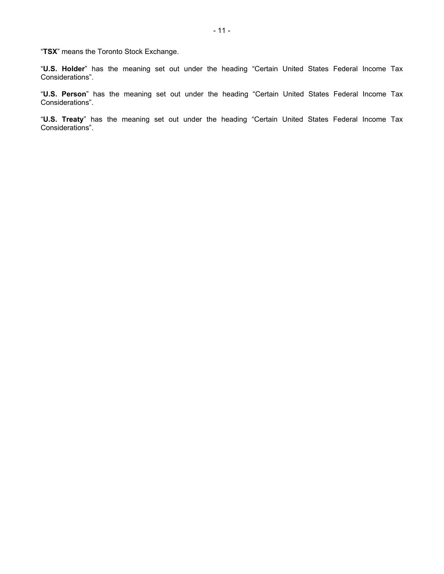"**TSX**" means the Toronto Stock Exchange.

"**U.S. Holder**" has the meaning set out under the heading "Certain United States Federal Income Tax Considerations".

"**U.S. Person**" has the meaning set out under the heading "Certain United States Federal Income Tax Considerations".

"**U.S. Treaty**" has the meaning set out under the heading "Certain United States Federal Income Tax Considerations".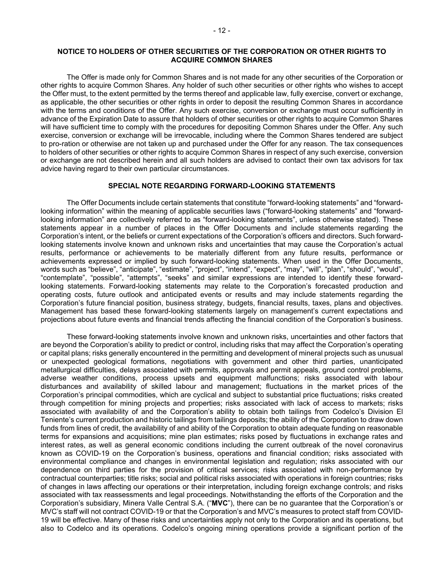The Offer is made only for Common Shares and is not made for any other securities of the Corporation or other rights to acquire Common Shares. Any holder of such other securities or other rights who wishes to accept the Offer must, to the extent permitted by the terms thereof and applicable law, fully exercise, convert or exchange, as applicable, the other securities or other rights in order to deposit the resulting Common Shares in accordance with the terms and conditions of the Offer. Any such exercise, conversion or exchange must occur sufficiently in advance of the Expiration Date to assure that holders of other securities or other rights to acquire Common Shares will have sufficient time to comply with the procedures for depositing Common Shares under the Offer. Any such exercise, conversion or exchange will be irrevocable, including where the Common Shares tendered are subject to pro-ration or otherwise are not taken up and purchased under the Offer for any reason. The tax consequences to holders of other securities or other rights to acquire Common Shares in respect of any such exercise, conversion or exchange are not described herein and all such holders are advised to contact their own tax advisors for tax advice having regard to their own particular circumstances.

# **SPECIAL NOTE REGARDING FORWARD-LOOKING STATEMENTS**

The Offer Documents include certain statements that constitute "forward-looking statements" and "forwardlooking information" within the meaning of applicable securities laws ("forward-looking statements" and "forwardlooking information" are collectively referred to as "forward-looking statements", unless otherwise stated). These statements appear in a number of places in the Offer Documents and include statements regarding the Corporation's intent, or the beliefs or current expectations of the Corporation's officers and directors. Such forwardlooking statements involve known and unknown risks and uncertainties that may cause the Corporation's actual results, performance or achievements to be materially different from any future results, performance or achievements expressed or implied by such forward-looking statements. When used in the Offer Documents, words such as "believe", "anticipate", "estimate", "project", "intend", "expect", "may", "will", "plan", "should", "would", "contemplate", "possible", "attempts", "seeks" and similar expressions are intended to identify these forwardlooking statements. Forward-looking statements may relate to the Corporation's forecasted production and operating costs, future outlook and anticipated events or results and may include statements regarding the Corporation's future financial position, business strategy, budgets, financial results, taxes, plans and objectives. Management has based these forward-looking statements largely on management's current expectations and projections about future events and financial trends affecting the financial condition of the Corporation's business.

These forward-looking statements involve known and unknown risks, uncertainties and other factors that are beyond the Corporation's ability to predict or control, including risks that may affect the Corporation's operating or capital plans; risks generally encountered in the permitting and development of mineral projects such as unusual or unexpected geological formations, negotiations with government and other third parties, unanticipated metallurgical difficulties, delays associated with permits, approvals and permit appeals, ground control problems, adverse weather conditions, process upsets and equipment malfunctions; risks associated with labour disturbances and availability of skilled labour and management; fluctuations in the market prices of the Corporation's principal commodities, which are cyclical and subject to substantial price fluctuations; risks created through competition for mining projects and properties; risks associated with lack of access to markets; risks associated with availability of and the Corporation's ability to obtain both tailings from Codelco's Division El Teniente's current production and historic tailings from tailings deposits; the ability of the Corporation to draw down funds from lines of credit, the availability of and ability of the Corporation to obtain adequate funding on reasonable terms for expansions and acquisitions; mine plan estimates; risks posed by fluctuations in exchange rates and interest rates, as well as general economic conditions including the current outbreak of the novel coronavirus known as COVID-19 on the Corporation's business, operations and financial condition; risks associated with environmental compliance and changes in environmental legislation and regulation; risks associated with our dependence on third parties for the provision of critical services; risks associated with non-performance by contractual counterparties; title risks; social and political risks associated with operations in foreign countries; risks of changes in laws affecting our operations or their interpretation, including foreign exchange controls; and risks associated with tax reassessments and legal proceedings. Notwithstanding the efforts of the Corporation and the Corporation's subsidiary, Minera Valle Central S.A. ("**MVC**"), there can be no guarantee that the Corporation's or MVC's staff will not contract COVID-19 or that the Corporation's and MVC's measures to protect staff from COVID-19 will be effective. Many of these risks and uncertainties apply not only to the Corporation and its operations, but also to Codelco and its operations. Codelco's ongoing mining operations provide a significant portion of the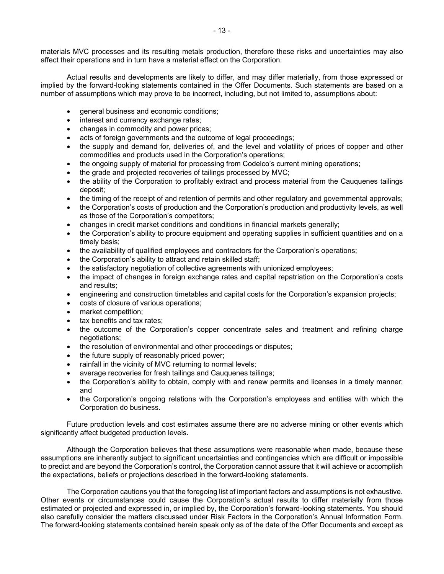materials MVC processes and its resulting metals production, therefore these risks and uncertainties may also affect their operations and in turn have a material effect on the Corporation.

Actual results and developments are likely to differ, and may differ materially, from those expressed or implied by the forward-looking statements contained in the Offer Documents. Such statements are based on a number of assumptions which may prove to be incorrect, including, but not limited to, assumptions about:

- general business and economic conditions;
- interest and currency exchange rates;
- changes in commodity and power prices;
- acts of foreign governments and the outcome of legal proceedings;
- the supply and demand for, deliveries of, and the level and volatility of prices of copper and other commodities and products used in the Corporation's operations;
- the ongoing supply of material for processing from Codelco's current mining operations;
- the grade and projected recoveries of tailings processed by MVC;
- the ability of the Corporation to profitably extract and process material from the Cauquenes tailings deposit;
- the timing of the receipt of and retention of permits and other regulatory and governmental approvals;
- the Corporation's costs of production and the Corporation's production and productivity levels, as well as those of the Corporation's competitors;
- changes in credit market conditions and conditions in financial markets generally;
- the Corporation's ability to procure equipment and operating supplies in sufficient quantities and on a timely basis;
- the availability of qualified employees and contractors for the Corporation's operations;
- the Corporation's ability to attract and retain skilled staff;
- the satisfactory negotiation of collective agreements with unionized employees;
- the impact of changes in foreign exchange rates and capital repatriation on the Corporation's costs and results;
- engineering and construction timetables and capital costs for the Corporation's expansion projects;
- costs of closure of various operations;
- market competition;
- tax benefits and tax rates;
- the outcome of the Corporation's copper concentrate sales and treatment and refining charge negotiations;
- the resolution of environmental and other proceedings or disputes;
- the future supply of reasonably priced power;
- rainfall in the vicinity of MVC returning to normal levels;
- average recoveries for fresh tailings and Cauquenes tailings;
- the Corporation's ability to obtain, comply with and renew permits and licenses in a timely manner; and
- the Corporation's ongoing relations with the Corporation's employees and entities with which the Corporation do business.

Future production levels and cost estimates assume there are no adverse mining or other events which significantly affect budgeted production levels.

Although the Corporation believes that these assumptions were reasonable when made, because these assumptions are inherently subject to significant uncertainties and contingencies which are difficult or impossible to predict and are beyond the Corporation's control, the Corporation cannot assure that it will achieve or accomplish the expectations, beliefs or projections described in the forward-looking statements.

The Corporation cautions you that the foregoing list of important factors and assumptions is not exhaustive. Other events or circumstances could cause the Corporation's actual results to differ materially from those estimated or projected and expressed in, or implied by, the Corporation's forward-looking statements. You should also carefully consider the matters discussed under Risk Factors in the Corporation's Annual Information Form. The forward-looking statements contained herein speak only as of the date of the Offer Documents and except as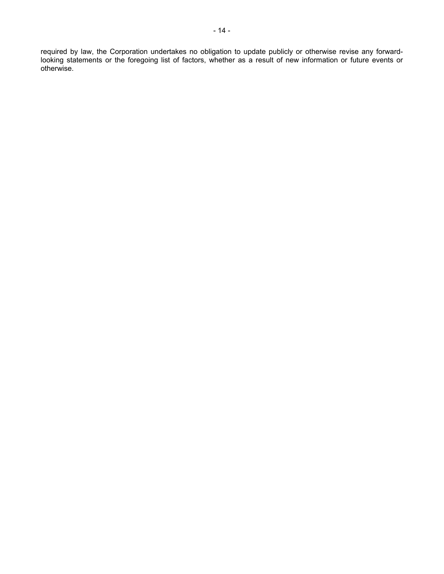required by law, the Corporation undertakes no obligation to update publicly or otherwise revise any forwardlooking statements or the foregoing list of factors, whether as a result of new information or future events or otherwise.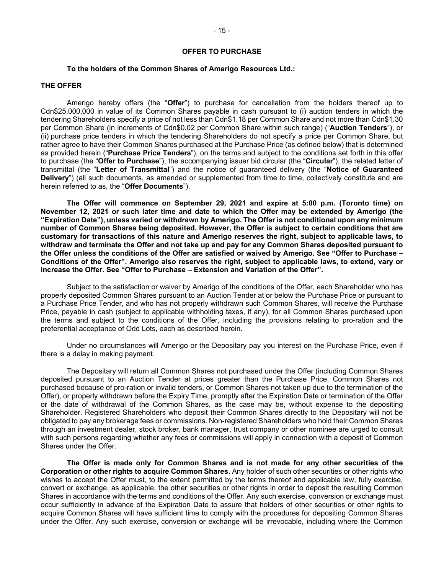#### **OFFER TO PURCHASE**

#### **To the holders of the Common Shares of Amerigo Resources Ltd.:**

#### **THE OFFER**

Amerigo hereby offers (the "**Offer**") to purchase for cancellation from the holders thereof up to Cdn\$25,000,000 in value of its Common Shares payable in cash pursuant to (i) auction tenders in which the tendering Shareholders specify a price of not less than Cdn\$1.18 per Common Share and not more than Cdn\$1.30 per Common Share (in increments of Cdn\$0.02 per Common Share within such range) ("**Auction Tenders**"), or (ii) purchase price tenders in which the tendering Shareholders do not specify a price per Common Share, but rather agree to have their Common Shares purchased at the Purchase Price (as defined below) that is determined as provided herein ("**Purchase Price Tenders**"), on the terms and subject to the conditions set forth in this offer to purchase (the "**Offer to Purchase**"), the accompanying issuer bid circular (the "**Circular**"), the related letter of transmittal (the "**Letter of Transmittal**") and the notice of guaranteed delivery (the "**Notice of Guaranteed Delivery**") (all such documents, as amended or supplemented from time to time, collectively constitute and are herein referred to as, the "**Offer Documents**").

**The Offer will commence on September 29, 2021 and expire at 5:00 p.m. (Toronto time) on November 12, 2021 or such later time and date to which the Offer may be extended by Amerigo (the "Expiration Date"), unless varied or withdrawn by Amerigo. The Offer is not conditional upon any minimum number of Common Shares being deposited. However, the Offer is subject to certain conditions that are customary for transactions of this nature and Amerigo reserves the right, subject to applicable laws, to withdraw and terminate the Offer and not take up and pay for any Common Shares deposited pursuant to the Offer unless the conditions of the Offer are satisfied or waived by Amerigo. See "Offer to Purchase – Conditions of the Offer". Amerigo also reserves the right, subject to applicable laws, to extend, vary or increase the Offer. See "Offer to Purchase – Extension and Variation of the Offer".** 

Subject to the satisfaction or waiver by Amerigo of the conditions of the Offer, each Shareholder who has properly deposited Common Shares pursuant to an Auction Tender at or below the Purchase Price or pursuant to a Purchase Price Tender, and who has not properly withdrawn such Common Shares, will receive the Purchase Price, payable in cash (subject to applicable withholding taxes, if any), for all Common Shares purchased upon the terms and subject to the conditions of the Offer, including the provisions relating to pro-ration and the preferential acceptance of Odd Lots, each as described herein.

Under no circumstances will Amerigo or the Depositary pay you interest on the Purchase Price, even if there is a delay in making payment.

The Depositary will return all Common Shares not purchased under the Offer (including Common Shares deposited pursuant to an Auction Tender at prices greater than the Purchase Price, Common Shares not purchased because of pro-ration or invalid tenders, or Common Shares not taken up due to the termination of the Offer), or properly withdrawn before the Expiry Time, promptly after the Expiration Date or termination of the Offer or the date of withdrawal of the Common Shares, as the case may be, without expense to the depositing Shareholder. Registered Shareholders who deposit their Common Shares directly to the Depositary will not be obligated to pay any brokerage fees or commissions. Non-registered Shareholders who hold their Common Shares through an investment dealer, stock broker, bank manager, trust company or other nominee are urged to consult with such persons regarding whether any fees or commissions will apply in connection with a deposit of Common Shares under the Offer.

**The Offer is made only for Common Shares and is not made for any other securities of the Corporation or other rights to acquire Common Shares.** Any holder of such other securities or other rights who wishes to accept the Offer must, to the extent permitted by the terms thereof and applicable law, fully exercise, convert or exchange, as applicable, the other securities or other rights in order to deposit the resulting Common Shares in accordance with the terms and conditions of the Offer. Any such exercise, conversion or exchange must occur sufficiently in advance of the Expiration Date to assure that holders of other securities or other rights to acquire Common Shares will have sufficient time to comply with the procedures for depositing Common Shares under the Offer. Any such exercise, conversion or exchange will be irrevocable, including where the Common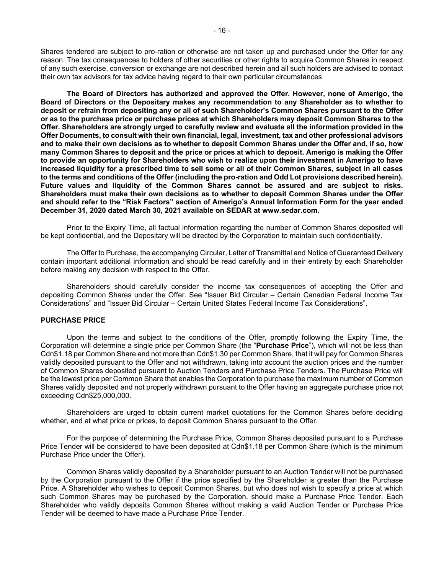Shares tendered are subject to pro-ration or otherwise are not taken up and purchased under the Offer for any reason. The tax consequences to holders of other securities or other rights to acquire Common Shares in respect of any such exercise, conversion or exchange are not described herein and all such holders are advised to contact their own tax advisors for tax advice having regard to their own particular circumstances

**The Board of Directors has authorized and approved the Offer. However, none of Amerigo, the Board of Directors or the Depositary makes any recommendation to any Shareholder as to whether to deposit or refrain from depositing any or all of such Shareholder's Common Shares pursuant to the Offer or as to the purchase price or purchase prices at which Shareholders may deposit Common Shares to the Offer. Shareholders are strongly urged to carefully review and evaluate all the information provided in the Offer Documents, to consult with their own financial, legal, investment, tax and other professional advisors and to make their own decisions as to whether to deposit Common Shares under the Offer and, if so, how many Common Shares to deposit and the price or prices at which to deposit. Amerigo is making the Offer to provide an opportunity for Shareholders who wish to realize upon their investment in Amerigo to have increased liquidity for a prescribed time to sell some or all of their Common Shares, subject in all cases to the terms and conditions of the Offer (including the pro-ration and Odd Lot provisions described herein). Future values and liquidity of the Common Shares cannot be assured and are subject to risks. Shareholders must make their own decisions as to whether to deposit Common Shares under the Offer and should refer to the "Risk Factors" section of Amerigo's Annual Information Form for the year ended December 31, 2020 dated March 30, 2021 available on SEDAR at www.sedar.com.** 

Prior to the Expiry Time, all factual information regarding the number of Common Shares deposited will be kept confidential, and the Depositary will be directed by the Corporation to maintain such confidentiality.

The Offer to Purchase, the accompanying Circular, Letter of Transmittal and Notice of Guaranteed Delivery contain important additional information and should be read carefully and in their entirety by each Shareholder before making any decision with respect to the Offer.

Shareholders should carefully consider the income tax consequences of accepting the Offer and depositing Common Shares under the Offer. See "Issuer Bid Circular – Certain Canadian Federal Income Tax Considerations" and "Issuer Bid Circular – Certain United States Federal Income Tax Considerations".

# **PURCHASE PRICE**

Upon the terms and subject to the conditions of the Offer, promptly following the Expiry Time, the Corporation will determine a single price per Common Share (the "**Purchase Price**"), which will not be less than Cdn\$1.18 per Common Share and not more than Cdn\$1.30 per Common Share, that it will pay for Common Shares validly deposited pursuant to the Offer and not withdrawn, taking into account the auction prices and the number of Common Shares deposited pursuant to Auction Tenders and Purchase Price Tenders. The Purchase Price will be the lowest price per Common Share that enables the Corporation to purchase the maximum number of Common Shares validly deposited and not properly withdrawn pursuant to the Offer having an aggregate purchase price not exceeding Cdn\$25,000,000.

Shareholders are urged to obtain current market quotations for the Common Shares before deciding whether, and at what price or prices, to deposit Common Shares pursuant to the Offer.

For the purpose of determining the Purchase Price, Common Shares deposited pursuant to a Purchase Price Tender will be considered to have been deposited at Cdn\$1.18 per Common Share (which is the minimum Purchase Price under the Offer).

Common Shares validly deposited by a Shareholder pursuant to an Auction Tender will not be purchased by the Corporation pursuant to the Offer if the price specified by the Shareholder is greater than the Purchase Price. A Shareholder who wishes to deposit Common Shares, but who does not wish to specify a price at which such Common Shares may be purchased by the Corporation, should make a Purchase Price Tender. Each Shareholder who validly deposits Common Shares without making a valid Auction Tender or Purchase Price Tender will be deemed to have made a Purchase Price Tender.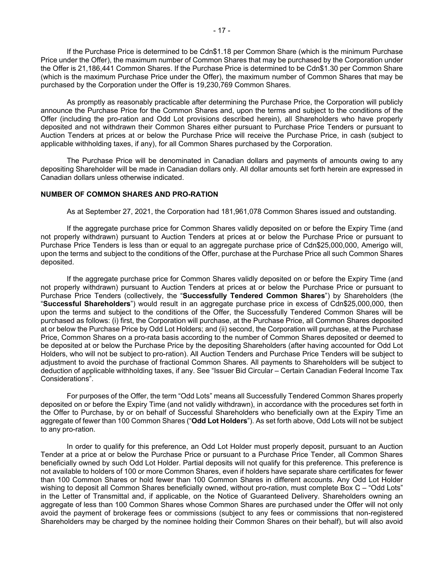If the Purchase Price is determined to be Cdn\$1.18 per Common Share (which is the minimum Purchase Price under the Offer), the maximum number of Common Shares that may be purchased by the Corporation under the Offer is 21,186,441 Common Shares. If the Purchase Price is determined to be Cdn\$1.30 per Common Share (which is the maximum Purchase Price under the Offer), the maximum number of Common Shares that may be purchased by the Corporation under the Offer is 19,230,769 Common Shares.

As promptly as reasonably practicable after determining the Purchase Price, the Corporation will publicly announce the Purchase Price for the Common Shares and, upon the terms and subject to the conditions of the Offer (including the pro-ration and Odd Lot provisions described herein), all Shareholders who have properly deposited and not withdrawn their Common Shares either pursuant to Purchase Price Tenders or pursuant to Auction Tenders at prices at or below the Purchase Price will receive the Purchase Price, in cash (subject to applicable withholding taxes, if any), for all Common Shares purchased by the Corporation.

The Purchase Price will be denominated in Canadian dollars and payments of amounts owing to any depositing Shareholder will be made in Canadian dollars only. All dollar amounts set forth herein are expressed in Canadian dollars unless otherwise indicated.

#### **NUMBER OF COMMON SHARES AND PRO-RATION**

As at September 27, 2021, the Corporation had 181,961,078 Common Shares issued and outstanding.

If the aggregate purchase price for Common Shares validly deposited on or before the Expiry Time (and not properly withdrawn) pursuant to Auction Tenders at prices at or below the Purchase Price or pursuant to Purchase Price Tenders is less than or equal to an aggregate purchase price of Cdn\$25,000,000, Amerigo will, upon the terms and subject to the conditions of the Offer, purchase at the Purchase Price all such Common Shares deposited.

If the aggregate purchase price for Common Shares validly deposited on or before the Expiry Time (and not properly withdrawn) pursuant to Auction Tenders at prices at or below the Purchase Price or pursuant to Purchase Price Tenders (collectively, the "**Successfully Tendered Common Shares**") by Shareholders (the "**Successful Shareholders**") would result in an aggregate purchase price in excess of Cdn\$25,000,000, then upon the terms and subject to the conditions of the Offer, the Successfully Tendered Common Shares will be purchased as follows: (i) first, the Corporation will purchase, at the Purchase Price, all Common Shares deposited at or below the Purchase Price by Odd Lot Holders; and (ii) second, the Corporation will purchase, at the Purchase Price, Common Shares on a pro-rata basis according to the number of Common Shares deposited or deemed to be deposited at or below the Purchase Price by the depositing Shareholders (after having accounted for Odd Lot Holders, who will not be subject to pro-ration). All Auction Tenders and Purchase Price Tenders will be subject to adjustment to avoid the purchase of fractional Common Shares. All payments to Shareholders will be subject to deduction of applicable withholding taxes, if any. See "Issuer Bid Circular – Certain Canadian Federal Income Tax Considerations".

For purposes of the Offer, the term "Odd Lots" means all Successfully Tendered Common Shares properly deposited on or before the Expiry Time (and not validly withdrawn), in accordance with the procedures set forth in the Offer to Purchase, by or on behalf of Successful Shareholders who beneficially own at the Expiry Time an aggregate of fewer than 100 Common Shares ("**Odd Lot Holders**"). As set forth above, Odd Lots will not be subject to any pro-ration.

In order to qualify for this preference, an Odd Lot Holder must properly deposit, pursuant to an Auction Tender at a price at or below the Purchase Price or pursuant to a Purchase Price Tender, all Common Shares beneficially owned by such Odd Lot Holder. Partial deposits will not qualify for this preference. This preference is not available to holders of 100 or more Common Shares, even if holders have separate share certificates for fewer than 100 Common Shares or hold fewer than 100 Common Shares in different accounts. Any Odd Lot Holder wishing to deposit all Common Shares beneficially owned, without pro-ration, must complete Box C – "Odd Lots" in the Letter of Transmittal and, if applicable, on the Notice of Guaranteed Delivery. Shareholders owning an aggregate of less than 100 Common Shares whose Common Shares are purchased under the Offer will not only avoid the payment of brokerage fees or commissions (subject to any fees or commissions that non-registered Shareholders may be charged by the nominee holding their Common Shares on their behalf), but will also avoid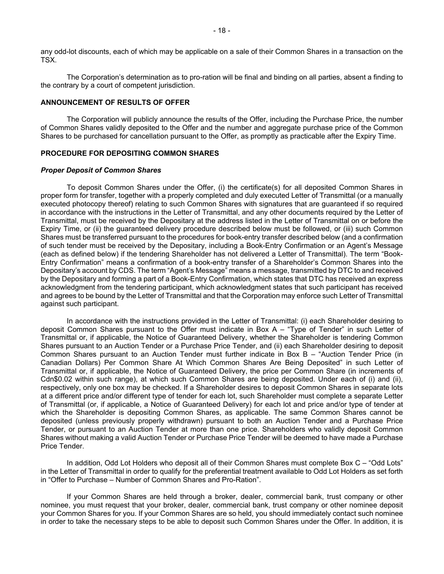any odd-lot discounts, each of which may be applicable on a sale of their Common Shares in a transaction on the TSX.

The Corporation's determination as to pro-ration will be final and binding on all parties, absent a finding to the contrary by a court of competent jurisdiction.

#### **ANNOUNCEMENT OF RESULTS OF OFFER**

The Corporation will publicly announce the results of the Offer, including the Purchase Price, the number of Common Shares validly deposited to the Offer and the number and aggregate purchase price of the Common Shares to be purchased for cancellation pursuant to the Offer, as promptly as practicable after the Expiry Time.

#### **PROCEDURE FOR DEPOSITING COMMON SHARES**

#### *Proper Deposit of Common Shares*

To deposit Common Shares under the Offer, (i) the certificate(s) for all deposited Common Shares in proper form for transfer, together with a properly completed and duly executed Letter of Transmittal (or a manually executed photocopy thereof) relating to such Common Shares with signatures that are guaranteed if so required in accordance with the instructions in the Letter of Transmittal, and any other documents required by the Letter of Transmittal, must be received by the Depositary at the address listed in the Letter of Transmittal on or before the Expiry Time, or (ii) the guaranteed delivery procedure described below must be followed, or (iii) such Common Shares must be transferred pursuant to the procedures for book-entry transfer described below (and a confirmation of such tender must be received by the Depositary, including a Book-Entry Confirmation or an Agent's Message (each as defined below) if the tendering Shareholder has not delivered a Letter of Transmittal). The term "Book-Entry Confirmation" means a confirmation of a book-entry transfer of a Shareholder's Common Shares into the Depositary's account by CDS. The term "Agent's Message" means a message, transmitted by DTC to and received by the Depositary and forming a part of a Book-Entry Confirmation, which states that DTC has received an express acknowledgment from the tendering participant, which acknowledgment states that such participant has received and agrees to be bound by the Letter of Transmittal and that the Corporation may enforce such Letter of Transmittal against such participant.

In accordance with the instructions provided in the Letter of Transmittal: (i) each Shareholder desiring to deposit Common Shares pursuant to the Offer must indicate in Box A – "Type of Tender" in such Letter of Transmittal or, if applicable, the Notice of Guaranteed Delivery, whether the Shareholder is tendering Common Shares pursuant to an Auction Tender or a Purchase Price Tender, and (ii) each Shareholder desiring to deposit Common Shares pursuant to an Auction Tender must further indicate in Box B – "Auction Tender Price (in Canadian Dollars) Per Common Share At Which Common Shares Are Being Deposited" in such Letter of Transmittal or, if applicable, the Notice of Guaranteed Delivery, the price per Common Share (in increments of Cdn\$0.02 within such range), at which such Common Shares are being deposited. Under each of (i) and (ii), respectively, only one box may be checked. If a Shareholder desires to deposit Common Shares in separate lots at a different price and/or different type of tender for each lot, such Shareholder must complete a separate Letter of Transmittal (or, if applicable, a Notice of Guaranteed Delivery) for each lot and price and/or type of tender at which the Shareholder is depositing Common Shares, as applicable. The same Common Shares cannot be deposited (unless previously properly withdrawn) pursuant to both an Auction Tender and a Purchase Price Tender, or pursuant to an Auction Tender at more than one price. Shareholders who validly deposit Common Shares without making a valid Auction Tender or Purchase Price Tender will be deemed to have made a Purchase Price Tender.

In addition, Odd Lot Holders who deposit all of their Common Shares must complete Box C – "Odd Lots" in the Letter of Transmittal in order to qualify for the preferential treatment available to Odd Lot Holders as set forth in "Offer to Purchase – Number of Common Shares and Pro-Ration".

If your Common Shares are held through a broker, dealer, commercial bank, trust company or other nominee, you must request that your broker, dealer, commercial bank, trust company or other nominee deposit your Common Shares for you. If your Common Shares are so held, you should immediately contact such nominee in order to take the necessary steps to be able to deposit such Common Shares under the Offer. In addition, it is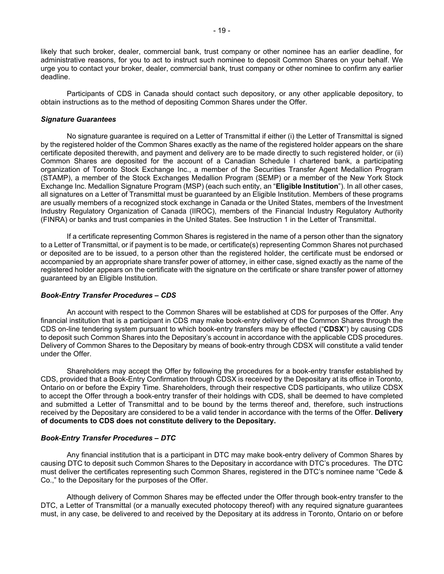likely that such broker, dealer, commercial bank, trust company or other nominee has an earlier deadline, for administrative reasons, for you to act to instruct such nominee to deposit Common Shares on your behalf. We urge you to contact your broker, dealer, commercial bank, trust company or other nominee to confirm any earlier deadline.

Participants of CDS in Canada should contact such depository, or any other applicable depository, to obtain instructions as to the method of depositing Common Shares under the Offer.

#### *Signature Guarantees*

No signature guarantee is required on a Letter of Transmittal if either (i) the Letter of Transmittal is signed by the registered holder of the Common Shares exactly as the name of the registered holder appears on the share certificate deposited therewith, and payment and delivery are to be made directly to such registered holder, or (ii) Common Shares are deposited for the account of a Canadian Schedule I chartered bank, a participating organization of Toronto Stock Exchange Inc., a member of the Securities Transfer Agent Medallion Program (STAMP), a member of the Stock Exchanges Medallion Program (SEMP) or a member of the New York Stock Exchange Inc. Medallion Signature Program (MSP) (each such entity, an "**Eligible Institution**"). In all other cases, all signatures on a Letter of Transmittal must be guaranteed by an Eligible Institution. Members of these programs are usually members of a recognized stock exchange in Canada or the United States, members of the Investment Industry Regulatory Organization of Canada (IIROC), members of the Financial Industry Regulatory Authority (FINRA) or banks and trust companies in the United States. See Instruction 1 in the Letter of Transmittal.

If a certificate representing Common Shares is registered in the name of a person other than the signatory to a Letter of Transmittal, or if payment is to be made, or certificate(s) representing Common Shares not purchased or deposited are to be issued, to a person other than the registered holder, the certificate must be endorsed or accompanied by an appropriate share transfer power of attorney, in either case, signed exactly as the name of the registered holder appears on the certificate with the signature on the certificate or share transfer power of attorney guaranteed by an Eligible Institution.

#### *Book-Entry Transfer Procedures – CDS*

An account with respect to the Common Shares will be established at CDS for purposes of the Offer. Any financial institution that is a participant in CDS may make book-entry delivery of the Common Shares through the CDS on-line tendering system pursuant to which book-entry transfers may be effected ("**CDSX**") by causing CDS to deposit such Common Shares into the Depositary's account in accordance with the applicable CDS procedures. Delivery of Common Shares to the Depositary by means of book-entry through CDSX will constitute a valid tender under the Offer.

Shareholders may accept the Offer by following the procedures for a book-entry transfer established by CDS, provided that a Book-Entry Confirmation through CDSX is received by the Depositary at its office in Toronto, Ontario on or before the Expiry Time. Shareholders, through their respective CDS participants, who utilize CDSX to accept the Offer through a book-entry transfer of their holdings with CDS, shall be deemed to have completed and submitted a Letter of Transmittal and to be bound by the terms thereof and, therefore, such instructions received by the Depositary are considered to be a valid tender in accordance with the terms of the Offer. **Delivery of documents to CDS does not constitute delivery to the Depositary.** 

#### *Book-Entry Transfer Procedures – DTC*

Any financial institution that is a participant in DTC may make book-entry delivery of Common Shares by causing DTC to deposit such Common Shares to the Depositary in accordance with DTC's procedures. The DTC must deliver the certificates representing such Common Shares, registered in the DTC's nominee name "Cede & Co.," to the Depositary for the purposes of the Offer.

Although delivery of Common Shares may be effected under the Offer through book-entry transfer to the DTC, a Letter of Transmittal (or a manually executed photocopy thereof) with any required signature guarantees must, in any case, be delivered to and received by the Depositary at its address in Toronto, Ontario on or before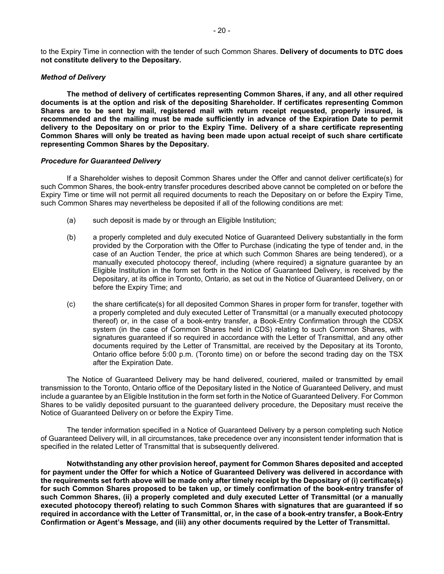to the Expiry Time in connection with the tender of such Common Shares. **Delivery of documents to DTC does not constitute delivery to the Depositary.**

#### *Method of Delivery*

**The method of delivery of certificates representing Common Shares, if any, and all other required documents is at the option and risk of the depositing Shareholder. If certificates representing Common Shares are to be sent by mail, registered mail with return receipt requested, properly insured, is recommended and the mailing must be made sufficiently in advance of the Expiration Date to permit delivery to the Depositary on or prior to the Expiry Time. Delivery of a share certificate representing Common Shares will only be treated as having been made upon actual receipt of such share certificate representing Common Shares by the Depositary.** 

#### *Procedure for Guaranteed Delivery*

If a Shareholder wishes to deposit Common Shares under the Offer and cannot deliver certificate(s) for such Common Shares, the book-entry transfer procedures described above cannot be completed on or before the Expiry Time or time will not permit all required documents to reach the Depositary on or before the Expiry Time, such Common Shares may nevertheless be deposited if all of the following conditions are met:

- (a) such deposit is made by or through an Eligible Institution;
- (b) a properly completed and duly executed Notice of Guaranteed Delivery substantially in the form provided by the Corporation with the Offer to Purchase (indicating the type of tender and, in the case of an Auction Tender, the price at which such Common Shares are being tendered), or a manually executed photocopy thereof, including (where required) a signature guarantee by an Eligible Institution in the form set forth in the Notice of Guaranteed Delivery, is received by the Depositary, at its office in Toronto, Ontario, as set out in the Notice of Guaranteed Delivery, on or before the Expiry Time; and
- (c) the share certificate(s) for all deposited Common Shares in proper form for transfer, together with a properly completed and duly executed Letter of Transmittal (or a manually executed photocopy thereof) or, in the case of a book-entry transfer, a Book-Entry Confirmation through the CDSX system (in the case of Common Shares held in CDS) relating to such Common Shares, with signatures guaranteed if so required in accordance with the Letter of Transmittal, and any other documents required by the Letter of Transmittal, are received by the Depositary at its Toronto, Ontario office before 5:00 p.m. (Toronto time) on or before the second trading day on the TSX after the Expiration Date.

The Notice of Guaranteed Delivery may be hand delivered, couriered, mailed or transmitted by email transmission to the Toronto, Ontario office of the Depositary listed in the Notice of Guaranteed Delivery, and must include a guarantee by an Eligible Institution in the form set forth in the Notice of Guaranteed Delivery. For Common Shares to be validly deposited pursuant to the guaranteed delivery procedure, the Depositary must receive the Notice of Guaranteed Delivery on or before the Expiry Time.

The tender information specified in a Notice of Guaranteed Delivery by a person completing such Notice of Guaranteed Delivery will, in all circumstances, take precedence over any inconsistent tender information that is specified in the related Letter of Transmittal that is subsequently delivered.

**Notwithstanding any other provision hereof, payment for Common Shares deposited and accepted for payment under the Offer for which a Notice of Guaranteed Delivery was delivered in accordance with the requirements set forth above will be made only after timely receipt by the Depositary of (i) certificate(s) for such Common Shares proposed to be taken up, or timely confirmation of the book-entry transfer of such Common Shares, (ii) a properly completed and duly executed Letter of Transmittal (or a manually executed photocopy thereof) relating to such Common Shares with signatures that are guaranteed if so required in accordance with the Letter of Transmittal, or, in the case of a book-entry transfer, a Book-Entry Confirmation or Agent's Message, and (iii) any other documents required by the Letter of Transmittal.**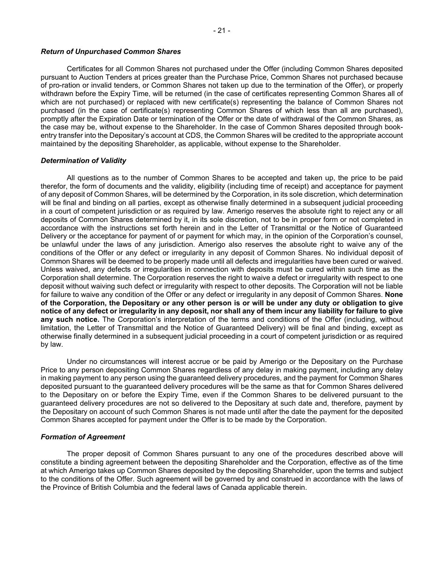#### *Return of Unpurchased Common Shares*

Certificates for all Common Shares not purchased under the Offer (including Common Shares deposited pursuant to Auction Tenders at prices greater than the Purchase Price, Common Shares not purchased because of pro-ration or invalid tenders, or Common Shares not taken up due to the termination of the Offer), or properly withdrawn before the Expiry Time, will be returned (in the case of certificates representing Common Shares all of which are not purchased) or replaced with new certificate(s) representing the balance of Common Shares not purchased (in the case of certificate(s) representing Common Shares of which less than all are purchased), promptly after the Expiration Date or termination of the Offer or the date of withdrawal of the Common Shares, as the case may be, without expense to the Shareholder. In the case of Common Shares deposited through bookentry transfer into the Depositary's account at CDS, the Common Shares will be credited to the appropriate account maintained by the depositing Shareholder, as applicable, without expense to the Shareholder.

#### *Determination of Validity*

All questions as to the number of Common Shares to be accepted and taken up, the price to be paid therefor, the form of documents and the validity, eligibility (including time of receipt) and acceptance for payment of any deposit of Common Shares, will be determined by the Corporation, in its sole discretion, which determination will be final and binding on all parties, except as otherwise finally determined in a subsequent judicial proceeding in a court of competent jurisdiction or as required by law. Amerigo reserves the absolute right to reject any or all deposits of Common Shares determined by it, in its sole discretion, not to be in proper form or not completed in accordance with the instructions set forth herein and in the Letter of Transmittal or the Notice of Guaranteed Delivery or the acceptance for payment of or payment for which may, in the opinion of the Corporation's counsel, be unlawful under the laws of any jurisdiction. Amerigo also reserves the absolute right to waive any of the conditions of the Offer or any defect or irregularity in any deposit of Common Shares. No individual deposit of Common Shares will be deemed to be properly made until all defects and irregularities have been cured or waived. Unless waived, any defects or irregularities in connection with deposits must be cured within such time as the Corporation shall determine. The Corporation reserves the right to waive a defect or irregularity with respect to one deposit without waiving such defect or irregularity with respect to other deposits. The Corporation will not be liable for failure to waive any condition of the Offer or any defect or irregularity in any deposit of Common Shares. **None of the Corporation, the Depositary or any other person is or will be under any duty or obligation to give notice of any defect or irregularity in any deposit, nor shall any of them incur any liability for failure to give any such notice.** The Corporation's interpretation of the terms and conditions of the Offer (including, without limitation, the Letter of Transmittal and the Notice of Guaranteed Delivery) will be final and binding, except as otherwise finally determined in a subsequent judicial proceeding in a court of competent jurisdiction or as required by law.

Under no circumstances will interest accrue or be paid by Amerigo or the Depositary on the Purchase Price to any person depositing Common Shares regardless of any delay in making payment, including any delay in making payment to any person using the guaranteed delivery procedures, and the payment for Common Shares deposited pursuant to the guaranteed delivery procedures will be the same as that for Common Shares delivered to the Depositary on or before the Expiry Time, even if the Common Shares to be delivered pursuant to the guaranteed delivery procedures are not so delivered to the Depositary at such date and, therefore, payment by the Depositary on account of such Common Shares is not made until after the date the payment for the deposited Common Shares accepted for payment under the Offer is to be made by the Corporation.

#### *Formation of Agreement*

The proper deposit of Common Shares pursuant to any one of the procedures described above will constitute a binding agreement between the depositing Shareholder and the Corporation, effective as of the time at which Amerigo takes up Common Shares deposited by the depositing Shareholder, upon the terms and subject to the conditions of the Offer. Such agreement will be governed by and construed in accordance with the laws of the Province of British Columbia and the federal laws of Canada applicable therein.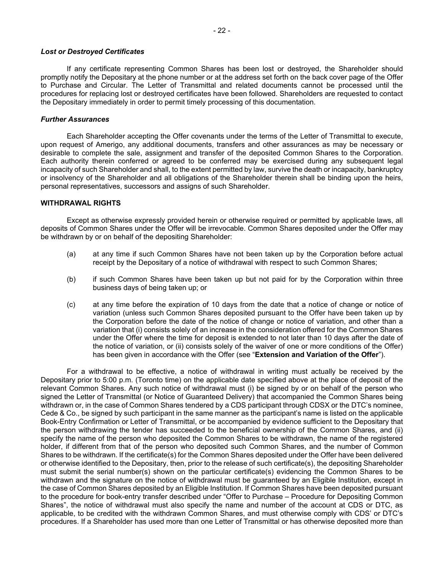#### *Lost or Destroyed Certificates*

If any certificate representing Common Shares has been lost or destroyed, the Shareholder should promptly notify the Depositary at the phone number or at the address set forth on the back cover page of the Offer to Purchase and Circular. The Letter of Transmittal and related documents cannot be processed until the procedures for replacing lost or destroyed certificates have been followed. Shareholders are requested to contact the Depositary immediately in order to permit timely processing of this documentation.

#### *Further Assurances*

Each Shareholder accepting the Offer covenants under the terms of the Letter of Transmittal to execute, upon request of Amerigo, any additional documents, transfers and other assurances as may be necessary or desirable to complete the sale, assignment and transfer of the deposited Common Shares to the Corporation. Each authority therein conferred or agreed to be conferred may be exercised during any subsequent legal incapacity of such Shareholder and shall, to the extent permitted by law, survive the death or incapacity, bankruptcy or insolvency of the Shareholder and all obligations of the Shareholder therein shall be binding upon the heirs, personal representatives, successors and assigns of such Shareholder.

# **WITHDRAWAL RIGHTS**

Except as otherwise expressly provided herein or otherwise required or permitted by applicable laws, all deposits of Common Shares under the Offer will be irrevocable. Common Shares deposited under the Offer may be withdrawn by or on behalf of the depositing Shareholder:

- (a) at any time if such Common Shares have not been taken up by the Corporation before actual receipt by the Depositary of a notice of withdrawal with respect to such Common Shares;
- (b) if such Common Shares have been taken up but not paid for by the Corporation within three business days of being taken up; or
- (c) at any time before the expiration of 10 days from the date that a notice of change or notice of variation (unless such Common Shares deposited pursuant to the Offer have been taken up by the Corporation before the date of the notice of change or notice of variation, and other than a variation that (i) consists solely of an increase in the consideration offered for the Common Shares under the Offer where the time for deposit is extended to not later than 10 days after the date of the notice of variation, or (ii) consists solely of the waiver of one or more conditions of the Offer) has been given in accordance with the Offer (see "**Extension and Variation of the Offer**").

For a withdrawal to be effective, a notice of withdrawal in writing must actually be received by the Depositary prior to 5:00 p.m. (Toronto time) on the applicable date specified above at the place of deposit of the relevant Common Shares. Any such notice of withdrawal must (i) be signed by or on behalf of the person who signed the Letter of Transmittal (or Notice of Guaranteed Delivery) that accompanied the Common Shares being withdrawn or, in the case of Common Shares tendered by a CDS participant through CDSX or the DTC's nominee, Cede & Co., be signed by such participant in the same manner as the participant's name is listed on the applicable Book-Entry Confirmation or Letter of Transmittal, or be accompanied by evidence sufficient to the Depositary that the person withdrawing the tender has succeeded to the beneficial ownership of the Common Shares, and (ii) specify the name of the person who deposited the Common Shares to be withdrawn, the name of the registered holder, if different from that of the person who deposited such Common Shares, and the number of Common Shares to be withdrawn. If the certificate(s) for the Common Shares deposited under the Offer have been delivered or otherwise identified to the Depositary, then, prior to the release of such certificate(s), the depositing Shareholder must submit the serial number(s) shown on the particular certificate(s) evidencing the Common Shares to be withdrawn and the signature on the notice of withdrawal must be guaranteed by an Eligible Institution, except in the case of Common Shares deposited by an Eligible Institution. If Common Shares have been deposited pursuant to the procedure for book-entry transfer described under "Offer to Purchase – Procedure for Depositing Common Shares", the notice of withdrawal must also specify the name and number of the account at CDS or DTC, as applicable, to be credited with the withdrawn Common Shares, and must otherwise comply with CDS' or DTC's procedures. If a Shareholder has used more than one Letter of Transmittal or has otherwise deposited more than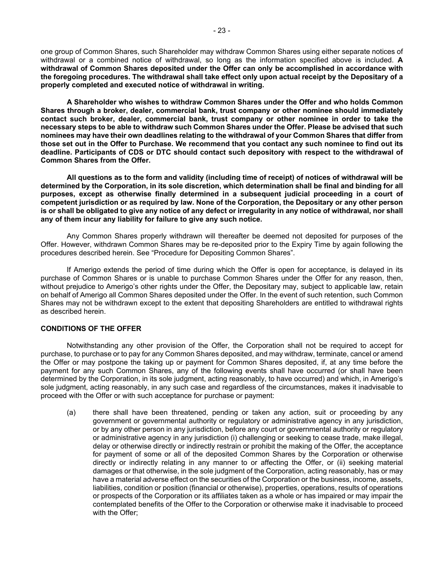one group of Common Shares, such Shareholder may withdraw Common Shares using either separate notices of withdrawal or a combined notice of withdrawal, so long as the information specified above is included. **A withdrawal of Common Shares deposited under the Offer can only be accomplished in accordance with the foregoing procedures. The withdrawal shall take effect only upon actual receipt by the Depositary of a properly completed and executed notice of withdrawal in writing.**

**A Shareholder who wishes to withdraw Common Shares under the Offer and who holds Common Shares through a broker, dealer, commercial bank, trust company or other nominee should immediately contact such broker, dealer, commercial bank, trust company or other nominee in order to take the necessary steps to be able to withdraw such Common Shares under the Offer. Please be advised that such nominees may have their own deadlines relating to the withdrawal of your Common Shares that differ from those set out in the Offer to Purchase. We recommend that you contact any such nominee to find out its deadline. Participants of CDS or DTC should contact such depository with respect to the withdrawal of Common Shares from the Offer.** 

**All questions as to the form and validity (including time of receipt) of notices of withdrawal will be determined by the Corporation, in its sole discretion, which determination shall be final and binding for all purposes, except as otherwise finally determined in a subsequent judicial proceeding in a court of competent jurisdiction or as required by law. None of the Corporation, the Depositary or any other person is or shall be obligated to give any notice of any defect or irregularity in any notice of withdrawal, nor shall any of them incur any liability for failure to give any such notice.** 

Any Common Shares properly withdrawn will thereafter be deemed not deposited for purposes of the Offer. However, withdrawn Common Shares may be re-deposited prior to the Expiry Time by again following the procedures described herein. See "Procedure for Depositing Common Shares".

If Amerigo extends the period of time during which the Offer is open for acceptance, is delayed in its purchase of Common Shares or is unable to purchase Common Shares under the Offer for any reason, then, without prejudice to Amerigo's other rights under the Offer, the Depositary may, subject to applicable law, retain on behalf of Amerigo all Common Shares deposited under the Offer. In the event of such retention, such Common Shares may not be withdrawn except to the extent that depositing Shareholders are entitled to withdrawal rights as described herein.

# **CONDITIONS OF THE OFFER**

Notwithstanding any other provision of the Offer, the Corporation shall not be required to accept for purchase, to purchase or to pay for any Common Shares deposited, and may withdraw, terminate, cancel or amend the Offer or may postpone the taking up or payment for Common Shares deposited, if, at any time before the payment for any such Common Shares, any of the following events shall have occurred (or shall have been determined by the Corporation, in its sole judgment, acting reasonably, to have occurred) and which, in Amerigo's sole judgment, acting reasonably, in any such case and regardless of the circumstances, makes it inadvisable to proceed with the Offer or with such acceptance for purchase or payment:

(a) there shall have been threatened, pending or taken any action, suit or proceeding by any government or governmental authority or regulatory or administrative agency in any jurisdiction, or by any other person in any jurisdiction, before any court or governmental authority or regulatory or administrative agency in any jurisdiction (i) challenging or seeking to cease trade, make illegal, delay or otherwise directly or indirectly restrain or prohibit the making of the Offer, the acceptance for payment of some or all of the deposited Common Shares by the Corporation or otherwise directly or indirectly relating in any manner to or affecting the Offer, or (ii) seeking material damages or that otherwise, in the sole judgment of the Corporation, acting reasonably, has or may have a material adverse effect on the securities of the Corporation or the business, income, assets, liabilities, condition or position (financial or otherwise), properties, operations, results of operations or prospects of the Corporation or its affiliates taken as a whole or has impaired or may impair the contemplated benefits of the Offer to the Corporation or otherwise make it inadvisable to proceed with the Offer;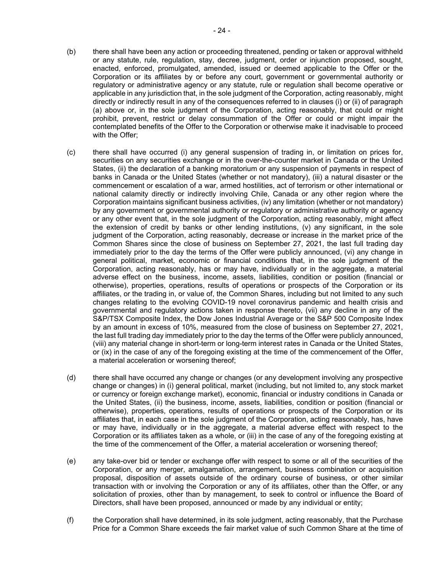- (b) there shall have been any action or proceeding threatened, pending or taken or approval withheld or any statute, rule, regulation, stay, decree, judgment, order or injunction proposed, sought, enacted, enforced, promulgated, amended, issued or deemed applicable to the Offer or the Corporation or its affiliates by or before any court, government or governmental authority or regulatory or administrative agency or any statute, rule or regulation shall become operative or applicable in any jurisdiction that, in the sole judgment of the Corporation, acting reasonably, might directly or indirectly result in any of the consequences referred to in clauses (i) or (ii) of paragraph (a) above or, in the sole judgment of the Corporation, acting reasonably, that could or might prohibit, prevent, restrict or delay consummation of the Offer or could or might impair the contemplated benefits of the Offer to the Corporation or otherwise make it inadvisable to proceed with the Offer;
- (c) there shall have occurred (i) any general suspension of trading in, or limitation on prices for, securities on any securities exchange or in the over-the-counter market in Canada or the United States, (ii) the declaration of a banking moratorium or any suspension of payments in respect of banks in Canada or the United States (whether or not mandatory), (iii) a natural disaster or the commencement or escalation of a war, armed hostilities, act of terrorism or other international or national calamity directly or indirectly involving Chile, Canada or any other region where the Corporation maintains significant business activities, (iv) any limitation (whether or not mandatory) by any government or governmental authority or regulatory or administrative authority or agency or any other event that, in the sole judgment of the Corporation, acting reasonably, might affect the extension of credit by banks or other lending institutions, (v) any significant, in the sole judgment of the Corporation, acting reasonably, decrease or increase in the market price of the Common Shares since the close of business on September 27, 2021, the last full trading day immediately prior to the day the terms of the Offer were publicly announced, (vi) any change in general political, market, economic or financial conditions that, in the sole judgment of the Corporation, acting reasonably, has or may have, individually or in the aggregate, a material adverse effect on the business, income, assets, liabilities, condition or position (financial or otherwise), properties, operations, results of operations or prospects of the Corporation or its affiliates, or the trading in, or value of, the Common Shares, including but not limited to any such changes relating to the evolving COVID-19 novel coronavirus pandemic and health crisis and governmental and regulatory actions taken in response thereto, (vii) any decline in any of the S&P/TSX Composite Index, the Dow Jones Industrial Average or the S&P 500 Composite Index by an amount in excess of 10%, measured from the close of business on September 27, 2021, the last full trading day immediately prior to the day the terms of the Offer were publicly announced, (viii) any material change in short-term or long-term interest rates in Canada or the United States, or (ix) in the case of any of the foregoing existing at the time of the commencement of the Offer, a material acceleration or worsening thereof;
- (d) there shall have occurred any change or changes (or any development involving any prospective change or changes) in (i) general political, market (including, but not limited to, any stock market or currency or foreign exchange market), economic, financial or industry conditions in Canada or the United States, (ii) the business, income, assets, liabilities, condition or position (financial or otherwise), properties, operations, results of operations or prospects of the Corporation or its affiliates that, in each case in the sole judgment of the Corporation, acting reasonably, has, have or may have, individually or in the aggregate, a material adverse effect with respect to the Corporation or its affiliates taken as a whole, or (iii) in the case of any of the foregoing existing at the time of the commencement of the Offer, a material acceleration or worsening thereof;
- (e) any take-over bid or tender or exchange offer with respect to some or all of the securities of the Corporation, or any merger, amalgamation, arrangement, business combination or acquisition proposal, disposition of assets outside of the ordinary course of business, or other similar transaction with or involving the Corporation or any of its affiliates, other than the Offer, or any solicitation of proxies, other than by management, to seek to control or influence the Board of Directors, shall have been proposed, announced or made by any individual or entity;
- (f) the Corporation shall have determined, in its sole judgment, acting reasonably, that the Purchase Price for a Common Share exceeds the fair market value of such Common Share at the time of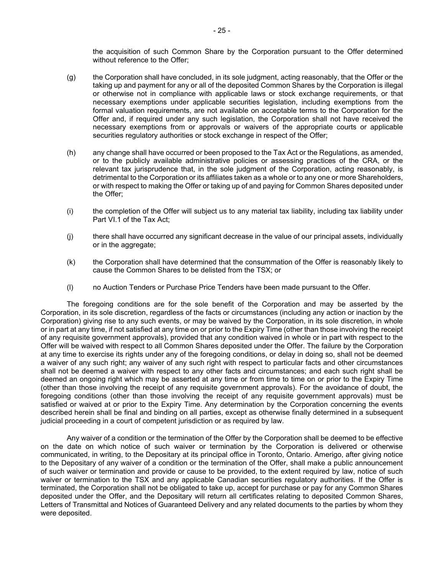the acquisition of such Common Share by the Corporation pursuant to the Offer determined without reference to the Offer;

- (g) the Corporation shall have concluded, in its sole judgment, acting reasonably, that the Offer or the taking up and payment for any or all of the deposited Common Shares by the Corporation is illegal or otherwise not in compliance with applicable laws or stock exchange requirements, or that necessary exemptions under applicable securities legislation, including exemptions from the formal valuation requirements, are not available on acceptable terms to the Corporation for the Offer and, if required under any such legislation, the Corporation shall not have received the necessary exemptions from or approvals or waivers of the appropriate courts or applicable securities regulatory authorities or stock exchange in respect of the Offer;
- (h) any change shall have occurred or been proposed to the Tax Act or the Regulations, as amended, or to the publicly available administrative policies or assessing practices of the CRA, or the relevant tax jurisprudence that, in the sole judgment of the Corporation, acting reasonably, is detrimental to the Corporation or its affiliates taken as a whole or to any one or more Shareholders, or with respect to making the Offer or taking up of and paying for Common Shares deposited under the Offer;
- (i) the completion of the Offer will subject us to any material tax liability, including tax liability under Part VI.1 of the Tax Act;
- (j) there shall have occurred any significant decrease in the value of our principal assets, individually or in the aggregate;
- (k) the Corporation shall have determined that the consummation of the Offer is reasonably likely to cause the Common Shares to be delisted from the TSX; or
- (l) no Auction Tenders or Purchase Price Tenders have been made pursuant to the Offer.

The foregoing conditions are for the sole benefit of the Corporation and may be asserted by the Corporation, in its sole discretion, regardless of the facts or circumstances (including any action or inaction by the Corporation) giving rise to any such events, or may be waived by the Corporation, in its sole discretion, in whole or in part at any time, if not satisfied at any time on or prior to the Expiry Time (other than those involving the receipt of any requisite government approvals), provided that any condition waived in whole or in part with respect to the Offer will be waived with respect to all Common Shares deposited under the Offer. The failure by the Corporation at any time to exercise its rights under any of the foregoing conditions, or delay in doing so, shall not be deemed a waiver of any such right; any waiver of any such right with respect to particular facts and other circumstances shall not be deemed a waiver with respect to any other facts and circumstances; and each such right shall be deemed an ongoing right which may be asserted at any time or from time to time on or prior to the Expiry Time (other than those involving the receipt of any requisite government approvals). For the avoidance of doubt, the foregoing conditions (other than those involving the receipt of any requisite government approvals) must be satisfied or waived at or prior to the Expiry Time. Any determination by the Corporation concerning the events described herein shall be final and binding on all parties, except as otherwise finally determined in a subsequent judicial proceeding in a court of competent jurisdiction or as required by law.

Any waiver of a condition or the termination of the Offer by the Corporation shall be deemed to be effective on the date on which notice of such waiver or termination by the Corporation is delivered or otherwise communicated, in writing, to the Depositary at its principal office in Toronto, Ontario. Amerigo, after giving notice to the Depositary of any waiver of a condition or the termination of the Offer, shall make a public announcement of such waiver or termination and provide or cause to be provided, to the extent required by law, notice of such waiver or termination to the TSX and any applicable Canadian securities regulatory authorities. If the Offer is terminated, the Corporation shall not be obligated to take up, accept for purchase or pay for any Common Shares deposited under the Offer, and the Depositary will return all certificates relating to deposited Common Shares, Letters of Transmittal and Notices of Guaranteed Delivery and any related documents to the parties by whom they were deposited.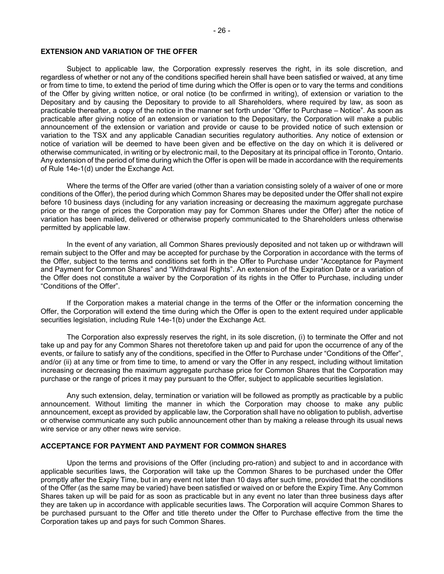#### **EXTENSION AND VARIATION OF THE OFFER**

Subject to applicable law, the Corporation expressly reserves the right, in its sole discretion, and regardless of whether or not any of the conditions specified herein shall have been satisfied or waived, at any time or from time to time, to extend the period of time during which the Offer is open or to vary the terms and conditions of the Offer by giving written notice, or oral notice (to be confirmed in writing), of extension or variation to the Depositary and by causing the Depositary to provide to all Shareholders, where required by law, as soon as practicable thereafter, a copy of the notice in the manner set forth under "Offer to Purchase – Notice". As soon as practicable after giving notice of an extension or variation to the Depositary, the Corporation will make a public announcement of the extension or variation and provide or cause to be provided notice of such extension or variation to the TSX and any applicable Canadian securities regulatory authorities. Any notice of extension or notice of variation will be deemed to have been given and be effective on the day on which it is delivered or otherwise communicated, in writing or by electronic mail, to the Depositary at its principal office in Toronto, Ontario. Any extension of the period of time during which the Offer is open will be made in accordance with the requirements of Rule 14e-1(d) under the Exchange Act.

Where the terms of the Offer are varied (other than a variation consisting solely of a waiver of one or more conditions of the Offer), the period during which Common Shares may be deposited under the Offer shall not expire before 10 business days (including for any variation increasing or decreasing the maximum aggregate purchase price or the range of prices the Corporation may pay for Common Shares under the Offer) after the notice of variation has been mailed, delivered or otherwise properly communicated to the Shareholders unless otherwise permitted by applicable law.

In the event of any variation, all Common Shares previously deposited and not taken up or withdrawn will remain subject to the Offer and may be accepted for purchase by the Corporation in accordance with the terms of the Offer, subject to the terms and conditions set forth in the Offer to Purchase under "Acceptance for Payment and Payment for Common Shares" and "Withdrawal Rights". An extension of the Expiration Date or a variation of the Offer does not constitute a waiver by the Corporation of its rights in the Offer to Purchase, including under "Conditions of the Offer".

If the Corporation makes a material change in the terms of the Offer or the information concerning the Offer, the Corporation will extend the time during which the Offer is open to the extent required under applicable securities legislation, including Rule 14e-1(b) under the Exchange Act.

The Corporation also expressly reserves the right, in its sole discretion, (i) to terminate the Offer and not take up and pay for any Common Shares not theretofore taken up and paid for upon the occurrence of any of the events, or failure to satisfy any of the conditions, specified in the Offer to Purchase under "Conditions of the Offer", and/or (ii) at any time or from time to time, to amend or vary the Offer in any respect, including without limitation increasing or decreasing the maximum aggregate purchase price for Common Shares that the Corporation may purchase or the range of prices it may pay pursuant to the Offer, subject to applicable securities legislation.

Any such extension, delay, termination or variation will be followed as promptly as practicable by a public announcement. Without limiting the manner in which the Corporation may choose to make any public announcement, except as provided by applicable law, the Corporation shall have no obligation to publish, advertise or otherwise communicate any such public announcement other than by making a release through its usual news wire service or any other news wire service.

#### **ACCEPTANCE FOR PAYMENT AND PAYMENT FOR COMMON SHARES**

Upon the terms and provisions of the Offer (including pro-ration) and subject to and in accordance with applicable securities laws, the Corporation will take up the Common Shares to be purchased under the Offer promptly after the Expiry Time, but in any event not later than 10 days after such time, provided that the conditions of the Offer (as the same may be varied) have been satisfied or waived on or before the Expiry Time. Any Common Shares taken up will be paid for as soon as practicable but in any event no later than three business days after they are taken up in accordance with applicable securities laws. The Corporation will acquire Common Shares to be purchased pursuant to the Offer and title thereto under the Offer to Purchase effective from the time the Corporation takes up and pays for such Common Shares.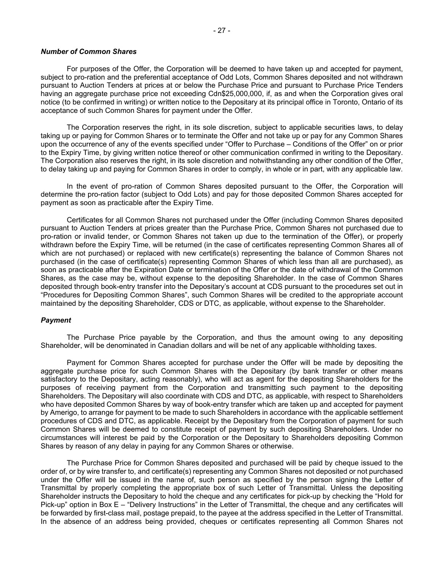For purposes of the Offer, the Corporation will be deemed to have taken up and accepted for payment, subject to pro-ration and the preferential acceptance of Odd Lots, Common Shares deposited and not withdrawn pursuant to Auction Tenders at prices at or below the Purchase Price and pursuant to Purchase Price Tenders having an aggregate purchase price not exceeding Cdn\$25,000,000, if, as and when the Corporation gives oral notice (to be confirmed in writing) or written notice to the Depositary at its principal office in Toronto, Ontario of its acceptance of such Common Shares for payment under the Offer.

The Corporation reserves the right, in its sole discretion, subject to applicable securities laws, to delay taking up or paying for Common Shares or to terminate the Offer and not take up or pay for any Common Shares upon the occurrence of any of the events specified under "Offer to Purchase – Conditions of the Offer" on or prior to the Expiry Time, by giving written notice thereof or other communication confirmed in writing to the Depositary. The Corporation also reserves the right, in its sole discretion and notwithstanding any other condition of the Offer, to delay taking up and paying for Common Shares in order to comply, in whole or in part, with any applicable law.

In the event of pro-ration of Common Shares deposited pursuant to the Offer, the Corporation will determine the pro-ration factor (subject to Odd Lots) and pay for those deposited Common Shares accepted for payment as soon as practicable after the Expiry Time.

Certificates for all Common Shares not purchased under the Offer (including Common Shares deposited pursuant to Auction Tenders at prices greater than the Purchase Price, Common Shares not purchased due to pro-ration or invalid tender, or Common Shares not taken up due to the termination of the Offer), or properly withdrawn before the Expiry Time, will be returned (in the case of certificates representing Common Shares all of which are not purchased) or replaced with new certificate(s) representing the balance of Common Shares not purchased (in the case of certificate(s) representing Common Shares of which less than all are purchased), as soon as practicable after the Expiration Date or termination of the Offer or the date of withdrawal of the Common Shares, as the case may be, without expense to the depositing Shareholder. In the case of Common Shares deposited through book-entry transfer into the Depositary's account at CDS pursuant to the procedures set out in "Procedures for Depositing Common Shares", such Common Shares will be credited to the appropriate account maintained by the depositing Shareholder, CDS or DTC, as applicable, without expense to the Shareholder.

#### *Payment*

The Purchase Price payable by the Corporation, and thus the amount owing to any depositing Shareholder, will be denominated in Canadian dollars and will be net of any applicable withholding taxes.

Payment for Common Shares accepted for purchase under the Offer will be made by depositing the aggregate purchase price for such Common Shares with the Depositary (by bank transfer or other means satisfactory to the Depositary, acting reasonably), who will act as agent for the depositing Shareholders for the purposes of receiving payment from the Corporation and transmitting such payment to the depositing Shareholders. The Depositary will also coordinate with CDS and DTC, as applicable, with respect to Shareholders who have deposited Common Shares by way of book-entry transfer which are taken up and accepted for payment by Amerigo, to arrange for payment to be made to such Shareholders in accordance with the applicable settlement procedures of CDS and DTC, as applicable. Receipt by the Depositary from the Corporation of payment for such Common Shares will be deemed to constitute receipt of payment by such depositing Shareholders. Under no circumstances will interest be paid by the Corporation or the Depositary to Shareholders depositing Common Shares by reason of any delay in paying for any Common Shares or otherwise.

The Purchase Price for Common Shares deposited and purchased will be paid by cheque issued to the order of, or by wire transfer to, and certificate(s) representing any Common Shares not deposited or not purchased under the Offer will be issued in the name of, such person as specified by the person signing the Letter of Transmittal by properly completing the appropriate box of such Letter of Transmittal. Unless the depositing Shareholder instructs the Depositary to hold the cheque and any certificates for pick-up by checking the "Hold for Pick-up" option in Box E – "Delivery Instructions" in the Letter of Transmittal, the cheque and any certificates will be forwarded by first-class mail, postage prepaid, to the payee at the address specified in the Letter of Transmittal. In the absence of an address being provided, cheques or certificates representing all Common Shares not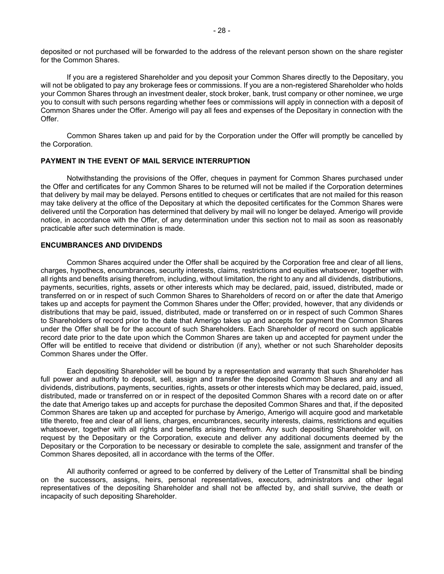deposited or not purchased will be forwarded to the address of the relevant person shown on the share register for the Common Shares.

If you are a registered Shareholder and you deposit your Common Shares directly to the Depositary, you will not be obligated to pay any brokerage fees or commissions. If you are a non-registered Shareholder who holds your Common Shares through an investment dealer, stock broker, bank, trust company or other nominee, we urge you to consult with such persons regarding whether fees or commissions will apply in connection with a deposit of Common Shares under the Offer. Amerigo will pay all fees and expenses of the Depositary in connection with the Offer.

Common Shares taken up and paid for by the Corporation under the Offer will promptly be cancelled by the Corporation.

#### **PAYMENT IN THE EVENT OF MAIL SERVICE INTERRUPTION**

Notwithstanding the provisions of the Offer, cheques in payment for Common Shares purchased under the Offer and certificates for any Common Shares to be returned will not be mailed if the Corporation determines that delivery by mail may be delayed. Persons entitled to cheques or certificates that are not mailed for this reason may take delivery at the office of the Depositary at which the deposited certificates for the Common Shares were delivered until the Corporation has determined that delivery by mail will no longer be delayed. Amerigo will provide notice, in accordance with the Offer, of any determination under this section not to mail as soon as reasonably practicable after such determination is made.

#### **ENCUMBRANCES AND DIVIDENDS**

Common Shares acquired under the Offer shall be acquired by the Corporation free and clear of all liens, charges, hypothecs, encumbrances, security interests, claims, restrictions and equities whatsoever, together with all rights and benefits arising therefrom, including, without limitation, the right to any and all dividends, distributions, payments, securities, rights, assets or other interests which may be declared, paid, issued, distributed, made or transferred on or in respect of such Common Shares to Shareholders of record on or after the date that Amerigo takes up and accepts for payment the Common Shares under the Offer; provided, however, that any dividends or distributions that may be paid, issued, distributed, made or transferred on or in respect of such Common Shares to Shareholders of record prior to the date that Amerigo takes up and accepts for payment the Common Shares under the Offer shall be for the account of such Shareholders. Each Shareholder of record on such applicable record date prior to the date upon which the Common Shares are taken up and accepted for payment under the Offer will be entitled to receive that dividend or distribution (if any), whether or not such Shareholder deposits Common Shares under the Offer.

Each depositing Shareholder will be bound by a representation and warranty that such Shareholder has full power and authority to deposit, sell, assign and transfer the deposited Common Shares and any and all dividends, distributions, payments, securities, rights, assets or other interests which may be declared, paid, issued, distributed, made or transferred on or in respect of the deposited Common Shares with a record date on or after the date that Amerigo takes up and accepts for purchase the deposited Common Shares and that, if the deposited Common Shares are taken up and accepted for purchase by Amerigo, Amerigo will acquire good and marketable title thereto, free and clear of all liens, charges, encumbrances, security interests, claims, restrictions and equities whatsoever, together with all rights and benefits arising therefrom. Any such depositing Shareholder will, on request by the Depositary or the Corporation, execute and deliver any additional documents deemed by the Depositary or the Corporation to be necessary or desirable to complete the sale, assignment and transfer of the Common Shares deposited, all in accordance with the terms of the Offer.

All authority conferred or agreed to be conferred by delivery of the Letter of Transmittal shall be binding on the successors, assigns, heirs, personal representatives, executors, administrators and other legal representatives of the depositing Shareholder and shall not be affected by, and shall survive, the death or incapacity of such depositing Shareholder.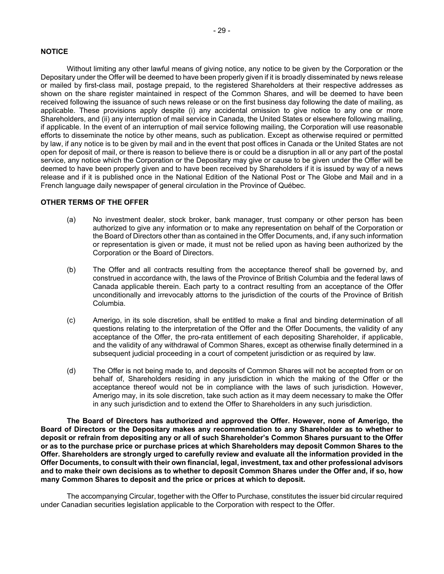# **NOTICE**

Without limiting any other lawful means of giving notice, any notice to be given by the Corporation or the Depositary under the Offer will be deemed to have been properly given if it is broadly disseminated by news release or mailed by first-class mail, postage prepaid, to the registered Shareholders at their respective addresses as shown on the share register maintained in respect of the Common Shares, and will be deemed to have been received following the issuance of such news release or on the first business day following the date of mailing, as applicable. These provisions apply despite (i) any accidental omission to give notice to any one or more Shareholders, and (ii) any interruption of mail service in Canada, the United States or elsewhere following mailing, if applicable. In the event of an interruption of mail service following mailing, the Corporation will use reasonable efforts to disseminate the notice by other means, such as publication. Except as otherwise required or permitted by law, if any notice is to be given by mail and in the event that post offices in Canada or the United States are not open for deposit of mail, or there is reason to believe there is or could be a disruption in all or any part of the postal service, any notice which the Corporation or the Depositary may give or cause to be given under the Offer will be deemed to have been properly given and to have been received by Shareholders if it is issued by way of a news release and if it is published once in the National Edition of the National Post or The Globe and Mail and in a French language daily newspaper of general circulation in the Province of Québec.

# **OTHER TERMS OF THE OFFER**

- (a) No investment dealer, stock broker, bank manager, trust company or other person has been authorized to give any information or to make any representation on behalf of the Corporation or the Board of Directors other than as contained in the Offer Documents, and, if any such information or representation is given or made, it must not be relied upon as having been authorized by the Corporation or the Board of Directors.
- (b) The Offer and all contracts resulting from the acceptance thereof shall be governed by, and construed in accordance with, the laws of the Province of British Columbia and the federal laws of Canada applicable therein. Each party to a contract resulting from an acceptance of the Offer unconditionally and irrevocably attorns to the jurisdiction of the courts of the Province of British Columbia.
- (c) Amerigo, in its sole discretion, shall be entitled to make a final and binding determination of all questions relating to the interpretation of the Offer and the Offer Documents, the validity of any acceptance of the Offer, the pro-rata entitlement of each depositing Shareholder, if applicable, and the validity of any withdrawal of Common Shares, except as otherwise finally determined in a subsequent judicial proceeding in a court of competent jurisdiction or as required by law.
- (d) The Offer is not being made to, and deposits of Common Shares will not be accepted from or on behalf of, Shareholders residing in any jurisdiction in which the making of the Offer or the acceptance thereof would not be in compliance with the laws of such jurisdiction. However, Amerigo may, in its sole discretion, take such action as it may deem necessary to make the Offer in any such jurisdiction and to extend the Offer to Shareholders in any such jurisdiction.

**The Board of Directors has authorized and approved the Offer. However, none of Amerigo, the Board of Directors or the Depositary makes any recommendation to any Shareholder as to whether to deposit or refrain from depositing any or all of such Shareholder's Common Shares pursuant to the Offer or as to the purchase price or purchase prices at which Shareholders may deposit Common Shares to the Offer. Shareholders are strongly urged to carefully review and evaluate all the information provided in the Offer Documents, to consult with their own financial, legal, investment, tax and other professional advisors and to make their own decisions as to whether to deposit Common Shares under the Offer and, if so, how many Common Shares to deposit and the price or prices at which to deposit.** 

The accompanying Circular, together with the Offer to Purchase, constitutes the issuer bid circular required under Canadian securities legislation applicable to the Corporation with respect to the Offer.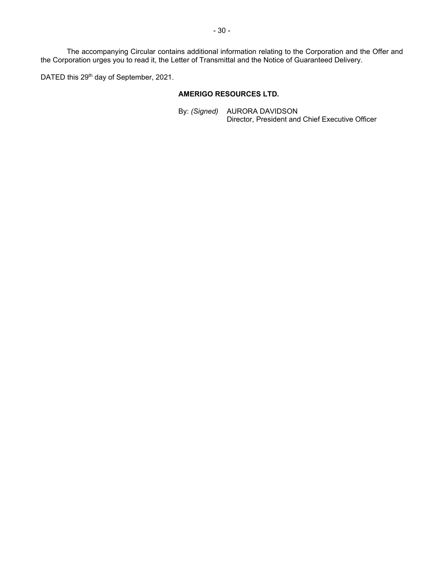The accompanying Circular contains additional information relating to the Corporation and the Offer and the Corporation urges you to read it, the Letter of Transmittal and the Notice of Guaranteed Delivery.

DATED this 29<sup>th</sup> day of September, 2021.

# **AMERIGO RESOURCES LTD.**

By: *(Signed)* AURORA DAVIDSON Director, President and Chief Executive Officer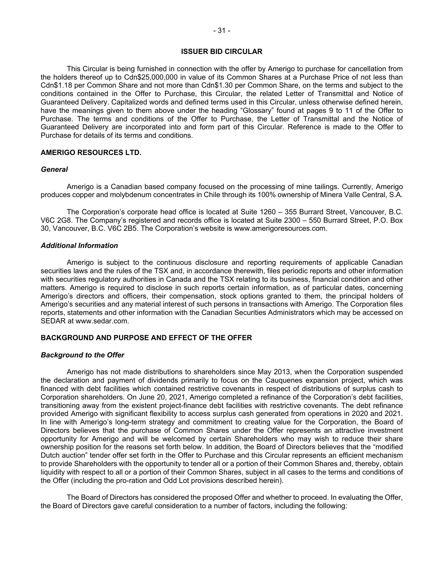#### **ISSUER BID CIRCULAR**

This Circular is being furnished in connection with the offer by Amerigo to purchase for cancellation from the holders thereof up to Cdn\$25,000,000 in value of its Common Shares at a Purchase Price of not less than Cdn\$1.18 per Common Share and not more than Cdn\$1.30 per Common Share, on the terms and subject to the conditions contained in the Offer to Purchase, this Circular, the related Letter of Transmittal and Notice of Guaranteed Delivery. Capitalized words and defined terms used in this Circular, unless otherwise defined herein, have the meanings given to them above under the heading "Glossary" found at pages 9 to 11 of the Offer to Purchase. The terms and conditions of the Offer to Purchase, the Letter of Transmittal and the Notice of Guaranteed Delivery are incorporated into and form part of this Circular. Reference is made to the Offer to Purchase for details of its terms and conditions.

## **AMERIGO RESOURCES LTD.**

#### *General*

Amerigo is a Canadian based company focused on the processing of mine tailings. Currently, Amerigo produces copper and molybdenum concentrates in Chile through its 100% ownership of Minera Valle Central, S.A.

The Corporation's corporate head office is located at Suite 1260 – 355 Burrard Street, Vancouver, B.C. V6C 2G8. The Company's registered and records office is located at Suite 2300 – 550 Burrard Street, P.O. Box 30, Vancouver, B.C. V6C 2B5. The Corporation's website is www.amerigoresources.com.

#### *Additional Information*

Amerigo is subject to the continuous disclosure and reporting requirements of applicable Canadian securities laws and the rules of the TSX and, in accordance therewith, files periodic reports and other information with securities regulatory authorities in Canada and the TSX relating to its business, financial condition and other matters. Amerigo is required to disclose in such reports certain information, as of particular dates, concerning Amerigo's directors and officers, their compensation, stock options granted to them, the principal holders of Amerigo's securities and any material interest of such persons in transactions with Amerigo. The Corporation files reports, statements and other information with the Canadian Securities Administrators which may be accessed on SEDAR at www.sedar.com.

# **BACKGROUND AND PURPOSE AND EFFECT OF THE OFFER**

#### *Background to the Offer*

Amerigo has not made distributions to shareholders since May 2013, when the Corporation suspended the declaration and payment of dividends primarily to focus on the Cauquenes expansion project, which was financed with debt facilities which contained restrictive covenants in respect of distributions of surplus cash to Corporation shareholders. On June 20, 2021, Amerigo completed a refinance of the Corporation's debt facilities, transitioning away from the existent project-finance debt facilities with restrictive covenants. The debt refinance provided Amerigo with significant flexibility to access surplus cash generated from operations in 2020 and 2021. In line with Amerigo's long-term strategy and commitment to creating value for the Corporation, the Board of Directors believes that the purchase of Common Shares under the Offer represents an attractive investment opportunity for Amerigo and will be welcomed by certain Shareholders who may wish to reduce their share ownership position for the reasons set forth below. In addition, the Board of Directors believes that the "modified Dutch auction" tender offer set forth in the Offer to Purchase and this Circular represents an efficient mechanism to provide Shareholders with the opportunity to tender all or a portion of their Common Shares and, thereby, obtain liquidity with respect to all or a portion of their Common Shares, subject in all cases to the terms and conditions of the Offer (including the pro-ration and Odd Lot provisions described herein).

The Board of Directors has considered the proposed Offer and whether to proceed. In evaluating the Offer, the Board of Directors gave careful consideration to a number of factors, including the following: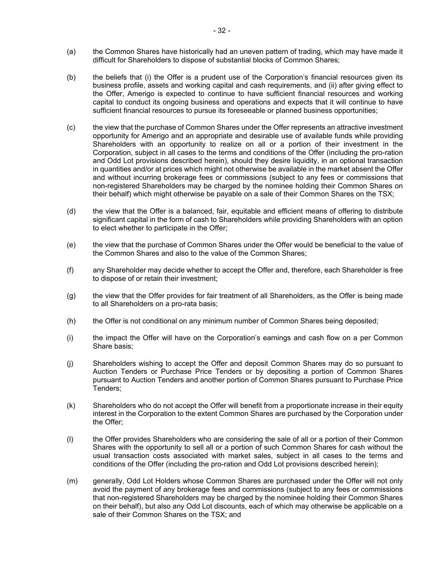- (a) the Common Shares have historically had an uneven pattern of trading, which may have made it difficult for Shareholders to dispose of substantial blocks of Common Shares;
- (b) the beliefs that (i) the Offer is a prudent use of the Corporation's financial resources given its business profile, assets and working capital and cash requirements, and (ii) after giving effect to the Offer, Amerigo is expected to continue to have sufficient financial resources and working capital to conduct its ongoing business and operations and expects that it will continue to have sufficient financial resources to pursue its foreseeable or planned business opportunities;
- (c) the view that the purchase of Common Shares under the Offer represents an attractive investment opportunity for Amerigo and an appropriate and desirable use of available funds while providing Shareholders with an opportunity to realize on all or a portion of their investment in the Corporation, subject in all cases to the terms and conditions of the Offer (including the pro-ration and Odd Lot provisions described herein), should they desire liquidity, in an optional transaction in quantities and/or at prices which might not otherwise be available in the market absent the Offer and without incurring brokerage fees or commissions (subject to any fees or commissions that non-registered Shareholders may be charged by the nominee holding their Common Shares on their behalf) which might otherwise be payable on a sale of their Common Shares on the TSX;
- (d) the view that the Offer is a balanced, fair, equitable and efficient means of offering to distribute significant capital in the form of cash to Shareholders while providing Shareholders with an option to elect whether to participate in the Offer;
- (e) the view that the purchase of Common Shares under the Offer would be beneficial to the value of the Common Shares and also to the value of the Common Shares;
- (f) any Shareholder may decide whether to accept the Offer and, therefore, each Shareholder is free to dispose of or retain their investment;
- (g) the view that the Offer provides for fair treatment of all Shareholders, as the Offer is being made to all Shareholders on a pro-rata basis;
- (h) the Offer is not conditional on any minimum number of Common Shares being deposited;
- (i) the impact the Offer will have on the Corporation's earnings and cash flow on a per Common Share basis;
- (j) Shareholders wishing to accept the Offer and deposit Common Shares may do so pursuant to Auction Tenders or Purchase Price Tenders or by depositing a portion of Common Shares pursuant to Auction Tenders and another portion of Common Shares pursuant to Purchase Price Tenders;
- (k) Shareholders who do not accept the Offer will benefit from a proportionate increase in their equity interest in the Corporation to the extent Common Shares are purchased by the Corporation under the Offer;
- (l) the Offer provides Shareholders who are considering the sale of all or a portion of their Common Shares with the opportunity to sell all or a portion of such Common Shares for cash without the usual transaction costs associated with market sales, subject in all cases to the terms and conditions of the Offer (including the pro-ration and Odd Lot provisions described herein);
- (m) generally, Odd Lot Holders whose Common Shares are purchased under the Offer will not only avoid the payment of any brokerage fees and commissions (subject to any fees or commissions that non-registered Shareholders may be charged by the nominee holding their Common Shares on their behalf), but also any Odd Lot discounts, each of which may otherwise be applicable on a sale of their Common Shares on the TSX; and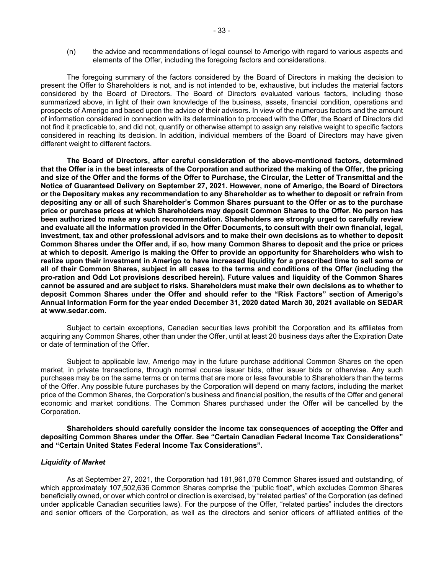(n) the advice and recommendations of legal counsel to Amerigo with regard to various aspects and elements of the Offer, including the foregoing factors and considerations.

The foregoing summary of the factors considered by the Board of Directors in making the decision to present the Offer to Shareholders is not, and is not intended to be, exhaustive, but includes the material factors considered by the Board of Directors. The Board of Directors evaluated various factors, including those summarized above, in light of their own knowledge of the business, assets, financial condition, operations and prospects of Amerigo and based upon the advice of their advisors. In view of the numerous factors and the amount of information considered in connection with its determination to proceed with the Offer, the Board of Directors did not find it practicable to, and did not, quantify or otherwise attempt to assign any relative weight to specific factors considered in reaching its decision. In addition, individual members of the Board of Directors may have given different weight to different factors.

**The Board of Directors, after careful consideration of the above-mentioned factors, determined that the Offer is in the best interests of the Corporation and authorized the making of the Offer, the pricing and size of the Offer and the forms of the Offer to Purchase, the Circular, the Letter of Transmittal and the Notice of Guaranteed Delivery on September 27, 2021. However, none of Amerigo, the Board of Directors or the Depositary makes any recommendation to any Shareholder as to whether to deposit or refrain from depositing any or all of such Shareholder's Common Shares pursuant to the Offer or as to the purchase price or purchase prices at which Shareholders may deposit Common Shares to the Offer. No person has been authorized to make any such recommendation. Shareholders are strongly urged to carefully review and evaluate all the information provided in the Offer Documents, to consult with their own financial, legal, investment, tax and other professional advisors and to make their own decisions as to whether to deposit Common Shares under the Offer and, if so, how many Common Shares to deposit and the price or prices at which to deposit. Amerigo is making the Offer to provide an opportunity for Shareholders who wish to realize upon their investment in Amerigo to have increased liquidity for a prescribed time to sell some or all of their Common Shares, subject in all cases to the terms and conditions of the Offer (including the pro-ration and Odd Lot provisions described herein). Future values and liquidity of the Common Shares cannot be assured and are subject to risks. Shareholders must make their own decisions as to whether to deposit Common Shares under the Offer and should refer to the "Risk Factors" section of Amerigo's Annual Information Form for the year ended December 31, 2020 dated March 30, 2021 available on SEDAR at www.sedar.com.** 

Subject to certain exceptions, Canadian securities laws prohibit the Corporation and its affiliates from acquiring any Common Shares, other than under the Offer, until at least 20 business days after the Expiration Date or date of termination of the Offer.

Subject to applicable law, Amerigo may in the future purchase additional Common Shares on the open market, in private transactions, through normal course issuer bids, other issuer bids or otherwise. Any such purchases may be on the same terms or on terms that are more or less favourable to Shareholders than the terms of the Offer. Any possible future purchases by the Corporation will depend on many factors, including the market price of the Common Shares, the Corporation's business and financial position, the results of the Offer and general economic and market conditions. The Common Shares purchased under the Offer will be cancelled by the Corporation.

**Shareholders should carefully consider the income tax consequences of accepting the Offer and depositing Common Shares under the Offer. See "Certain Canadian Federal Income Tax Considerations" and "Certain United States Federal Income Tax Considerations".** 

#### *Liquidity of Market*

As at September 27, 2021, the Corporation had 181,961,078 Common Shares issued and outstanding, of which approximately 107,502,636 Common Shares comprise the "public float", which excludes Common Shares beneficially owned, or over which control or direction is exercised, by "related parties" of the Corporation (as defined under applicable Canadian securities laws). For the purpose of the Offer, "related parties" includes the directors and senior officers of the Corporation, as well as the directors and senior officers of affiliated entities of the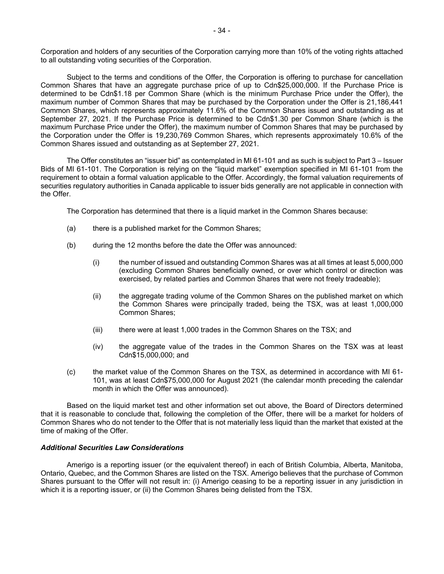Corporation and holders of any securities of the Corporation carrying more than 10% of the voting rights attached to all outstanding voting securities of the Corporation.

Subject to the terms and conditions of the Offer, the Corporation is offering to purchase for cancellation Common Shares that have an aggregate purchase price of up to Cdn\$25,000,000. If the Purchase Price is determined to be Cdn\$1.18 per Common Share (which is the minimum Purchase Price under the Offer), the maximum number of Common Shares that may be purchased by the Corporation under the Offer is 21,186,441 Common Shares, which represents approximately 11.6% of the Common Shares issued and outstanding as at September 27, 2021. If the Purchase Price is determined to be Cdn\$1.30 per Common Share (which is the maximum Purchase Price under the Offer), the maximum number of Common Shares that may be purchased by the Corporation under the Offer is 19,230,769 Common Shares, which represents approximately 10.6% of the Common Shares issued and outstanding as at September 27, 2021.

The Offer constitutes an "issuer bid" as contemplated in MI 61-101 and as such is subject to Part 3 – Issuer Bids of MI 61-101. The Corporation is relying on the "liquid market" exemption specified in MI 61-101 from the requirement to obtain a formal valuation applicable to the Offer. Accordingly, the formal valuation requirements of securities regulatory authorities in Canada applicable to issuer bids generally are not applicable in connection with the Offer.

The Corporation has determined that there is a liquid market in the Common Shares because:

- (a) there is a published market for the Common Shares;
- (b) during the 12 months before the date the Offer was announced:
	- (i) the number of issued and outstanding Common Shares was at all times at least 5,000,000 (excluding Common Shares beneficially owned, or over which control or direction was exercised, by related parties and Common Shares that were not freely tradeable);
	- (ii) the aggregate trading volume of the Common Shares on the published market on which the Common Shares were principally traded, being the TSX, was at least 1,000,000 Common Shares;
	- (iii) there were at least 1,000 trades in the Common Shares on the TSX; and
	- (iv) the aggregate value of the trades in the Common Shares on the TSX was at least Cdn\$15,000,000; and
- (c) the market value of the Common Shares on the TSX, as determined in accordance with MI 61- 101, was at least Cdn\$75,000,000 for August 2021 (the calendar month preceding the calendar month in which the Offer was announced).

Based on the liquid market test and other information set out above, the Board of Directors determined that it is reasonable to conclude that, following the completion of the Offer, there will be a market for holders of Common Shares who do not tender to the Offer that is not materially less liquid than the market that existed at the time of making of the Offer.

#### *Additional Securities Law Considerations*

Amerigo is a reporting issuer (or the equivalent thereof) in each of British Columbia, Alberta, Manitoba, Ontario, Quebec, and the Common Shares are listed on the TSX. Amerigo believes that the purchase of Common Shares pursuant to the Offer will not result in: (i) Amerigo ceasing to be a reporting issuer in any jurisdiction in which it is a reporting issuer, or (ii) the Common Shares being delisted from the TSX.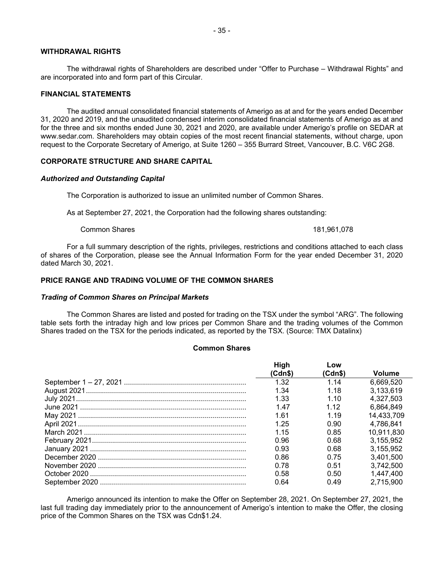#### **WITHDRAWAL RIGHTS**

The withdrawal rights of Shareholders are described under "Offer to Purchase – Withdrawal Rights" and are incorporated into and form part of this Circular.

#### **FINANCIAL STATEMENTS**

The audited annual consolidated financial statements of Amerigo as at and for the years ended December 31, 2020 and 2019, and the unaudited condensed interim consolidated financial statements of Amerigo as at and for the three and six months ended June 30, 2021 and 2020, are available under Amerigo's profile on SEDAR at www.sedar.com. Shareholders may obtain copies of the most recent financial statements, without charge, upon request to the Corporate Secretary of Amerigo, at Suite 1260 – 355 Burrard Street, Vancouver, B.C. V6C 2G8.

#### **CORPORATE STRUCTURE AND SHARE CAPITAL**

#### *Authorized and Outstanding Capital*

The Corporation is authorized to issue an unlimited number of Common Shares.

As at September 27, 2021, the Corporation had the following shares outstanding:

Common Shares 181,961,078

For a full summary description of the rights, privileges, restrictions and conditions attached to each class of shares of the Corporation, please see the Annual Information Form for the year ended December 31, 2020 dated March 30, 2021.

# **PRICE RANGE AND TRADING VOLUME OF THE COMMON SHARES**

#### *Trading of Common Shares on Principal Markets*

The Common Shares are listed and posted for trading on the TSX under the symbol "ARG". The following table sets forth the intraday high and low prices per Common Share and the trading volumes of the Common Shares traded on the TSX for the periods indicated, as reported by the TSX. (Source: TMX Datalinx)

## **Common Shares**

| <b>High</b> | Low     |               |
|-------------|---------|---------------|
| (Cdn\$)     | (Cdn\$) | <b>Volume</b> |
| 1.32        | 1 14    | 6,669,520     |
| 1.34        | 1.18    | 3.133.619     |
| 1.33        | 1 1 0   | 4,327,503     |
| 1.47        | 1.12    | 6.864.849     |
| 161         | 1 19    | 14,433,709    |
| 1.25        | 0.90    | 4.786.841     |
| 1 15        | 0.85    | 10.911.830    |
| 0.96        | 0.68    | 3.155.952     |
| 0.93        | 0.68    | 3,155,952     |
| 0.86        | 0.75    | 3.401.500     |
| 0.78        | 0.51    | 3.742.500     |
| 0.58        | 0.50    | 1,447,400     |
| 0.64        | 0.49    | 2.715.900     |

Amerigo announced its intention to make the Offer on September 28, 2021. On September 27, 2021, the last full trading day immediately prior to the announcement of Amerigo's intention to make the Offer, the closing price of the Common Shares on the TSX was Cdn\$1.24.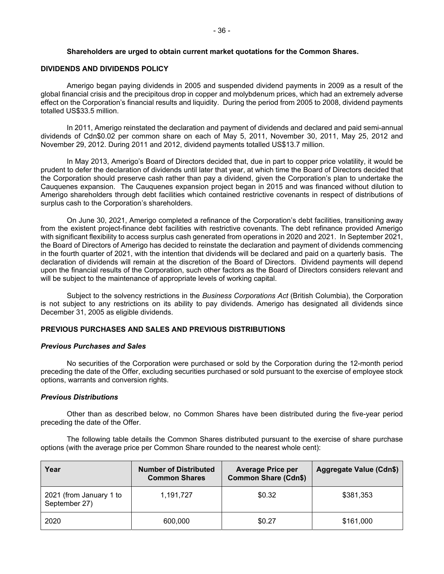#### **Shareholders are urged to obtain current market quotations for the Common Shares.**

#### **DIVIDENDS AND DIVIDENDS POLICY**

Amerigo began paying dividends in 2005 and suspended dividend payments in 2009 as a result of the global financial crisis and the precipitous drop in copper and molybdenum prices, which had an extremely adverse effect on the Corporation's financial results and liquidity. During the period from 2005 to 2008, dividend payments totalled US\$33.5 million.

In 2011, Amerigo reinstated the declaration and payment of dividends and declared and paid semi-annual dividends of Cdn\$0.02 per common share on each of May 5, 2011, November 30, 2011, May 25, 2012 and November 29, 2012. During 2011 and 2012, dividend payments totalled US\$13.7 million.

In May 2013, Amerigo's Board of Directors decided that, due in part to copper price volatility, it would be prudent to defer the declaration of dividends until later that year, at which time the Board of Directors decided that the Corporation should preserve cash rather than pay a dividend, given the Corporation's plan to undertake the Cauquenes expansion. The Cauquenes expansion project began in 2015 and was financed without dilution to Amerigo shareholders through debt facilities which contained restrictive covenants in respect of distributions of surplus cash to the Corporation's shareholders.

On June 30, 2021, Amerigo completed a refinance of the Corporation's debt facilities, transitioning away from the existent project-finance debt facilities with restrictive covenants. The debt refinance provided Amerigo with significant flexibility to access surplus cash generated from operations in 2020 and 2021. In September 2021, the Board of Directors of Amerigo has decided to reinstate the declaration and payment of dividends commencing in the fourth quarter of 2021, with the intention that dividends will be declared and paid on a quarterly basis. The declaration of dividends will remain at the discretion of the Board of Directors. Dividend payments will depend upon the financial results of the Corporation, such other factors as the Board of Directors considers relevant and will be subject to the maintenance of appropriate levels of working capital.

Subject to the solvency restrictions in the *Business Corporations Act* (British Columbia), the Corporation is not subject to any restrictions on its ability to pay dividends. Amerigo has designated all dividends since December 31, 2005 as eligible dividends.

# **PREVIOUS PURCHASES AND SALES AND PREVIOUS DISTRIBUTIONS**

#### *Previous Purchases and Sales*

No securities of the Corporation were purchased or sold by the Corporation during the 12-month period preceding the date of the Offer, excluding securities purchased or sold pursuant to the exercise of employee stock options, warrants and conversion rights.

# *Previous Distributions*

Other than as described below, no Common Shares have been distributed during the five-year period preceding the date of the Offer.

The following table details the Common Shares distributed pursuant to the exercise of share purchase options (with the average price per Common Share rounded to the nearest whole cent):

| Year                                     | <b>Number of Distributed</b><br><b>Common Shares</b> | <b>Average Price per</b><br><b>Common Share (Cdn\$)</b> | Aggregate Value (Cdn\$) |
|------------------------------------------|------------------------------------------------------|---------------------------------------------------------|-------------------------|
| 2021 (from January 1 to<br>September 27) | 1,191,727                                            | \$0.32                                                  | \$381,353               |
| 2020                                     | 600,000                                              | \$0.27                                                  | \$161,000               |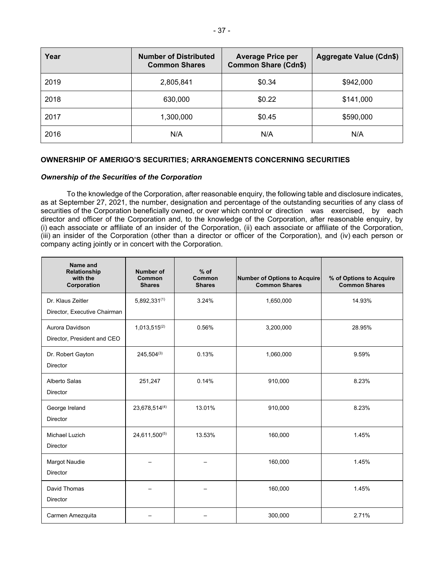| Year | <b>Number of Distributed</b><br><b>Common Shares</b> | <b>Average Price per</b><br><b>Common Share (Cdn\$)</b> | <b>Aggregate Value (Cdn\$)</b> |
|------|------------------------------------------------------|---------------------------------------------------------|--------------------------------|
| 2019 | 2,805,841                                            | \$0.34                                                  | \$942,000                      |
| 2018 | 630,000                                              | \$0.22                                                  | \$141,000                      |
| 2017 | 1,300,000                                            | \$0.45                                                  | \$590,000                      |
| 2016 | N/A                                                  | N/A                                                     | N/A                            |

# **OWNERSHIP OF AMERIGO'S SECURITIES; ARRANGEMENTS CONCERNING SECURITIES**

# *Ownership of the Securities of the Corporation*

To the knowledge of the Corporation, after reasonable enquiry, the following table and disclosure indicates, as at September 27, 2021, the number, designation and percentage of the outstanding securities of any class of securities of the Corporation beneficially owned, or over which control or direction was exercised, by each director and officer of the Corporation and, to the knowledge of the Corporation, after reasonable enquiry, by (i) each associate or affiliate of an insider of the Corporation, (ii) each associate or affiliate of the Corporation, (iii) an insider of the Corporation (other than a director or officer of the Corporation), and (iv) each person or company acting jointly or in concert with the Corporation.

| Name and<br>Relationship<br>with the<br>Corporation | <b>Number of</b><br>Common<br><b>Shares</b> | $%$ of<br>Common<br><b>Shares</b> | <b>Number of Options to Acquire</b><br><b>Common Shares</b> | % of Options to Acquire<br><b>Common Shares</b> |
|-----------------------------------------------------|---------------------------------------------|-----------------------------------|-------------------------------------------------------------|-------------------------------------------------|
| Dr. Klaus Zeitler<br>Director, Executive Chairman   | $5,892,331^{(1)}$                           | 3.24%                             | 1,650,000                                                   | 14.93%                                          |
| Aurora Davidson<br>Director, President and CEO      | $1,013,515^{(2)}$                           | 0.56%                             | 3,200,000                                                   | 28.95%                                          |
| Dr. Robert Gayton<br><b>Director</b>                | $245,504^{(3)}$                             | 0.13%                             | 1,060,000                                                   | 9.59%                                           |
| Alberto Salas<br><b>Director</b>                    | 251,247                                     | 0.14%                             | 910,000                                                     | 8.23%                                           |
| George Ireland<br><b>Director</b>                   | 23,678,514(4)                               | 13.01%                            | 910.000                                                     | 8.23%                                           |
| Michael Luzich<br><b>Director</b>                   | 24,611,500(5)                               | 13.53%                            | 160,000                                                     | 1.45%                                           |
| Margot Naudie<br><b>Director</b>                    |                                             |                                   | 160,000                                                     | 1.45%                                           |
| David Thomas<br>Director                            |                                             |                                   | 160,000                                                     | 1.45%                                           |
| Carmen Amezquita                                    |                                             |                                   | 300,000                                                     | 2.71%                                           |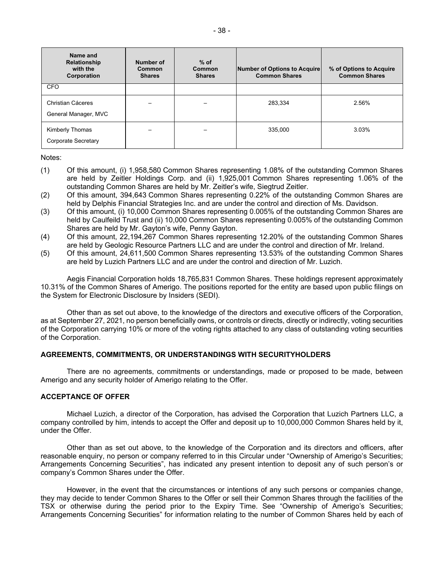| Name and<br>Relationship<br>with the<br>Corporation | Number of<br>Common<br><b>Shares</b> | $%$ of<br>Common<br><b>Shares</b> | Number of Options to Acquire<br><b>Common Shares</b> | % of Options to Acquire<br><b>Common Shares</b> |
|-----------------------------------------------------|--------------------------------------|-----------------------------------|------------------------------------------------------|-------------------------------------------------|
| <b>CFO</b>                                          |                                      |                                   |                                                      |                                                 |
| Christian Cáceres<br>General Manager, MVC           |                                      |                                   | 283.334                                              | 2.56%                                           |
| Kimberly Thomas<br>Corporate Secretary              | -                                    |                                   | 335.000                                              | 3.03%                                           |

Notes:

- (1) Of this amount, (i) 1,958,580 Common Shares representing 1.08% of the outstanding Common Shares are held by Zeitler Holdings Corp. and (ii) 1,925,001 Common Shares representing 1.06% of the outstanding Common Shares are held by Mr. Zeitler's wife, Siegtrud Zeitler.
- (2) Of this amount, 394,643 Common Shares representing 0.22% of the outstanding Common Shares are held by Delphis Financial Strategies Inc. and are under the control and direction of Ms. Davidson.
- (3) Of this amount, (i) 10,000 Common Shares representing 0.005% of the outstanding Common Shares are held by Caulfeild Trust and (ii) 10,000 Common Shares representing 0.005% of the outstanding Common Shares are held by Mr. Gayton's wife, Penny Gayton.
- (4) Of this amount, 22,194,267 Common Shares representing 12.20% of the outstanding Common Shares are held by Geologic Resource Partners LLC and are under the control and direction of Mr. Ireland.
- (5) Of this amount, 24,611,500 Common Shares representing 13.53% of the outstanding Common Shares are held by Luzich Partners LLC and are under the control and direction of Mr. Luzich.

Aegis Financial Corporation holds 18,765,831 Common Shares. These holdings represent approximately 10.31% of the Common Shares of Amerigo. The positions reported for the entity are based upon public filings on the System for Electronic Disclosure by Insiders (SEDI).

Other than as set out above, to the knowledge of the directors and executive officers of the Corporation, as at September 27, 2021, no person beneficially owns, or controls or directs, directly or indirectly, voting securities of the Corporation carrying 10% or more of the voting rights attached to any class of outstanding voting securities of the Corporation.

# **AGREEMENTS, COMMITMENTS, OR UNDERSTANDINGS WITH SECURITYHOLDERS**

There are no agreements, commitments or understandings, made or proposed to be made, between Amerigo and any security holder of Amerigo relating to the Offer.

#### **ACCEPTANCE OF OFFER**

Michael Luzich, a director of the Corporation, has advised the Corporation that Luzich Partners LLC, a company controlled by him, intends to accept the Offer and deposit up to 10,000,000 Common Shares held by it, under the Offer.

Other than as set out above, to the knowledge of the Corporation and its directors and officers, after reasonable enquiry, no person or company referred to in this Circular under "Ownership of Amerigo's Securities; Arrangements Concerning Securities", has indicated any present intention to deposit any of such person's or company's Common Shares under the Offer.

However, in the event that the circumstances or intentions of any such persons or companies change, they may decide to tender Common Shares to the Offer or sell their Common Shares through the facilities of the TSX or otherwise during the period prior to the Expiry Time. See "Ownership of Amerigo's Securities; Arrangements Concerning Securities" for information relating to the number of Common Shares held by each of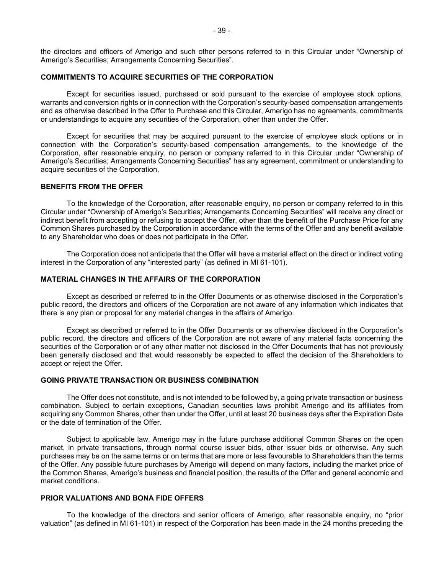the directors and officers of Amerigo and such other persons referred to in this Circular under "Ownership of Amerigo's Securities; Arrangements Concerning Securities".

# **COMMITMENTS TO ACQUIRE SECURITIES OF THE CORPORATION**

Except for securities issued, purchased or sold pursuant to the exercise of employee stock options, warrants and conversion rights or in connection with the Corporation's security-based compensation arrangements and as otherwise described in the Offer to Purchase and this Circular, Amerigo has no agreements, commitments or understandings to acquire any securities of the Corporation, other than under the Offer.

Except for securities that may be acquired pursuant to the exercise of employee stock options or in connection with the Corporation's security-based compensation arrangements, to the knowledge of the Corporation, after reasonable enquiry, no person or company referred to in this Circular under "Ownership of Amerigo's Securities; Arrangements Concerning Securities" has any agreement, commitment or understanding to acquire securities of the Corporation.

#### **BENEFITS FROM THE OFFER**

To the knowledge of the Corporation, after reasonable enquiry, no person or company referred to in this Circular under "Ownership of Amerigo's Securities; Arrangements Concerning Securities" will receive any direct or indirect benefit from accepting or refusing to accept the Offer, other than the benefit of the Purchase Price for any Common Shares purchased by the Corporation in accordance with the terms of the Offer and any benefit available to any Shareholder who does or does not participate in the Offer.

The Corporation does not anticipate that the Offer will have a material effect on the direct or indirect voting interest in the Corporation of any "interested party" (as defined in MI 61-101).

#### **MATERIAL CHANGES IN THE AFFAIRS OF THE CORPORATION**

Except as described or referred to in the Offer Documents or as otherwise disclosed in the Corporation's public record, the directors and officers of the Corporation are not aware of any information which indicates that there is any plan or proposal for any material changes in the affairs of Amerigo.

Except as described or referred to in the Offer Documents or as otherwise disclosed in the Corporation's public record, the directors and officers of the Corporation are not aware of any material facts concerning the securities of the Corporation or of any other matter not disclosed in the Offer Documents that has not previously been generally disclosed and that would reasonably be expected to affect the decision of the Shareholders to accept or reject the Offer.

#### **GOING PRIVATE TRANSACTION OR BUSINESS COMBINATION**

The Offer does not constitute, and is not intended to be followed by, a going private transaction or business combination. Subject to certain exceptions, Canadian securities laws prohibit Amerigo and its affiliates from acquiring any Common Shares, other than under the Offer, until at least 20 business days after the Expiration Date or the date of termination of the Offer.

Subject to applicable law, Amerigo may in the future purchase additional Common Shares on the open market, in private transactions, through normal course issuer bids, other issuer bids or otherwise. Any such purchases may be on the same terms or on terms that are more or less favourable to Shareholders than the terms of the Offer. Any possible future purchases by Amerigo will depend on many factors, including the market price of the Common Shares, Amerigo's business and financial position, the results of the Offer and general economic and market conditions.

# **PRIOR VALUATIONS AND BONA FIDE OFFERS**

To the knowledge of the directors and senior officers of Amerigo, after reasonable enquiry, no "prior valuation" (as defined in MI 61-101) in respect of the Corporation has been made in the 24 months preceding the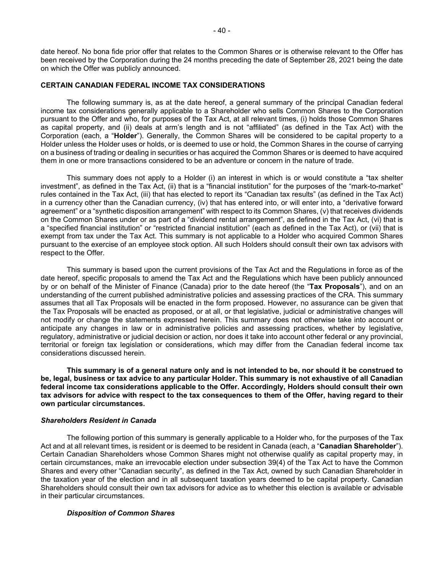date hereof. No bona fide prior offer that relates to the Common Shares or is otherwise relevant to the Offer has been received by the Corporation during the 24 months preceding the date of September 28, 2021 being the date on which the Offer was publicly announced.

#### **CERTAIN CANADIAN FEDERAL INCOME TAX CONSIDERATIONS**

The following summary is, as at the date hereof, a general summary of the principal Canadian federal income tax considerations generally applicable to a Shareholder who sells Common Shares to the Corporation pursuant to the Offer and who, for purposes of the Tax Act, at all relevant times, (i) holds those Common Shares as capital property, and (ii) deals at arm's length and is not "affiliated" (as defined in the Tax Act) with the Corporation (each, a "**Holder**"). Generally, the Common Shares will be considered to be capital property to a Holder unless the Holder uses or holds, or is deemed to use or hold, the Common Shares in the course of carrying on a business of trading or dealing in securities or has acquired the Common Shares or is deemed to have acquired them in one or more transactions considered to be an adventure or concern in the nature of trade.

This summary does not apply to a Holder (i) an interest in which is or would constitute a "tax shelter investment", as defined in the Tax Act, (ii) that is a "financial institution" for the purposes of the "mark-to-market" rules contained in the Tax Act, (iii) that has elected to report its "Canadian tax results" (as defined in the Tax Act) in a currency other than the Canadian currency, (iv) that has entered into, or will enter into, a "derivative forward agreement" or a "synthetic disposition arrangement" with respect to its Common Shares, (v) that receives dividends on the Common Shares under or as part of a "dividend rental arrangement", as defined in the Tax Act, (vi) that is a "specified financial institution" or "restricted financial institution" (each as defined in the Tax Act), or (vii) that is exempt from tax under the Tax Act. This summary is not applicable to a Holder who acquired Common Shares pursuant to the exercise of an employee stock option. All such Holders should consult their own tax advisors with respect to the Offer.

This summary is based upon the current provisions of the Tax Act and the Regulations in force as of the date hereof, specific proposals to amend the Tax Act and the Regulations which have been publicly announced by or on behalf of the Minister of Finance (Canada) prior to the date hereof (the "**Tax Proposals**"), and on an understanding of the current published administrative policies and assessing practices of the CRA. This summary assumes that all Tax Proposals will be enacted in the form proposed. However, no assurance can be given that the Tax Proposals will be enacted as proposed, or at all, or that legislative, judicial or administrative changes will not modify or change the statements expressed herein. This summary does not otherwise take into account or anticipate any changes in law or in administrative policies and assessing practices, whether by legislative, regulatory, administrative or judicial decision or action, nor does it take into account other federal or any provincial, territorial or foreign tax legislation or considerations, which may differ from the Canadian federal income tax considerations discussed herein.

**This summary is of a general nature only and is not intended to be, nor should it be construed to be, legal, business or tax advice to any particular Holder. This summary is not exhaustive of all Canadian federal income tax considerations applicable to the Offer. Accordingly, Holders should consult their own tax advisors for advice with respect to the tax consequences to them of the Offer, having regard to their own particular circumstances.** 

#### *Shareholders Resident in Canada*

The following portion of this summary is generally applicable to a Holder who, for the purposes of the Tax Act and at all relevant times, is resident or is deemed to be resident in Canada (each, a "**Canadian Shareholder**"). Certain Canadian Shareholders whose Common Shares might not otherwise qualify as capital property may, in certain circumstances, make an irrevocable election under subsection 39(4) of the Tax Act to have the Common Shares and every other "Canadian security", as defined in the Tax Act, owned by such Canadian Shareholder in the taxation year of the election and in all subsequent taxation years deemed to be capital property. Canadian Shareholders should consult their own tax advisors for advice as to whether this election is available or advisable in their particular circumstances.

#### *Disposition of Common Shares*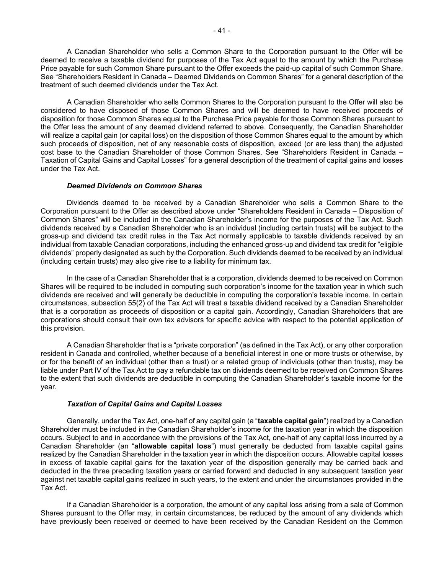A Canadian Shareholder who sells a Common Share to the Corporation pursuant to the Offer will be deemed to receive a taxable dividend for purposes of the Tax Act equal to the amount by which the Purchase Price payable for such Common Share pursuant to the Offer exceeds the paid-up capital of such Common Share. See "Shareholders Resident in Canada – Deemed Dividends on Common Shares" for a general description of the treatment of such deemed dividends under the Tax Act.

A Canadian Shareholder who sells Common Shares to the Corporation pursuant to the Offer will also be considered to have disposed of those Common Shares and will be deemed to have received proceeds of disposition for those Common Shares equal to the Purchase Price payable for those Common Shares pursuant to the Offer less the amount of any deemed dividend referred to above. Consequently, the Canadian Shareholder will realize a capital gain (or capital loss) on the disposition of those Common Shares equal to the amount by which such proceeds of disposition, net of any reasonable costs of disposition, exceed (or are less than) the adjusted cost base to the Canadian Shareholder of those Common Shares. See "Shareholders Resident in Canada – Taxation of Capital Gains and Capital Losses" for a general description of the treatment of capital gains and losses under the Tax Act.

#### *Deemed Dividends on Common Shares*

Dividends deemed to be received by a Canadian Shareholder who sells a Common Share to the Corporation pursuant to the Offer as described above under "Shareholders Resident in Canada – Disposition of Common Shares" will be included in the Canadian Shareholder's income for the purposes of the Tax Act. Such dividends received by a Canadian Shareholder who is an individual (including certain trusts) will be subject to the gross-up and dividend tax credit rules in the Tax Act normally applicable to taxable dividends received by an individual from taxable Canadian corporations, including the enhanced gross-up and dividend tax credit for "eligible dividends" properly designated as such by the Corporation. Such dividends deemed to be received by an individual (including certain trusts) may also give rise to a liability for minimum tax.

In the case of a Canadian Shareholder that is a corporation, dividends deemed to be received on Common Shares will be required to be included in computing such corporation's income for the taxation year in which such dividends are received and will generally be deductible in computing the corporation's taxable income. In certain circumstances, subsection 55(2) of the Tax Act will treat a taxable dividend received by a Canadian Shareholder that is a corporation as proceeds of disposition or a capital gain. Accordingly, Canadian Shareholders that are corporations should consult their own tax advisors for specific advice with respect to the potential application of this provision.

A Canadian Shareholder that is a "private corporation" (as defined in the Tax Act), or any other corporation resident in Canada and controlled, whether because of a beneficial interest in one or more trusts or otherwise, by or for the benefit of an individual (other than a trust) or a related group of individuals (other than trusts), may be liable under Part IV of the Tax Act to pay a refundable tax on dividends deemed to be received on Common Shares to the extent that such dividends are deductible in computing the Canadian Shareholder's taxable income for the year.

#### *Taxation of Capital Gains and Capital Losses*

Generally, under the Tax Act, one-half of any capital gain (a "**taxable capital gain**") realized by a Canadian Shareholder must be included in the Canadian Shareholder's income for the taxation year in which the disposition occurs. Subject to and in accordance with the provisions of the Tax Act, one-half of any capital loss incurred by a Canadian Shareholder (an "**allowable capital loss**") must generally be deducted from taxable capital gains realized by the Canadian Shareholder in the taxation year in which the disposition occurs. Allowable capital losses in excess of taxable capital gains for the taxation year of the disposition generally may be carried back and deducted in the three preceding taxation years or carried forward and deducted in any subsequent taxation year against net taxable capital gains realized in such years, to the extent and under the circumstances provided in the Tax Act.

If a Canadian Shareholder is a corporation, the amount of any capital loss arising from a sale of Common Shares pursuant to the Offer may, in certain circumstances, be reduced by the amount of any dividends which have previously been received or deemed to have been received by the Canadian Resident on the Common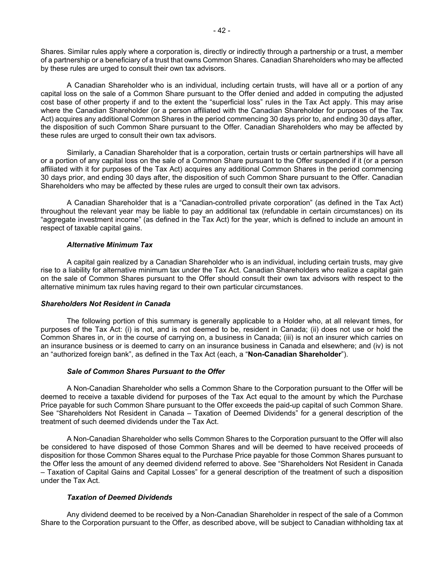Shares. Similar rules apply where a corporation is, directly or indirectly through a partnership or a trust, a member of a partnership or a beneficiary of a trust that owns Common Shares. Canadian Shareholders who may be affected by these rules are urged to consult their own tax advisors.

A Canadian Shareholder who is an individual, including certain trusts, will have all or a portion of any capital loss on the sale of a Common Share pursuant to the Offer denied and added in computing the adjusted cost base of other property if and to the extent the "superficial loss" rules in the Tax Act apply. This may arise where the Canadian Shareholder (or a person affiliated with the Canadian Shareholder for purposes of the Tax Act) acquires any additional Common Shares in the period commencing 30 days prior to, and ending 30 days after, the disposition of such Common Share pursuant to the Offer. Canadian Shareholders who may be affected by these rules are urged to consult their own tax advisors.

Similarly, a Canadian Shareholder that is a corporation, certain trusts or certain partnerships will have all or a portion of any capital loss on the sale of a Common Share pursuant to the Offer suspended if it (or a person affiliated with it for purposes of the Tax Act) acquires any additional Common Shares in the period commencing 30 days prior, and ending 30 days after, the disposition of such Common Share pursuant to the Offer. Canadian Shareholders who may be affected by these rules are urged to consult their own tax advisors.

A Canadian Shareholder that is a "Canadian-controlled private corporation" (as defined in the Tax Act) throughout the relevant year may be liable to pay an additional tax (refundable in certain circumstances) on its "aggregate investment income" (as defined in the Tax Act) for the year, which is defined to include an amount in respect of taxable capital gains.

#### *Alternative Minimum Tax*

A capital gain realized by a Canadian Shareholder who is an individual, including certain trusts, may give rise to a liability for alternative minimum tax under the Tax Act. Canadian Shareholders who realize a capital gain on the sale of Common Shares pursuant to the Offer should consult their own tax advisors with respect to the alternative minimum tax rules having regard to their own particular circumstances.

#### *Shareholders Not Resident in Canada*

The following portion of this summary is generally applicable to a Holder who, at all relevant times, for purposes of the Tax Act: (i) is not, and is not deemed to be, resident in Canada; (ii) does not use or hold the Common Shares in, or in the course of carrying on, a business in Canada; (iii) is not an insurer which carries on an insurance business or is deemed to carry on an insurance business in Canada and elsewhere; and (iv) is not an "authorized foreign bank", as defined in the Tax Act (each, a "**Non-Canadian Shareholder**").

#### *Sale of Common Shares Pursuant to the Offer*

A Non-Canadian Shareholder who sells a Common Share to the Corporation pursuant to the Offer will be deemed to receive a taxable dividend for purposes of the Tax Act equal to the amount by which the Purchase Price payable for such Common Share pursuant to the Offer exceeds the paid-up capital of such Common Share. See "Shareholders Not Resident in Canada – Taxation of Deemed Dividends" for a general description of the treatment of such deemed dividends under the Tax Act.

A Non-Canadian Shareholder who sells Common Shares to the Corporation pursuant to the Offer will also be considered to have disposed of those Common Shares and will be deemed to have received proceeds of disposition for those Common Shares equal to the Purchase Price payable for those Common Shares pursuant to the Offer less the amount of any deemed dividend referred to above. See "Shareholders Not Resident in Canada – Taxation of Capital Gains and Capital Losses" for a general description of the treatment of such a disposition under the Tax Act.

# *Taxation of Deemed Dividends*

Any dividend deemed to be received by a Non-Canadian Shareholder in respect of the sale of a Common Share to the Corporation pursuant to the Offer, as described above, will be subject to Canadian withholding tax at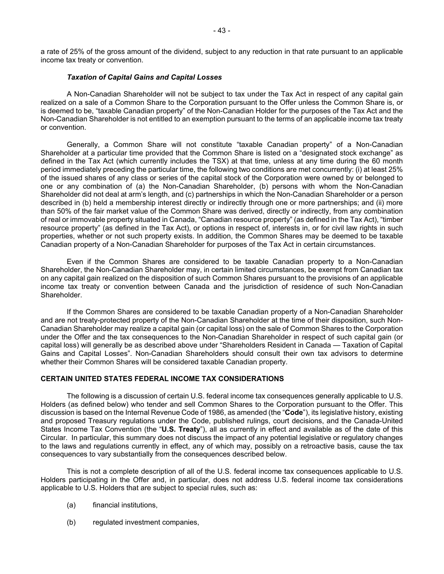a rate of 25% of the gross amount of the dividend, subject to any reduction in that rate pursuant to an applicable income tax treaty or convention.

#### *Taxation of Capital Gains and Capital Losses*

A Non-Canadian Shareholder will not be subject to tax under the Tax Act in respect of any capital gain realized on a sale of a Common Share to the Corporation pursuant to the Offer unless the Common Share is, or is deemed to be, "taxable Canadian property" of the Non-Canadian Holder for the purposes of the Tax Act and the Non-Canadian Shareholder is not entitled to an exemption pursuant to the terms of an applicable income tax treaty or convention.

Generally, a Common Share will not constitute "taxable Canadian property" of a Non-Canadian Shareholder at a particular time provided that the Common Share is listed on a "designated stock exchange" as defined in the Tax Act (which currently includes the TSX) at that time, unless at any time during the 60 month period immediately preceding the particular time, the following two conditions are met concurrently: (i) at least 25% of the issued shares of any class or series of the capital stock of the Corporation were owned by or belonged to one or any combination of (a) the Non-Canadian Shareholder, (b) persons with whom the Non-Canadian Shareholder did not deal at arm's length, and (c) partnerships in which the Non-Canadian Shareholder or a person described in (b) held a membership interest directly or indirectly through one or more partnerships; and (ii) more than 50% of the fair market value of the Common Share was derived, directly or indirectly, from any combination of real or immovable property situated in Canada, "Canadian resource property" (as defined in the Tax Act), "timber resource property" (as defined in the Tax Act), or options in respect of, interests in, or for civil law rights in such properties, whether or not such property exists. In addition, the Common Shares may be deemed to be taxable Canadian property of a Non-Canadian Shareholder for purposes of the Tax Act in certain circumstances.

Even if the Common Shares are considered to be taxable Canadian property to a Non-Canadian Shareholder, the Non-Canadian Shareholder may, in certain limited circumstances, be exempt from Canadian tax on any capital gain realized on the disposition of such Common Shares pursuant to the provisions of an applicable income tax treaty or convention between Canada and the jurisdiction of residence of such Non-Canadian Shareholder.

If the Common Shares are considered to be taxable Canadian property of a Non-Canadian Shareholder and are not treaty-protected property of the Non-Canadian Shareholder at the time of their disposition, such Non-Canadian Shareholder may realize a capital gain (or capital loss) on the sale of Common Shares to the Corporation under the Offer and the tax consequences to the Non-Canadian Shareholder in respect of such capital gain (or capital loss) will generally be as described above under "Shareholders Resident in Canada — Taxation of Capital Gains and Capital Losses". Non-Canadian Shareholders should consult their own tax advisors to determine whether their Common Shares will be considered taxable Canadian property.

# **CERTAIN UNITED STATES FEDERAL INCOME TAX CONSIDERATIONS**

The following is a discussion of certain U.S. federal income tax consequences generally applicable to U.S. Holders (as defined below) who tender and sell Common Shares to the Corporation pursuant to the Offer. This discussion is based on the Internal Revenue Code of 1986, as amended (the "**Code**"), its legislative history, existing and proposed Treasury regulations under the Code, published rulings, court decisions, and the Canada-United States Income Tax Convention (the "**U.S. Treaty**"), all as currently in effect and available as of the date of this Circular. In particular, this summary does not discuss the impact of any potential legislative or regulatory changes to the laws and regulations currently in effect, any of which may, possibly on a retroactive basis, cause the tax consequences to vary substantially from the consequences described below.

This is not a complete description of all of the U.S. federal income tax consequences applicable to U.S. Holders participating in the Offer and, in particular, does not address U.S. federal income tax considerations applicable to U.S. Holders that are subject to special rules, such as:

- (a) financial institutions,
- (b) regulated investment companies,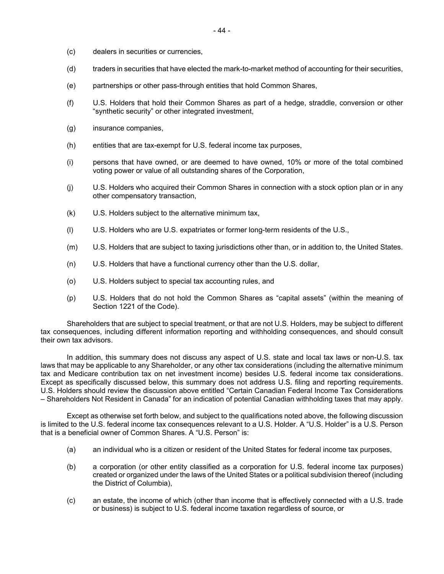- (c) dealers in securities or currencies,
- (d) traders in securities that have elected the mark-to-market method of accounting for their securities,
- (e) partnerships or other pass-through entities that hold Common Shares,
- (f) U.S. Holders that hold their Common Shares as part of a hedge, straddle, conversion or other "synthetic security" or other integrated investment,
- (g) insurance companies,
- (h) entities that are tax-exempt for U.S. federal income tax purposes,
- (i) persons that have owned, or are deemed to have owned, 10% or more of the total combined voting power or value of all outstanding shares of the Corporation,
- (j) U.S. Holders who acquired their Common Shares in connection with a stock option plan or in any other compensatory transaction,
- (k) U.S. Holders subject to the alternative minimum tax,
- (l) U.S. Holders who are U.S. expatriates or former long-term residents of the U.S.,
- (m) U.S. Holders that are subject to taxing jurisdictions other than, or in addition to, the United States.
- (n) U.S. Holders that have a functional currency other than the U.S. dollar,
- (o) U.S. Holders subject to special tax accounting rules, and
- (p) U.S. Holders that do not hold the Common Shares as "capital assets" (within the meaning of Section 1221 of the Code).

Shareholders that are subject to special treatment, or that are not U.S. Holders, may be subject to different tax consequences, including different information reporting and withholding consequences, and should consult their own tax advisors.

In addition, this summary does not discuss any aspect of U.S. state and local tax laws or non-U.S. tax laws that may be applicable to any Shareholder, or any other tax considerations (including the alternative minimum tax and Medicare contribution tax on net investment income) besides U.S. federal income tax considerations. Except as specifically discussed below, this summary does not address U.S. filing and reporting requirements. U.S. Holders should review the discussion above entitled "Certain Canadian Federal Income Tax Considerations – Shareholders Not Resident in Canada" for an indication of potential Canadian withholding taxes that may apply.

Except as otherwise set forth below, and subject to the qualifications noted above, the following discussion is limited to the U.S. federal income tax consequences relevant to a U.S. Holder. A "U.S. Holder" is a U.S. Person that is a beneficial owner of Common Shares. A "U.S. Person" is:

- (a) an individual who is a citizen or resident of the United States for federal income tax purposes,
- (b) a corporation (or other entity classified as a corporation for U.S. federal income tax purposes) created or organized under the laws of the United States or a political subdivision thereof (including the District of Columbia),
- (c) an estate, the income of which (other than income that is effectively connected with a U.S. trade or business) is subject to U.S. federal income taxation regardless of source, or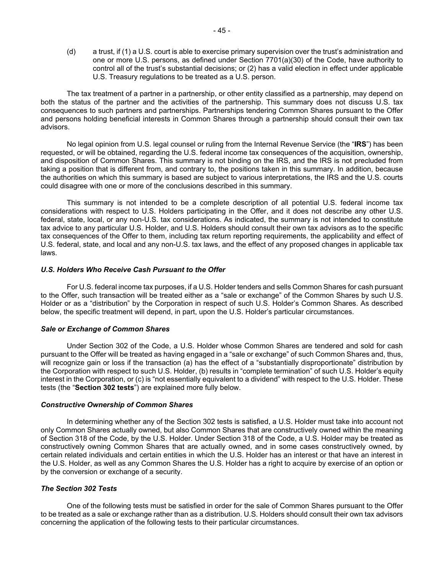(d) a trust, if (1) a U.S. court is able to exercise primary supervision over the trust's administration and one or more U.S. persons, as defined under Section 7701(a)(30) of the Code, have authority to control all of the trust's substantial decisions; or (2) has a valid election in effect under applicable U.S. Treasury regulations to be treated as a U.S. person.

The tax treatment of a partner in a partnership, or other entity classified as a partnership, may depend on both the status of the partner and the activities of the partnership. This summary does not discuss U.S. tax consequences to such partners and partnerships. Partnerships tendering Common Shares pursuant to the Offer and persons holding beneficial interests in Common Shares through a partnership should consult their own tax advisors.

No legal opinion from U.S. legal counsel or ruling from the Internal Revenue Service (the "**IRS**") has been requested, or will be obtained, regarding the U.S. federal income tax consequences of the acquisition, ownership, and disposition of Common Shares. This summary is not binding on the IRS, and the IRS is not precluded from taking a position that is different from, and contrary to, the positions taken in this summary. In addition, because the authorities on which this summary is based are subject to various interpretations, the IRS and the U.S. courts could disagree with one or more of the conclusions described in this summary.

This summary is not intended to be a complete description of all potential U.S. federal income tax considerations with respect to U.S. Holders participating in the Offer, and it does not describe any other U.S. federal, state, local, or any non-U.S. tax considerations. As indicated, the summary is not intended to constitute tax advice to any particular U.S. Holder, and U.S. Holders should consult their own tax advisors as to the specific tax consequences of the Offer to them, including tax return reporting requirements, the applicability and effect of U.S. federal, state, and local and any non-U.S. tax laws, and the effect of any proposed changes in applicable tax laws.

#### *U.S. Holders Who Receive Cash Pursuant to the Offer*

For U.S. federal income tax purposes, if a U.S. Holder tenders and sells Common Shares for cash pursuant to the Offer, such transaction will be treated either as a "sale or exchange" of the Common Shares by such U.S. Holder or as a "distribution" by the Corporation in respect of such U.S. Holder's Common Shares. As described below, the specific treatment will depend, in part, upon the U.S. Holder's particular circumstances.

# *Sale or Exchange of Common Shares*

Under Section 302 of the Code, a U.S. Holder whose Common Shares are tendered and sold for cash pursuant to the Offer will be treated as having engaged in a "sale or exchange" of such Common Shares and, thus, will recognize gain or loss if the transaction (a) has the effect of a "substantially disproportionate" distribution by the Corporation with respect to such U.S. Holder, (b) results in "complete termination" of such U.S. Holder's equity interest in the Corporation, or (c) is "not essentially equivalent to a dividend" with respect to the U.S. Holder. These tests (the "**Section 302 tests**") are explained more fully below.

#### *Constructive Ownership of Common Shares*

In determining whether any of the Section 302 tests is satisfied, a U.S. Holder must take into account not only Common Shares actually owned, but also Common Shares that are constructively owned within the meaning of Section 318 of the Code, by the U.S. Holder. Under Section 318 of the Code, a U.S. Holder may be treated as constructively owning Common Shares that are actually owned, and in some cases constructively owned, by certain related individuals and certain entities in which the U.S. Holder has an interest or that have an interest in the U.S. Holder, as well as any Common Shares the U.S. Holder has a right to acquire by exercise of an option or by the conversion or exchange of a security.

# *The Section 302 Tests*

One of the following tests must be satisfied in order for the sale of Common Shares pursuant to the Offer to be treated as a sale or exchange rather than as a distribution. U.S. Holders should consult their own tax advisors concerning the application of the following tests to their particular circumstances.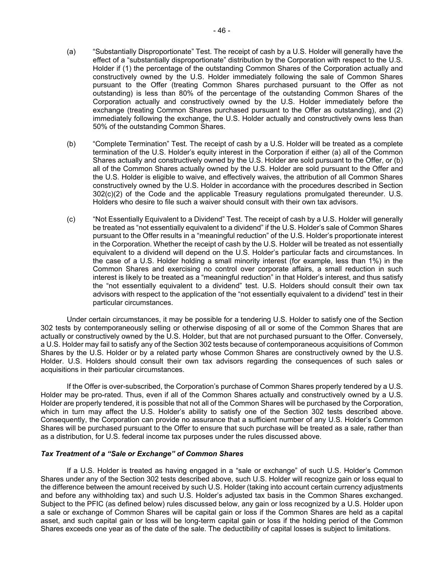- (a) "Substantially Disproportionate" Test. The receipt of cash by a U.S. Holder will generally have the effect of a "substantially disproportionate" distribution by the Corporation with respect to the U.S. Holder if (1) the percentage of the outstanding Common Shares of the Corporation actually and constructively owned by the U.S. Holder immediately following the sale of Common Shares pursuant to the Offer (treating Common Shares purchased pursuant to the Offer as not outstanding) is less than 80% of the percentage of the outstanding Common Shares of the Corporation actually and constructively owned by the U.S. Holder immediately before the exchange (treating Common Shares purchased pursuant to the Offer as outstanding), and (2) immediately following the exchange, the U.S. Holder actually and constructively owns less than 50% of the outstanding Common Shares.
- (b) "Complete Termination" Test. The receipt of cash by a U.S. Holder will be treated as a complete termination of the U.S. Holder's equity interest in the Corporation if either (a) all of the Common Shares actually and constructively owned by the U.S. Holder are sold pursuant to the Offer, or (b) all of the Common Shares actually owned by the U.S. Holder are sold pursuant to the Offer and the U.S. Holder is eligible to waive, and effectively waives, the attribution of all Common Shares constructively owned by the U.S. Holder in accordance with the procedures described in Section 302(c)(2) of the Code and the applicable Treasury regulations promulgated thereunder. U.S. Holders who desire to file such a waiver should consult with their own tax advisors.
- (c) "Not Essentially Equivalent to a Dividend" Test. The receipt of cash by a U.S. Holder will generally be treated as "not essentially equivalent to a dividend" if the U.S. Holder's sale of Common Shares pursuant to the Offer results in a "meaningful reduction" of the U.S. Holder's proportionate interest in the Corporation. Whether the receipt of cash by the U.S. Holder will be treated as not essentially equivalent to a dividend will depend on the U.S. Holder's particular facts and circumstances. In the case of a U.S. Holder holding a small minority interest (for example, less than 1%) in the Common Shares and exercising no control over corporate affairs, a small reduction in such interest is likely to be treated as a "meaningful reduction" in that Holder's interest, and thus satisfy the "not essentially equivalent to a dividend" test. U.S. Holders should consult their own tax advisors with respect to the application of the "not essentially equivalent to a dividend" test in their particular circumstances.

Under certain circumstances, it may be possible for a tendering U.S. Holder to satisfy one of the Section 302 tests by contemporaneously selling or otherwise disposing of all or some of the Common Shares that are actually or constructively owned by the U.S. Holder, but that are not purchased pursuant to the Offer. Conversely, a U.S. Holder may fail to satisfy any of the Section 302 tests because of contemporaneous acquisitions of Common Shares by the U.S. Holder or by a related party whose Common Shares are constructively owned by the U.S. Holder. U.S. Holders should consult their own tax advisors regarding the consequences of such sales or acquisitions in their particular circumstances.

If the Offer is over-subscribed, the Corporation's purchase of Common Shares properly tendered by a U.S. Holder may be pro-rated. Thus, even if all of the Common Shares actually and constructively owned by a U.S. Holder are properly tendered, it is possible that not all of the Common Shares will be purchased by the Corporation, which in turn may affect the U.S. Holder's ability to satisfy one of the Section 302 tests described above. Consequently, the Corporation can provide no assurance that a sufficient number of any U.S. Holder's Common Shares will be purchased pursuant to the Offer to ensure that such purchase will be treated as a sale, rather than as a distribution, for U.S. federal income tax purposes under the rules discussed above.

#### *Tax Treatment of a "Sale or Exchange" of Common Shares*

If a U.S. Holder is treated as having engaged in a "sale or exchange" of such U.S. Holder's Common Shares under any of the Section 302 tests described above, such U.S. Holder will recognize gain or loss equal to the difference between the amount received by such U.S. Holder (taking into account certain currency adjustments and before any withholding tax) and such U.S. Holder's adjusted tax basis in the Common Shares exchanged. Subject to the PFIC (as defined below) rules discussed below, any gain or loss recognized by a U.S. Holder upon a sale or exchange of Common Shares will be capital gain or loss if the Common Shares are held as a capital asset, and such capital gain or loss will be long-term capital gain or loss if the holding period of the Common Shares exceeds one year as of the date of the sale. The deductibility of capital losses is subject to limitations.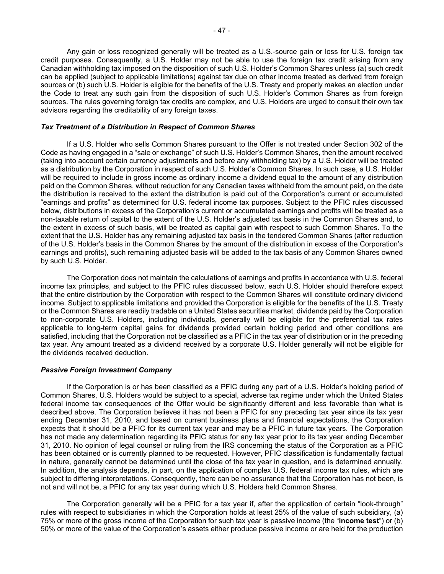Any gain or loss recognized generally will be treated as a U.S.-source gain or loss for U.S. foreign tax credit purposes. Consequently, a U.S. Holder may not be able to use the foreign tax credit arising from any Canadian withholding tax imposed on the disposition of such U.S. Holder's Common Shares unless (a) such credit can be applied (subject to applicable limitations) against tax due on other income treated as derived from foreign sources or (b) such U.S. Holder is eligible for the benefits of the U.S. Treaty and properly makes an election under the Code to treat any such gain from the disposition of such U.S. Holder's Common Shares as from foreign sources. The rules governing foreign tax credits are complex, and U.S. Holders are urged to consult their own tax advisors regarding the creditability of any foreign taxes.

# *Tax Treatment of a Distribution in Respect of Common Shares*

If a U.S. Holder who sells Common Shares pursuant to the Offer is not treated under Section 302 of the Code as having engaged in a "sale or exchange" of such U.S. Holder's Common Shares, then the amount received (taking into account certain currency adjustments and before any withholding tax) by a U.S. Holder will be treated as a distribution by the Corporation in respect of such U.S. Holder's Common Shares. In such case, a U.S. Holder will be required to include in gross income as ordinary income a dividend equal to the amount of any distribution paid on the Common Shares, without reduction for any Canadian taxes withheld from the amount paid, on the date the distribution is received to the extent the distribution is paid out of the Corporation's current or accumulated "earnings and profits" as determined for U.S. federal income tax purposes. Subject to the PFIC rules discussed below, distributions in excess of the Corporation's current or accumulated earnings and profits will be treated as a non-taxable return of capital to the extent of the U.S. Holder's adjusted tax basis in the Common Shares and, to the extent in excess of such basis, will be treated as capital gain with respect to such Common Shares. To the extent that the U.S. Holder has any remaining adjusted tax basis in the tendered Common Shares (after reduction of the U.S. Holder's basis in the Common Shares by the amount of the distribution in excess of the Corporation's earnings and profits), such remaining adjusted basis will be added to the tax basis of any Common Shares owned by such U.S. Holder.

The Corporation does not maintain the calculations of earnings and profits in accordance with U.S. federal income tax principles, and subject to the PFIC rules discussed below, each U.S. Holder should therefore expect that the entire distribution by the Corporation with respect to the Common Shares will constitute ordinary dividend income. Subject to applicable limitations and provided the Corporation is eligible for the benefits of the U.S. Treaty or the Common Shares are readily tradable on a United States securities market, dividends paid by the Corporation to non-corporate U.S. Holders, including individuals, generally will be eligible for the preferential tax rates applicable to long-term capital gains for dividends provided certain holding period and other conditions are satisfied, including that the Corporation not be classified as a PFIC in the tax year of distribution or in the preceding tax year. Any amount treated as a dividend received by a corporate U.S. Holder generally will not be eligible for the dividends received deduction.

#### *Passive Foreign Investment Company*

If the Corporation is or has been classified as a PFIC during any part of a U.S. Holder's holding period of Common Shares, U.S. Holders would be subject to a special, adverse tax regime under which the United States federal income tax consequences of the Offer would be significantly different and less favorable than what is described above. The Corporation believes it has not been a PFIC for any preceding tax year since its tax year ending December 31, 2010, and based on current business plans and financial expectations, the Corporation expects that it should be a PFIC for its current tax year and may be a PFIC in future tax years. The Corporation has not made any determination regarding its PFIC status for any tax year prior to its tax year ending December 31, 2010. No opinion of legal counsel or ruling from the IRS concerning the status of the Corporation as a PFIC has been obtained or is currently planned to be requested. However, PFIC classification is fundamentally factual in nature, generally cannot be determined until the close of the tax year in question, and is determined annually. In addition, the analysis depends, in part, on the application of complex U.S. federal income tax rules, which are subject to differing interpretations. Consequently, there can be no assurance that the Corporation has not been, is not and will not be, a PFIC for any tax year during which U.S. Holders held Common Shares.

The Corporation generally will be a PFIC for a tax year if, after the application of certain "look-through" rules with respect to subsidiaries in which the Corporation holds at least 25% of the value of such subsidiary, (a) 75% or more of the gross income of the Corporation for such tax year is passive income (the "**income test**") or (b) 50% or more of the value of the Corporation's assets either produce passive income or are held for the production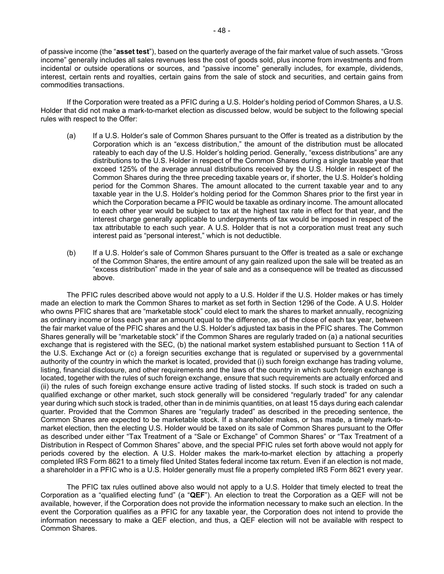of passive income (the "**asset test**"), based on the quarterly average of the fair market value of such assets. "Gross income" generally includes all sales revenues less the cost of goods sold, plus income from investments and from incidental or outside operations or sources, and "passive income" generally includes, for example, dividends, interest, certain rents and royalties, certain gains from the sale of stock and securities, and certain gains from commodities transactions.

If the Corporation were treated as a PFIC during a U.S. Holder's holding period of Common Shares, a U.S. Holder that did not make a mark-to-market election as discussed below, would be subject to the following special rules with respect to the Offer:

- (a) If a U.S. Holder's sale of Common Shares pursuant to the Offer is treated as a distribution by the Corporation which is an "excess distribution," the amount of the distribution must be allocated rateably to each day of the U.S. Holder's holding period. Generally, "excess distributions" are any distributions to the U.S. Holder in respect of the Common Shares during a single taxable year that exceed 125% of the average annual distributions received by the U.S. Holder in respect of the Common Shares during the three preceding taxable years or, if shorter, the U.S. Holder's holding period for the Common Shares. The amount allocated to the current taxable year and to any taxable year in the U.S. Holder's holding period for the Common Shares prior to the first year in which the Corporation became a PFIC would be taxable as ordinary income. The amount allocated to each other year would be subject to tax at the highest tax rate in effect for that year, and the interest charge generally applicable to underpayments of tax would be imposed in respect of the tax attributable to each such year. A U.S. Holder that is not a corporation must treat any such interest paid as "personal interest," which is not deductible.
- (b) If a U.S. Holder's sale of Common Shares pursuant to the Offer is treated as a sale or exchange of the Common Shares, the entire amount of any gain realized upon the sale will be treated as an "excess distribution" made in the year of sale and as a consequence will be treated as discussed above.

The PFIC rules described above would not apply to a U.S. Holder if the U.S. Holder makes or has timely made an election to mark the Common Shares to market as set forth in Section 1296 of the Code. A U.S. Holder who owns PFIC shares that are "marketable stock" could elect to mark the shares to market annually, recognizing as ordinary income or loss each year an amount equal to the difference, as of the close of each tax year, between the fair market value of the PFIC shares and the U.S. Holder's adjusted tax basis in the PFIC shares. The Common Shares generally will be "marketable stock" if the Common Shares are regularly traded on (a) a national securities exchange that is registered with the SEC, (b) the national market system established pursuant to Section 11A of the U.S. Exchange Act or (c) a foreign securities exchange that is regulated or supervised by a governmental authority of the country in which the market is located, provided that (i) such foreign exchange has trading volume, listing, financial disclosure, and other requirements and the laws of the country in which such foreign exchange is located, together with the rules of such foreign exchange, ensure that such requirements are actually enforced and (ii) the rules of such foreign exchange ensure active trading of listed stocks. If such stock is traded on such a qualified exchange or other market, such stock generally will be considered "regularly traded" for any calendar year during which such stock is traded, other than in de minimis quantities, on at least 15 days during each calendar quarter. Provided that the Common Shares are "regularly traded" as described in the preceding sentence, the Common Shares are expected to be marketable stock. If a shareholder makes, or has made, a timely mark-tomarket election, then the electing U.S. Holder would be taxed on its sale of Common Shares pursuant to the Offer as described under either "Tax Treatment of a "Sale or Exchange" of Common Shares" or "Tax Treatment of a Distribution in Respect of Common Shares" above, and the special PFIC rules set forth above would not apply for periods covered by the election. A U.S. Holder makes the mark-to-market election by attaching a properly completed IRS Form 8621 to a timely filed United States federal income tax return. Even if an election is not made, a shareholder in a PFIC who is a U.S. Holder generally must file a properly completed IRS Form 8621 every year.

The PFIC tax rules outlined above also would not apply to a U.S. Holder that timely elected to treat the Corporation as a "qualified electing fund" (a "**QEF**"). An election to treat the Corporation as a QEF will not be available, however, if the Corporation does not provide the information necessary to make such an election. In the event the Corporation qualifies as a PFIC for any taxable year, the Corporation does not intend to provide the information necessary to make a QEF election, and thus, a QEF election will not be available with respect to Common Shares.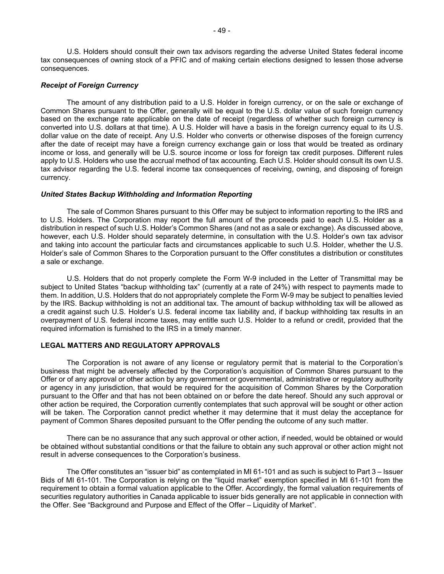U.S. Holders should consult their own tax advisors regarding the adverse United States federal income tax consequences of owning stock of a PFIC and of making certain elections designed to lessen those adverse consequences.

#### *Receipt of Foreign Currency*

The amount of any distribution paid to a U.S. Holder in foreign currency, or on the sale or exchange of Common Shares pursuant to the Offer, generally will be equal to the U.S. dollar value of such foreign currency based on the exchange rate applicable on the date of receipt (regardless of whether such foreign currency is converted into U.S. dollars at that time). A U.S. Holder will have a basis in the foreign currency equal to its U.S. dollar value on the date of receipt. Any U.S. Holder who converts or otherwise disposes of the foreign currency after the date of receipt may have a foreign currency exchange gain or loss that would be treated as ordinary income or loss, and generally will be U.S. source income or loss for foreign tax credit purposes. Different rules apply to U.S. Holders who use the accrual method of tax accounting. Each U.S. Holder should consult its own U.S. tax advisor regarding the U.S. federal income tax consequences of receiving, owning, and disposing of foreign currency.

#### *United States Backup Withholding and Information Reporting*

The sale of Common Shares pursuant to this Offer may be subject to information reporting to the IRS and to U.S. Holders. The Corporation may report the full amount of the proceeds paid to each U.S. Holder as a distribution in respect of such U.S. Holder's Common Shares (and not as a sale or exchange). As discussed above, however, each U.S. Holder should separately determine, in consultation with the U.S. Holder's own tax advisor and taking into account the particular facts and circumstances applicable to such U.S. Holder, whether the U.S. Holder's sale of Common Shares to the Corporation pursuant to the Offer constitutes a distribution or constitutes a sale or exchange.

U.S. Holders that do not properly complete the Form W-9 included in the Letter of Transmittal may be subject to United States "backup withholding tax" (currently at a rate of 24%) with respect to payments made to them. In addition, U.S. Holders that do not appropriately complete the Form W-9 may be subject to penalties levied by the IRS. Backup withholding is not an additional tax. The amount of backup withholding tax will be allowed as a credit against such U.S. Holder's U.S. federal income tax liability and, if backup withholding tax results in an overpayment of U.S. federal income taxes, may entitle such U.S. Holder to a refund or credit, provided that the required information is furnished to the IRS in a timely manner.

#### **LEGAL MATTERS AND REGULATORY APPROVALS**

The Corporation is not aware of any license or regulatory permit that is material to the Corporation's business that might be adversely affected by the Corporation's acquisition of Common Shares pursuant to the Offer or of any approval or other action by any government or governmental, administrative or regulatory authority or agency in any jurisdiction, that would be required for the acquisition of Common Shares by the Corporation pursuant to the Offer and that has not been obtained on or before the date hereof. Should any such approval or other action be required, the Corporation currently contemplates that such approval will be sought or other action will be taken. The Corporation cannot predict whether it may determine that it must delay the acceptance for payment of Common Shares deposited pursuant to the Offer pending the outcome of any such matter.

There can be no assurance that any such approval or other action, if needed, would be obtained or would be obtained without substantial conditions or that the failure to obtain any such approval or other action might not result in adverse consequences to the Corporation's business.

The Offer constitutes an "issuer bid" as contemplated in MI 61-101 and as such is subject to Part 3 – Issuer Bids of MI 61-101. The Corporation is relying on the "liquid market" exemption specified in MI 61-101 from the requirement to obtain a formal valuation applicable to the Offer. Accordingly, the formal valuation requirements of securities regulatory authorities in Canada applicable to issuer bids generally are not applicable in connection with the Offer. See "Background and Purpose and Effect of the Offer – Liquidity of Market".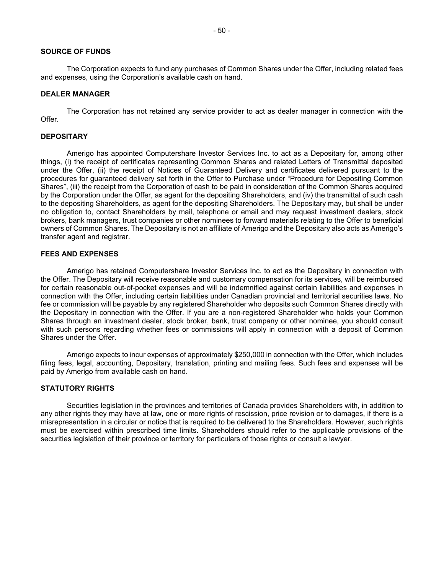#### **SOURCE OF FUNDS**

The Corporation expects to fund any purchases of Common Shares under the Offer, including related fees and expenses, using the Corporation's available cash on hand.

#### **DEALER MANAGER**

The Corporation has not retained any service provider to act as dealer manager in connection with the Offer.

#### **DEPOSITARY**

Amerigo has appointed Computershare Investor Services Inc. to act as a Depositary for, among other things, (i) the receipt of certificates representing Common Shares and related Letters of Transmittal deposited under the Offer, (ii) the receipt of Notices of Guaranteed Delivery and certificates delivered pursuant to the procedures for guaranteed delivery set forth in the Offer to Purchase under "Procedure for Depositing Common Shares", (iii) the receipt from the Corporation of cash to be paid in consideration of the Common Shares acquired by the Corporation under the Offer, as agent for the depositing Shareholders, and (iv) the transmittal of such cash to the depositing Shareholders, as agent for the depositing Shareholders. The Depositary may, but shall be under no obligation to, contact Shareholders by mail, telephone or email and may request investment dealers, stock brokers, bank managers, trust companies or other nominees to forward materials relating to the Offer to beneficial owners of Common Shares. The Depositary is not an affiliate of Amerigo and the Depositary also acts as Amerigo's transfer agent and registrar.

#### **FEES AND EXPENSES**

Amerigo has retained Computershare Investor Services Inc. to act as the Depositary in connection with the Offer. The Depositary will receive reasonable and customary compensation for its services, will be reimbursed for certain reasonable out-of-pocket expenses and will be indemnified against certain liabilities and expenses in connection with the Offer, including certain liabilities under Canadian provincial and territorial securities laws. No fee or commission will be payable by any registered Shareholder who deposits such Common Shares directly with the Depositary in connection with the Offer. If you are a non-registered Shareholder who holds your Common Shares through an investment dealer, stock broker, bank, trust company or other nominee, you should consult with such persons regarding whether fees or commissions will apply in connection with a deposit of Common Shares under the Offer.

Amerigo expects to incur expenses of approximately \$250,000 in connection with the Offer, which includes filing fees, legal, accounting, Depositary, translation, printing and mailing fees. Such fees and expenses will be paid by Amerigo from available cash on hand.

#### **STATUTORY RIGHTS**

Securities legislation in the provinces and territories of Canada provides Shareholders with, in addition to any other rights they may have at law, one or more rights of rescission, price revision or to damages, if there is a misrepresentation in a circular or notice that is required to be delivered to the Shareholders. However, such rights must be exercised within prescribed time limits. Shareholders should refer to the applicable provisions of the securities legislation of their province or territory for particulars of those rights or consult a lawyer.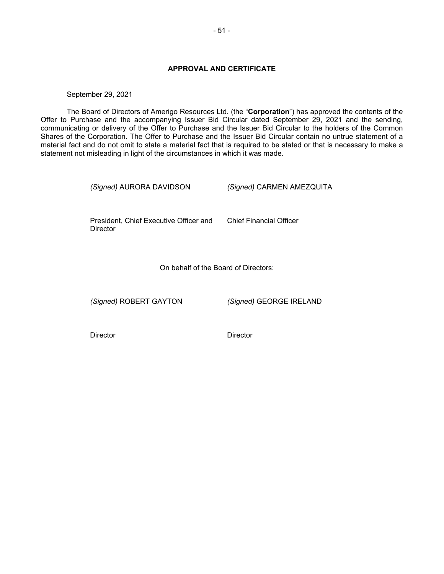# **APPROVAL AND CERTIFICATE**

September 29, 2021

The Board of Directors of Amerigo Resources Ltd. (the "**Corporation**") has approved the contents of the Offer to Purchase and the accompanying Issuer Bid Circular dated September 29, 2021 and the sending, communicating or delivery of the Offer to Purchase and the Issuer Bid Circular to the holders of the Common Shares of the Corporation. The Offer to Purchase and the Issuer Bid Circular contain no untrue statement of a material fact and do not omit to state a material fact that is required to be stated or that is necessary to make a statement not misleading in light of the circumstances in which it was made.

*(Signed)* AURORA DAVIDSON *(Signed)* CARMEN AMEZQUITA

President, Chief Executive Officer and **Director** 

Chief Financial Officer

On behalf of the Board of Directors:

*(Signed)* ROBERT GAYTON *(Signed)* GEORGE IRELAND

Director Director